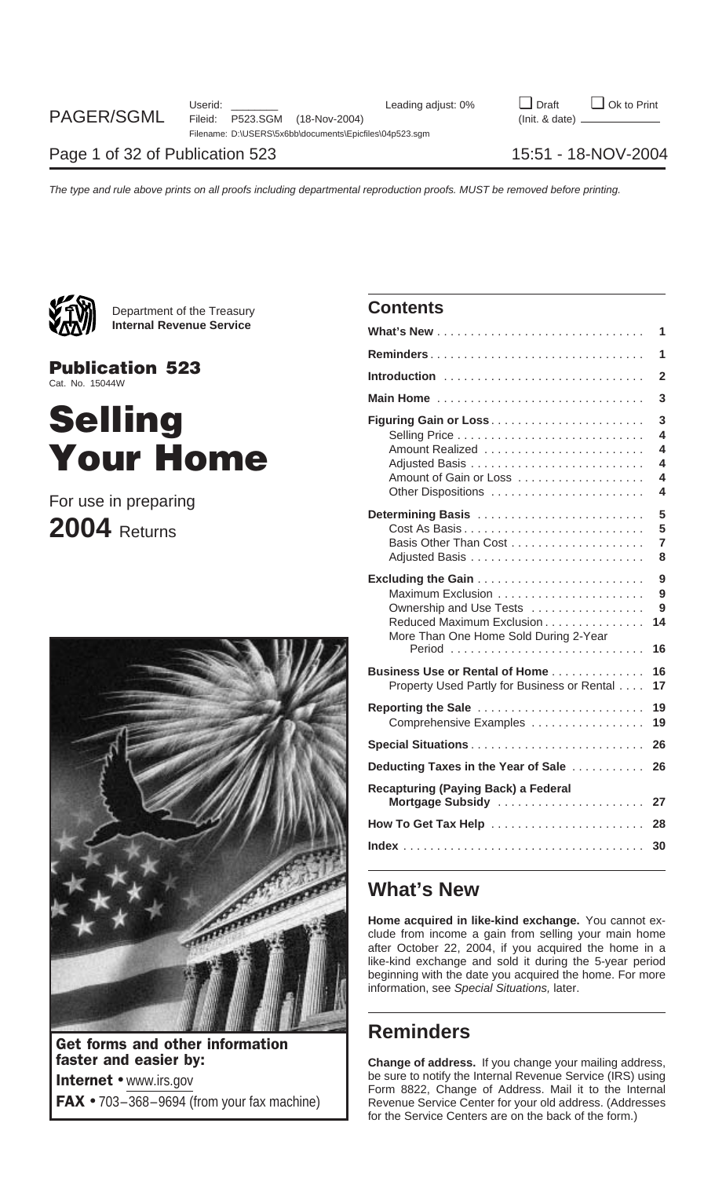

Department of the Treasury **Contents Internal Revenue Service** 

**Publication 523** Cat. No. 15044W

## $Selling$ **Your Home**

## For use in preparing **2004 Returns**



 $FAX \cdot 703-368-9694$  (from your fax machine)

|                                                                                               | 1                             |
|-----------------------------------------------------------------------------------------------|-------------------------------|
|                                                                                               | 1                             |
|                                                                                               | $\overline{2}$                |
| Main Home                                                                                     | 3                             |
| Amount Realized                                                                               | 3<br>4<br>4<br>4<br>4<br>4    |
| Determining Basis                                                                             | 5<br>5<br>$\overline{7}$<br>8 |
| Ownership and Use Tests<br>Reduced Maximum Exclusion<br>More Than One Home Sold During 2-Year | 9<br>9<br>9<br>14<br>16       |
| <b>Business Use or Rental of Home </b><br>Property Used Partly for Business or Rental         | 16<br>17                      |
| Reporting the Sale<br>Comprehensive Examples                                                  | 19<br>19                      |
|                                                                                               | 26                            |
| Deducting Taxes in the Year of Sale                                                           | 26                            |
| <b>Recapturing (Paying Back) a Federal</b>                                                    | 27                            |
| How To Get Tax Help                                                                           | 28                            |
|                                                                                               | 30                            |

## **What's New**

**Home acquired in like-kind exchange.** You cannot exclude from income a gain from selling your main home after October 22, 2004, if you acquired the home in a like-kind exchange and sold it during the 5-year period beginning with the date you acquired the home. For more information, see Special Situations, later.

**faster and easier by: Change of address.** If you change your mailing address, Internet • www.irs.gov<br>
FAX • 703-368-9694 (from your fax machine)<br>
Ferm 8822, Change of Address. Mail it to the Internal<br>
Revenue Service Center for your old address. (Addresses for the Service Centers are on the back of the form.)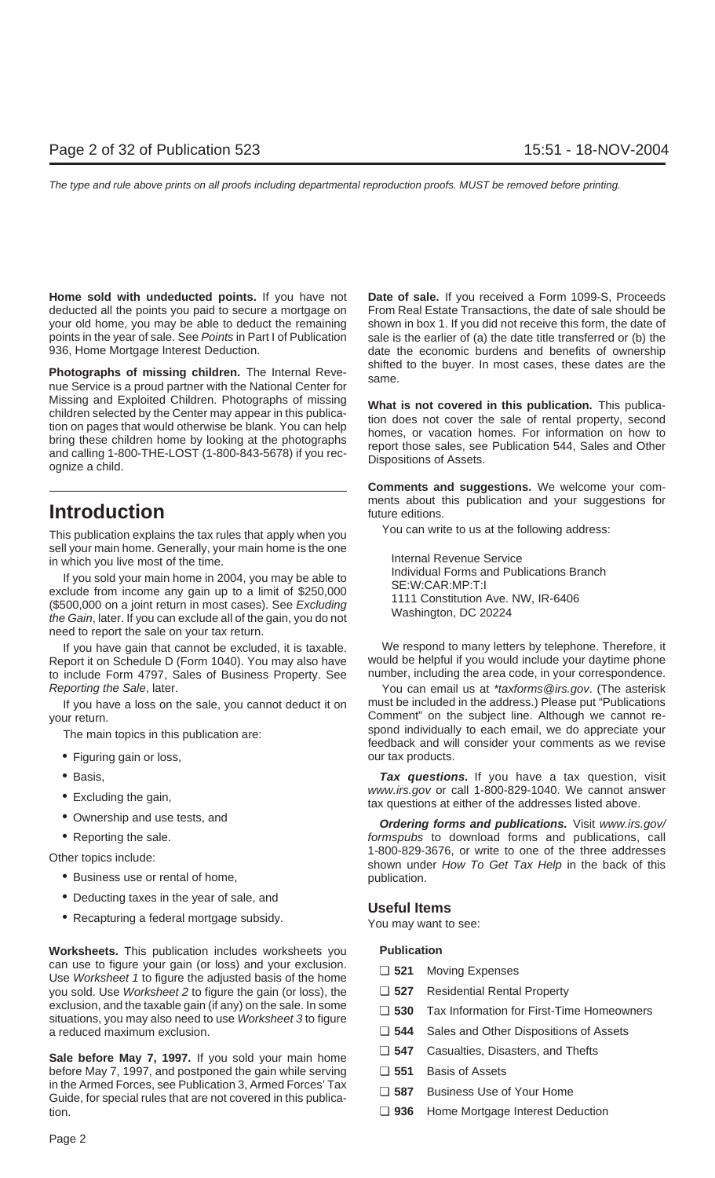**Home sold with undeducted points.** If you have not **Date of sale.** If you received a Form 1099-S, Proceeds deducted all the points you paid to secure a mortgage on From Real Estate Transactions, the date of sale should be your old home, you may be able to deduct the remaining shown in box 1. If you did not receive this form, the date of points in Part I of Publication sale is the earlier of (a) the date title transferred or (b) the 936, Home Mortgage Interest Deduction. The State the economic burdens and benefits of ownership

Missing and Exploited Children. Photographs of missing<br>
children selected by the Center may appear in this publica-<br>
tion does not cover the sale of rental property, second<br>
bring these children home by looking at the phot

You can write to us at the following address: This publication explains the tax rules that apply when you

sell your main home. Generally, your main home is the one<br>
in which you live most of the time.<br>
If you sold your main home in 2004, you may be able to<br>
exclude from income any gain up to a limit of \$250,000<br>
(\$500,000 on a need to report the sale on your tax return.

Report it on Schedule D (Form 1040). You may also have would be helpful if you would include your daytime phone<br>to include Form 4797, Sales of Business Property. See number, including the area code, in your correspondence. to include Form 4797, Sales of Business Property. See Reporting the Sale, later. The state of the Sale, later.

- Figuring gain or loss, and the state of the state our tax products.
- 
- 
- 
- 

- Business use or rental of home, publication.
- 
- Deducting taxes in the year of sale, and **Useful Items** Recapturing a federal mortgage subsidy. You may want to see:

**Worksheets.** This publication includes worksheets you **Publication** can use to figure your gain (or loss) and your exclusion.<br>
Use Worksheet 1 to figure the adjusted basis of the home<br>
you sold. Use Worksheet 2 to figure the gain (or loss), the **□ 527** Residential Rental Property you sold. Use Worksheet 2 to figure the gain (or loss), the exclusion, and the taxable gain (if any) on the sale. In some<br>situations, you may also need to use *Worksheet 3* to figure<br>**□ 544** Sales and Other Dispositions of Assets a reduced maximum exclusion. ❏ **544** Sales and Other Dispositions of Assets

**Sale before May 7, 1997.** If you sold your main home  $\Box$  547 Casualties, Disasters, and Thefts before May 7, 1997. and postponed the gain while serving  $\Box$  551 Basis of Assets before May 7, 1997, and postponed the gain while serving **□ 551** in the Armed Forces, see Publication 3, Armed Forces' Tax ❏ **<sup>587</sup>** Business Use of Your Home Guide, for special rules that are not covered in this publication. ❏ **936** Home Mortgage Interest Deduction

sale is the earlier of (a) the date title transferred or (b) the **Photographs of missing children.** The Internal Reve-<br>
nue Service is a proud partner with the National Center for<br> **Photographs of missing children.** The Internal Reve-<br>
same.

**Comments and suggestions.** We welcome your com-**Introduction introduction introduction intervalse about this publication and your suggestions for Introduction** 

If you have gain that cannot be excluded, it is taxable. We respond to many letters by telephone. Therefore, it<br>port it on Schedule D (Form 1040). You may also have would be helpful if you would include your daytime phone

If you have a loss on the sale, you cannot deduct it on must be included in the address.) Please put "Publications your return.<br>
your return.<br>
The main topics in this publication are:<br>
The main topics in this publication are:<br>
The main topics in this publication are:<br>
The main topics in this publication are:<br>
Spond individually to each The main topics in this publication are: Feedback and will consider your comments as we revise

• Basis, **Tax questions.** If you have a tax question, visit ■ Excluding the gain, tax not all 1-800-829-1040. We cannot answer • Excluding the gain, tax questions at either of the addresses listed above.

• Ownership and use tests, and **Ordering forms and publications.** Visit www.irs.gov/ • Reporting the sale. The same same state of the same state of the same state of the same state of the same state of the same state of the same state of the same state of the same state of the same state of the state of th Other topics include:<br>
Other topics include:<br>
Shown under How To Get Tax Help in the back of this

- 
- 
- 
- 
- 
- 
- 
-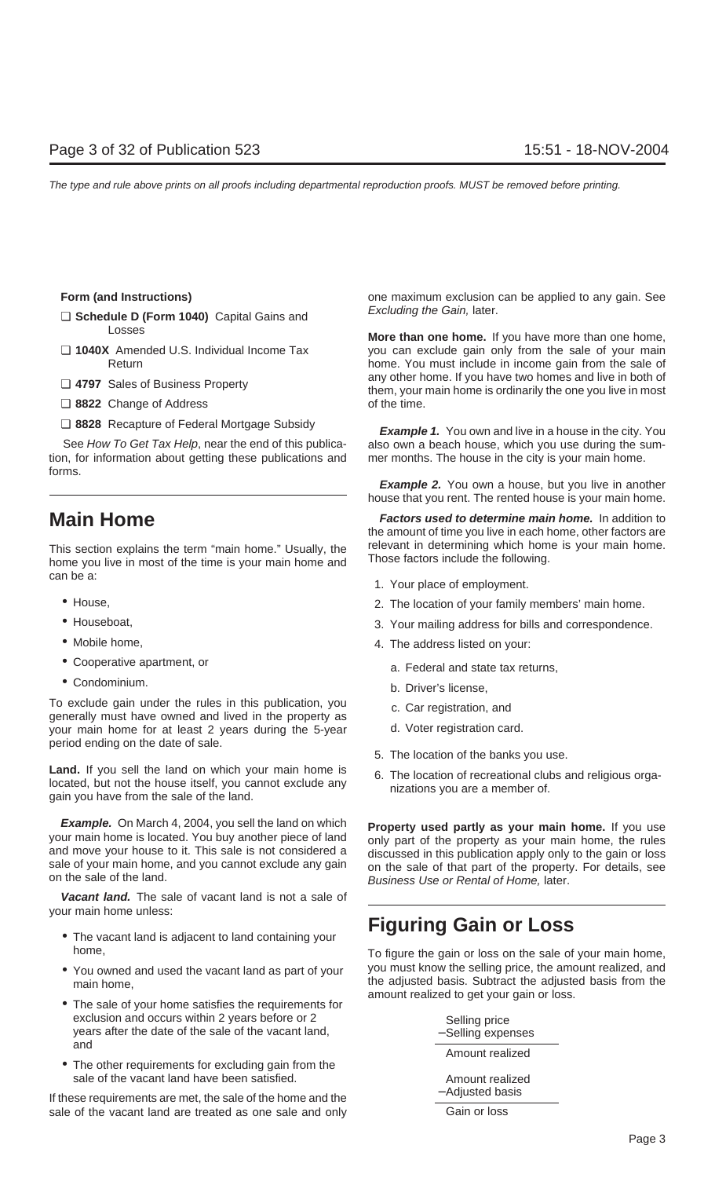- Excluding the Gain, later. ❏ **Schedule D (Form 1040)** Capital Gains and
- 
- 
- ❏ **8822** Change of Address of the time.
- ❏ **<sup>8828</sup>** Recapture of Federal Mortgage Subsidy **Example 1.** You own and live in a house in the city. You

tion, for information about getting these publications and mer months. The house in the city is your main home. forms.

can be a: 1. Your place of employment.

- 
- 
- 
- Cooperative apartment, or and state tax returns,
- 

To exclude gain under the rules in this publication, you c. Car registration, and generally must have owned and lived in the property as vour main home for at least 2 vears during the 5-vear d. Voter registration card. your main home for at least 2 years during the 5-year period ending on the date of sale.

**Land.** If you sell the land on which your main home is  $\frac{1}{10}$  or the location of recreational clubs and religious orgalocated, but not the house itself, you cannot exclude any  $\frac{1}{10}$  or inizations you are a member

**Example.** On March 4, 2004, you sell the land on which<br>your main home is located. You buy another piece of land<br>and move your house to it. This sale is not considered a<br>sale of your main home, and you cannot exclude any g

**Vacant land.** The sale of vacant land is not a sale of your main home unless:

- 
- 
- The sale of your home satisfies the requirements for exclusion and occurs within 2 years before or 2 years after the date of the sale of the vacant land, and and and and  $\frac{1}{\sqrt{1-\frac{1}{\sqrt{1-\frac{1}{\sqrt{1-\frac{1}{\sqrt{1-\frac{1}{\sqrt{1-\frac{1}{\sqrt{1-\frac{1}{\sqrt{1-\frac{1}{\sqrt{1-\frac{1}{\sqrt{1-\frac{1}{\sqrt{1-\frac{1}{\sqrt{1-\frac{1}{\sqrt{1-\frac{1}{\sqrt{1-\frac{1}{\sqrt{1-\frac{1}{\sqrt{1-\frac{1}{\sqrt{1-\frac{1}{\sqrt{1-\frac{1}{\sqrt{1-\frac{1}{\sqrt{1-\frac{1}{\sqrt{1-\frac{1}{\sqrt{1-\frac{1}{\sqrt{1-\frac{1}{\sqrt{1-\frac$
- The other requirements for excluding gain from the sale of the vacant land have been satisfied.

If these requirements are met, the sale of the home and the sale of the vacant land are treated as one sale and only Gain or loss

**Form (and Instructions) be a construction one maximum exclusion can be applied to any gain. See** 

Losses **More than one home.** If you have more than one home, ❏ **1040X** Amended U.S. Individual Income Tax you can exclude gain only from the sale of your main Return **home.** You must include in income gain from the sale of any other home. If you have two homes and live in both of ❏ **<sup>4797</sup>** Sales of Business Property them, your main home is ordinarily the one you live in most

See How To Get Tax Help, near the end of this publica-<br>also own a beach house, which you use during the suming the sum-

**Example 2.** You own a house, but you live in another house that you rent. The rented house is your main home.

**Main Home Factors used to determine main home.** In addition to the amount of time you live in each home, other factors are This section explains the term "main home." Usually, the relevant in determining which home is your main home.<br>home you live in most of the time is your main home and Those factors include the following.

- 
- House, **2.** The location of your family members' main home.
- Houseboat, 3. Your mailing address for bills and correspondence.
- Mobile home, **4. The address listed on your:** 
	-
- Condominium. **b. Driver's license**,
	-
	-
	- 5. The location of the banks you use.
	-

## • The vacant land is adjacent to land containing your **Figuring Gain or Loss**

home, home, home, home, home, home, home, home, home, home, home, home, home, home, home, home, home, home, home, home, home, home, home, home, home, home, home, home, home, home, home, home, home, home, home, home, home, • You owned and used the vacant land as part of your you must know the selling price, the amount realized, and<br>main home. the adjusted basis. Subtract the adjusted basis from the the adjusted basis. Subtract the adjusted basis from the amount realized to get your gain or loss.

| Selling price<br>- Selling expenses |
|-------------------------------------|
| Amount realized                     |
| Amount realized<br>- Adjusted basis |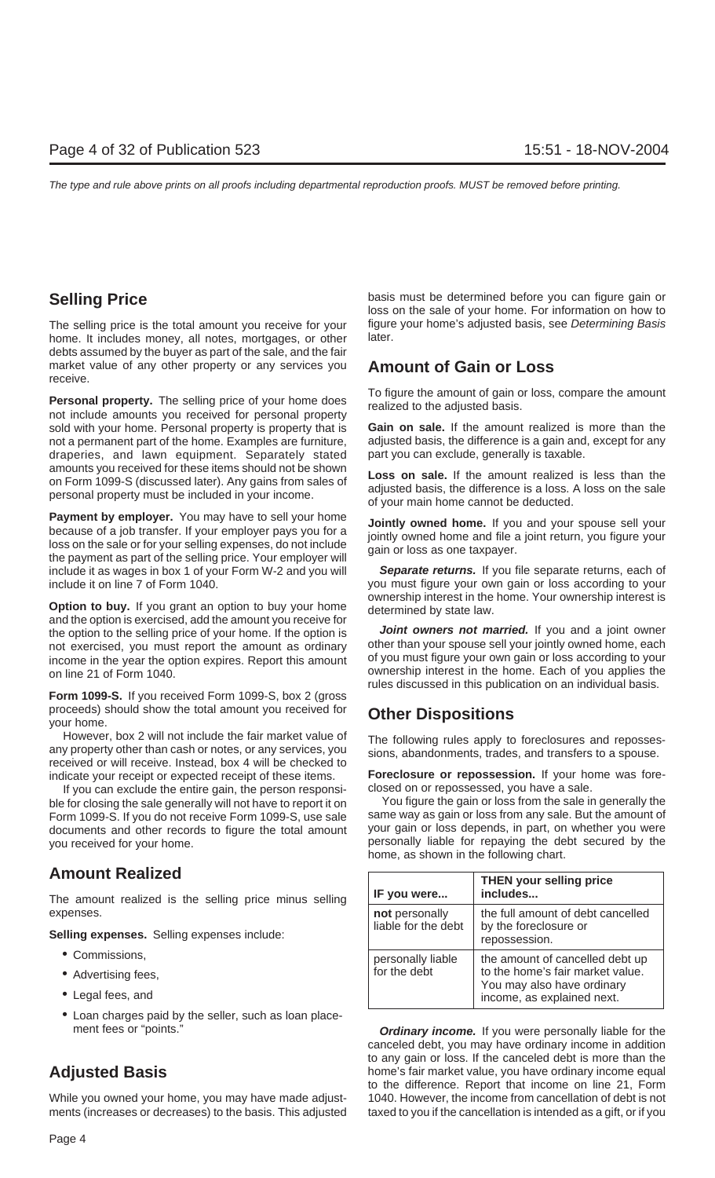The selling price is the total amount you receive for your figure your home's adjusted basis, see Determining Basis<br>home It includes money all notes mortgages or other later. home. It includes money, all notes, mortgages, or other. debts assumed by the buyer as part of the sale, and the fair market value of any other property or any services you **Amount of Gain or Loss** receive.

**Personal property.** The selling price of your home does To figure the amount of gain or loss, compare the amount<br>not include amounts you received for personal property sold with your home. Personal property is property that is **Gain on sale.** If the amount realized is more than the not a permanent part of the home. Examples are furniture, adjusted basis, the difference is a gain and, except for any draperies, and lawn equipment. Separately stated part you can exclude, generally is taxable. draperies, and lawn equipment. Separately stated amounts you received for these items should not be shown<br>on Form 1099-S (discussed later). Any gains from sales of<br>personal property must be included in your income.<br>of your main home cannot be deducted.

**Payment by employer.** You may have to sell your home<br>because of a job transfer. If your employer pays you for a<br>loss on the sale or for your selling expenses, do not include<br>the payment as part of the selling price. Your include it as wages in box 1 of your Form W-2 and you will **Separate returns.** If you file separate returns, each of include it on line 7 of Form 1040. you must figure your own gain or loss according to your

**Option to buy.** If you grant an option to buy your home vertex in the home. Your ownership interest is<br>and the option is exercised, add the amount you receive for<br>the option to the selling price of your home. If the optio not exercised, you must report the amount as ordinary other than your spouse sell your jointly owned home, each income in the year the option expires. Report this amount of you must figure your own gain or loss according to your on line 21 of Form 1040. **on** line 21 of Form 1040.

**Form 1099-S.** If you received Form 1099-S, box 2 (gross proceeds) should show the total amount you received for **Other Dispositions** your home.

However, box 2 will not include the fair market value of<br>any property other than cash or notes, or any services, you<br>received or will receive. Instead, box 4 will be checked to

If you can exclude the entire gain, the person responsi-<br>If you can exclude the sale generally will not have to report it on The Poulfiqure the gain or loss from the sale in generally the intertion of the person responsiti ble for closing the sale generally will not have to report it on You figure the gain or loss from the sale in generally the<br>Form 1099-S, If you do not receive Form 1099-S, use sale same way as gain or loss from any sale. B Form 1099-S. If you do not receive Form 1099-S, use sale same way as gain or loss from any sale. But the amount of<br>documents and other records to figure the total amount your gain or loss depends, in part, on whether you w documents and other records to figure the total amount you received for your home. The state of the secured by the personally liable for repaying the debt secured by the

## **Amount Realized**

**Selling expenses.** Selling expenses include:

- 
- $\bullet$  Advertising fees,
- 
- Loan charges paid by the seller, such as loan place-

While you owned your home, you may have made adjust-<br>
1040. However, the income from cancellation of debt is not ments (increases or decreases) to the basis. This adjusted taxed to you if the cancellation is intended as a gift, or if you

**Selling Price basis must be determined before you can figure gain or** loss on the sale of your home. For information on how to

rules discussed in this publication on an individual basis.

indicate your receipt or expected receipt of these items.<br>If you can exclude the entire gain, the person responsi-<br>Closed on or repossessed, you have a sale.

home, as shown in the following chart.

| mount Realized                                       |                                   | <b>THEN your selling price</b>                                                               |  |  |
|------------------------------------------------------|-----------------------------------|----------------------------------------------------------------------------------------------|--|--|
| e amount realized is the selling price minus selling | IF you were                       | includes                                                                                     |  |  |
| penses.                                              | not personally                    | the full amount of debt cancelled<br>by the foreclosure or<br>repossession.                  |  |  |
| Illing expenses. Selling expenses include:           | liable for the debt               |                                                                                              |  |  |
| • Commissions,                                       | personally liable<br>for the debt | the amount of cancelled debt up                                                              |  |  |
| • Advertising fees,                                  |                                   | to the home's fair market value.<br>You may also have ordinary<br>income, as explained next. |  |  |
| • Legal fees, and                                    |                                   |                                                                                              |  |  |

ment fees or "points." **Community income.** If you were personally liable for the canceled debt, you may have ordinary income in addition to any gain or loss. If the canceled debt is more than the Adjusted Basis **Adjusted Basis home's fair market value, you have ordinary income equal** to the difference. Report that income on line 21, Form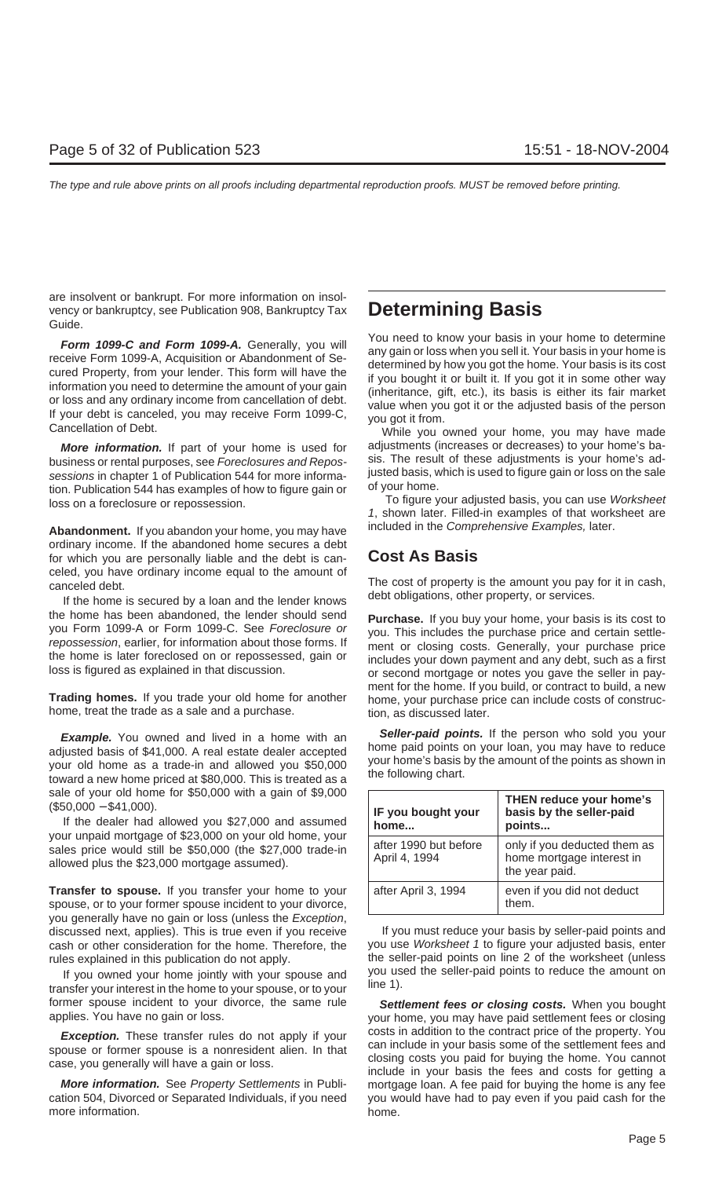are insolvent or bankrupt. For more information on insolvency or bankruptcy, see Publication 908, Bankruptcy Tax **Determining Basis** Guide.

**Form 1099-C and Form 1099-A.** Generally, you will<br>receive Form 1099-A, Acquisition or Abandonment of Se-<br>cured Property, from your lender. This form will have the<br>information you need to determine the amount of your gain<br>

business or rental purposes, see Foreclosures and Repos-<br>signifiably sessions in chapter 1 of Publication 544 for more informa- justed basis, which is used to figure gain or loss on the sale sessions in chapter 1 of Publication 544 for more informa-<br>tion. Publication 544 has examples of how to figure gain or<br>loss on a foreclosure or repossession.<br>In figure your adjusted basis, you can use Worksheet<br>1, shown la

Abandonment. If you abandon your home, you may have included in the Comprehensive Examples, later. ordinary income. If the abandoned home secures a debt for which you are personally liable and the debt is can- **Cost As Basis**

If the home is secured by a loan and the lender knows the home has been abandoned, the lender should send<br>you Form 1099-A or Form 1099-C. See Foreclosure or<br>repossession, earlier, for information about those forms. If<br>the home is later foreclosed on or repossessed, gain or<br>lo

home, treat the trade as a sale and a purchase. tion, as discussed later.

adjusted basis of \$41,000. A real estate dealer accepted<br>your old home as a trade-in and allowed you \$50,000<br>toward a new home priced at \$80,000. This is treated as a<br>sale of your old home for \$50,000 with a gain of \$9,00

**Transfer to spouse.** If you transfer your home to your spouse, or to your former spouse incident to your divorce, you generally have no gain or loss (unless the Exception, discussed next, applies). This is true even if you receive If you must reduce your basis by seller-paid points and cash or other consideration for the home. Therefore, the you use Worksheet 1 to figure your adjusted basis, enter

If you owned your home jointly with your spouse and  $\frac{1}{2}$  you use transfer your interest in the home to your spouse, or to your  $\frac{1}{2}$  line 1). former spouse incident to your divorce, the same rule **Settlement fees or closing costs.** When you bought applies. You have no gain or loss.

cation 504, Divorced or Separated Individuals, if you need you would have had to pay even if you paid cash for the more information. The contraction of the contraction of the contraction of the contraction of the contraction of the contraction of the contraction of the contraction of the contraction of the contraction of the contractio

More information. If part of your home is used for adjustments (increases or decreases) to your home's ba-

celed, you have ordinary income equal to the amount of<br>canceled debt.<br>If the bome is secured by a loan and the lender knows debt obligations, other property, or services.

ment for the home. If you build, or contract to build, a new<br>**Trading homes.** If you trade your old home for another home, your purchase price can include costs of construc-

**Example.** You owned and lived in a home with an **Seller-paid points.** If the person who sold you your live to reduce

| sale of your old home for \$50,000 with a gain of \$9,000<br>$($50,000 - $41,000).$<br>If the dealer had allowed you \$27,000 and assumed                             | THEN reduce your home's<br>basis by the seller-paid<br>IF you bought your<br>points<br>home |                                                                             |
|-----------------------------------------------------------------------------------------------------------------------------------------------------------------------|---------------------------------------------------------------------------------------------|-----------------------------------------------------------------------------|
| your unpaid mortgage of \$23,000 on your old home, your<br>sales price would still be \$50,000 (the \$27,000 trade-in<br>allowed plus the \$23,000 mortgage assumed). | after 1990 but before<br>April 4, 1994                                                      | only if you deducted them as<br>home mortgage interest in<br>the year paid. |
| Transfer to spouse. If you transfer your home to your<br>spouse, or to your former spouse incident to your divorce,                                                   | after April 3, 1994                                                                         | even if you did not deduct<br>them.                                         |

rules explained in this publication do not apply.<br>If you owned your bome jointly with your spouse and you used the seller-paid points to reduce the amount on

your home, you may have paid settlement fees or closing **Exception.** These transfer rules do not apply if your costs in addition to the contract price of the property. You spouse or former spouse is a nonresident alien. In that case, you generally will have a gain or loss.<br>Case More information. See Property Settlements in Publi- mortgage loan. A fee paid for buying the home is any fee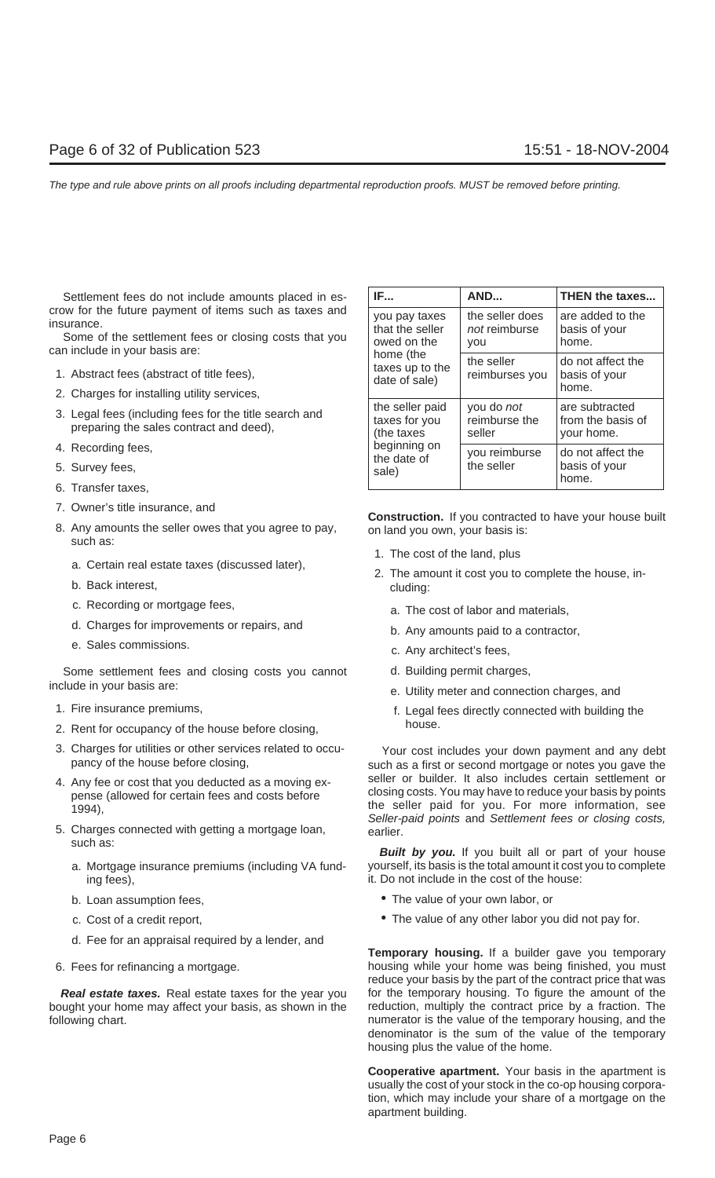- 
- 
- 3. Legal fees (including fees for the title search and preparing the sales contract and deed),
- 
- 
- 6. Transfer taxes,
- 
- 8. Any amounts the seller owes that you agree to pay,  $\overline{\phantom{a}}$  on land you own, your basis is: such as:
	-
	- b. Back interest, cluding:
	-
	- d. Charges for improvements or repairs, and b. Any amounts paid to a contractor,
	- e. Sales commissions. C. Any architect's fees,

Some settlement fees and closing costs you cannot d. Building permit charges, include in your basis are: e. e. Utility meter and connection charges, and

- 
- 2. Rent for occupancy of the house before closing, house.
- 3. Charges for utilities or other services related to occu-<br>
pancy of the house before closing,<br>
pancy of the house before closing,<br>
pancy of the house before closing,
- 
- such as:
	- ing fees), it. Do not include in the cost of the house:
	-
	-
	- d. Fee for an appraisal required by a lender, and
- 

bought your home may affect your basis, as shown in the reduction, multiply the contract price by a fraction. The following chart. The same of the value of the temporary housing, and the results of the temporary housing, and the

| Settlement fees do not include amounts placed in es-                                                                                                            | IF                                              | AND                                            | THEN the taxes                                    |  |
|-----------------------------------------------------------------------------------------------------------------------------------------------------------------|-------------------------------------------------|------------------------------------------------|---------------------------------------------------|--|
| crow for the future payment of items such as taxes and<br>insurance.<br>Some of the settlement fees or closing costs that you<br>can include in your basis are: | you pay taxes<br>that the seller<br>owed on the | the seller does<br>not reimburse<br><b>VOU</b> | are added to the<br>basis of your<br>home.        |  |
| 1. Abstract fees (abstract of title fees),<br>2. Charges for installing utility services,                                                                       | home (the<br>taxes up to the<br>date of sale)   | the seller<br>reimburses you                   | do not affect the<br>basis of your<br>home.       |  |
| 3. Legal fees (including fees for the title search and<br>preparing the sales contract and deed),                                                               | the seller paid<br>taxes for you<br>(the taxes) | you do <i>not</i><br>reimburse the<br>seller   | are subtracted<br>from the basis of<br>your home. |  |
| 4. Recording fees,                                                                                                                                              | beginning on<br>the date of                     | you reimburse                                  | do not affect the                                 |  |
| 5. Survey fees,<br>C Trangfor tayon                                                                                                                             | sale)                                           | the seller                                     | basis of your<br>home.                            |  |

7. Owner's title insurance, and **Construction.** If you contracted to have your house built

- 1. The cost of the land, plus
- a. Certain real estate taxes (discussed later), 2. The amount it cost you to complete the house, in-
- c. Recording or mortgage fees, and materials, a. The cost of labor and materials,
	-
	-
	-
	-
- 1. Fire insurance premiums, the same state of the same of the legal fees directly connected with building the

such as a first or second mortgage or notes you gave the 4. Any fee or cost that you deducted as a moving ex-<br>
pense (allowed for certain fees and costs before<br>
1994),<br>
5. Charges connected with getting a mortgage loan,<br>
5. Charges connected with getting a mortgage loan,<br>
5. Cha

Built by you. If you built all or part of your house a. Mortgage insurance premiums (including VA fund- yourself, its basis is the total amount it cost you to complete

- b. Loan assumption fees,  $\bullet$  The value of your own labor, or
- c. Cost of a credit report,  $\bullet$  The value of any other labor you did not pay for.

**Temporary housing.** If a builder gave you temporary 6. Fees for refinancing a mortgage. housing while your home was being finished, you must reduce your basis by the part of the contract price that was **Real estate taxes.** Real estate taxes for the year you for the temporary housing. To figure the amount of the denominator is the sum of the value of the temporary housing plus the value of the home.

> **Cooperative apartment.** Your basis in the apartment is usually the cost of your stock in the co-op housing corporation, which may include your share of a mortgage on the apartment building.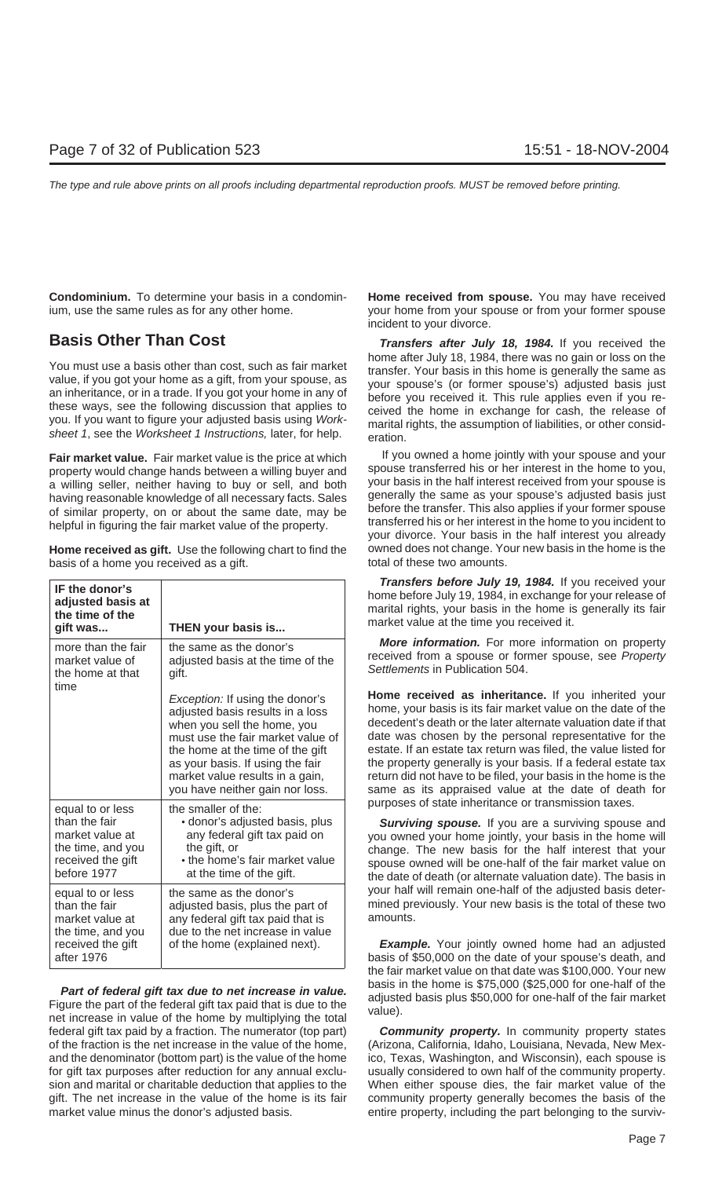basis of a home you received as a gift.

| IF the donor's<br>adjusted basis at<br>the time of the<br>gift was                                                                                                                                                                                                                   | THEN your basis is                                                                                                                                                                                                                                                                           | Transfers before July 19, 1984. If you received your<br>home before July 19, 1984, in exchange for your release of<br>marital rights, your basis in the home is generally its fair<br>market value at the time you received it.                                                                                                                                                                                                                                                                               |
|--------------------------------------------------------------------------------------------------------------------------------------------------------------------------------------------------------------------------------------------------------------------------------------|----------------------------------------------------------------------------------------------------------------------------------------------------------------------------------------------------------------------------------------------------------------------------------------------|---------------------------------------------------------------------------------------------------------------------------------------------------------------------------------------------------------------------------------------------------------------------------------------------------------------------------------------------------------------------------------------------------------------------------------------------------------------------------------------------------------------|
| more than the fair<br>market value of<br>the home at that                                                                                                                                                                                                                            | the same as the donor's<br>adjusted basis at the time of the<br>gift.                                                                                                                                                                                                                        | More information. For more information on property<br>received from a spouse or former spouse, see Property<br>Settlements in Publication 504.                                                                                                                                                                                                                                                                                                                                                                |
| time                                                                                                                                                                                                                                                                                 | <i>Exception:</i> If using the donor's<br>adjusted basis results in a loss<br>when you sell the home, you<br>must use the fair market value of<br>the home at the time of the gift<br>as your basis. If using the fair<br>market value results in a gain,<br>you have neither gain nor loss. | Home received as inheritance. If you inherited your<br>home, your basis is its fair market value on the date of the<br>decedent's death or the later alternate valuation date if that<br>date was chosen by the personal representative for the<br>estate. If an estate tax return was filed, the value listed for<br>the property generally is your basis. If a federal estate tax<br>return did not have to be filed, your basis in the home is the<br>same as its appraised value at the date of death for |
| equal to or less<br>the smaller of the:<br>than the fair<br>· donor's adjusted basis, plus<br>market value at<br>any federal gift tax paid on<br>the time, and you<br>the gift, or<br>received the gift<br>• the home's fair market value<br>before 1977<br>at the time of the gift. |                                                                                                                                                                                                                                                                                              | purposes of state inheritance or transmission taxes.<br>Surviving spouse. If you are a surviving spouse and<br>you owned your home jointly, your basis in the home will<br>change. The new basis for the half interest that your<br>spouse owned will be one-half of the fair market value on<br>the date of death (or alternate valuation date). The basis in                                                                                                                                                |
| equal to or less<br>than the fair<br>market value at<br>the time, and you<br>received the gift                                                                                                                                                                                       | the same as the donor's<br>adjusted basis, plus the part of<br>any federal gift tax paid that is<br>due to the net increase in value<br>of the home (explained next).                                                                                                                        | your half will remain one-half of the adjusted basis deter-<br>mined previously. Your new basis is the total of these two<br>amounts.<br><b>Example.</b> Your jointly owned home had an adjusted                                                                                                                                                                                                                                                                                                              |
| after 1976                                                                                                                                                                                                                                                                           |                                                                                                                                                                                                                                                                                              | basis of \$50,000 on the date of your spouse's death, and<br>the feir merket value on that date wee \$100,000. Your new                                                                                                                                                                                                                                                                                                                                                                                       |

federal gift tax paid by a fraction. The numerator (top part) **Community property.** In community property states of the fraction is the net increase in the value of the home, (Arizona, California, Idaho, Louisiana, Nevada, New Mexand the denominator (bottom part) is the value of the home ico, Texas, Washington, and Wisconsin), each spouse is for gift tax purposes after reduction for any annual exclu- usually considered to own half of the community property. sion and marital or charitable deduction that applies to the When either spouse dies, the fair market value of the gift. The net increase in the value of the home is its fair community property generally becomes the basis of the market value minus the donor's adjusted basis. entire property, including the part belonging to the surviv-

**Condominium.** To determine your basis in a condomin- **Home received from spouse.** You may have received ium, use the same rules as for any other home. your home from your spouse or from your former spouse incident to your divorce.

**Basis Other Than Cost Transfers after July 18, 1984.** If you received the You must use a basis other than cost, such as fair market<br>value, if you got your home as a gift, from your spouse, as<br>an inheritance, or in a trade. If you got your home in any of<br>these ways, see the following discussion t

**Fair market value.** Fair market value is the price at which If you owned a home jointly with your spouse and your spouse and your spouse is the price at which If you owned a home jointly with your spouse and your property property would change hands between a willing buyer and<br>a willing seller, neither having to buy or sell, and both<br>having reasonable knowledge of all necessary facts. Sales<br>of similar property, on or about the same date, ma **Home received as gift.** Use the following chart to find the owned does not change. Your new basis in the home is the basis of a home vou received as a gift.

**Example.** Your jointly owned home had an adjusted basis of \$50,000 on the date of your spouse's death, and the fair market value on that date was \$100,000. Your new **Part of federal gift tax due to net increase in value.** basis in the home is \$75,000 (\$25,000 for one-half of the federal gift tax paid that is due to the adjusted basis plus \$50,000 for one-half of the fair market net in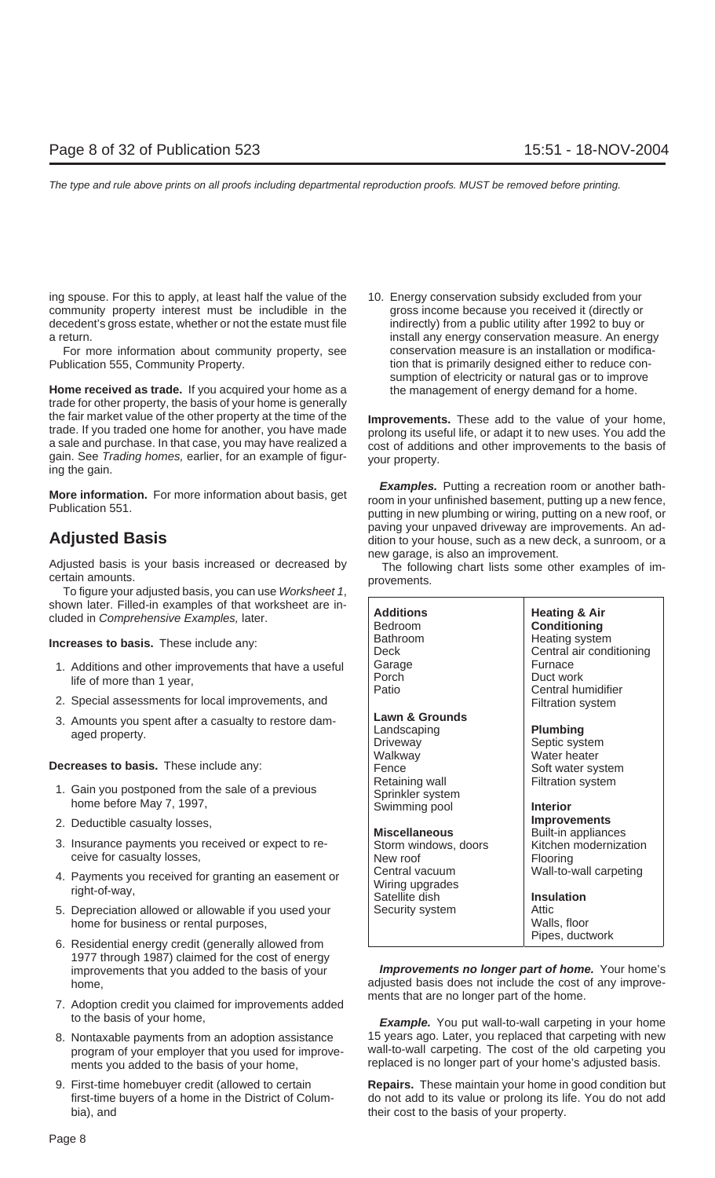ing spouse. For this to apply, at least half the value of the 10. Energy conservation subsidy excluded from your community property interest must be includible in the gross income because you received it (directly or decedent's gross estate, whether or not the estate must file indirectly) from a public utility after 1992 to buy or a return. install any energy conservation measure. An energy

For more information about community property, see conservation measure is an installation or modifica-Publication 555, Community Property. The state of the total tion that is primarily designed either to reduce con-

Home received as trade. If you acquired your home as a the management of energy demand for a home. trade for other property, the basis of your home is generally the fair market value of the other property at the time of the<br>trade. If you traded one home for another, you have made<br>a sale and purchase. In that case, you may have realized a<br>gain. See Trading homes, earlier, for an ex

new garage, is also an improvement.<br>Adjusted basis is your basis increased or decreased by The following chart lists some other examples of im-<br>provements.

To figure your adjusted basis, you can use Worksheet 1, shown later. Filled-in examples of that worksheet are in-<br>cluded in Comprehensive Examples, later.

**Increases to basis.** These include any:

- 1. Additions and other improvements that have a useful
- 2. Special assessments for local improvements, and
- 3. Amounts you spent after a casualty to restore dam- aged property.

Decreases to basis. These include any:

- 1. Gain you postponed from the sale of a previous home before May 7, 1997,
- 
- Improvements 2. Deductible casualty losses, **Miscallaneous** Built-in applicance payments you received or expect to receive for casualty losses,
- 4. Payments you received for granting an easement or right-of-way,
- 5. Depreciation allowed or allowable if you used your home for business or rental purposes,
- 6. Residential energy credit (generally allowed from 1977 through 1987) claimed for the cost of energy
- 7. Adoption credit you claimed for improvements added to the basis of your home, **Example.** You put wall-to-wall carpeting in your home
- 
- bia), and their cost to the basis of your property.

sumption of electricity or natural gas or to improve

**Examples.** Putting a recreation room or another bath-<br> **Nore information.** For more information about basis, get<br>
putting in new plumbing or wiring, putting on a new roof, or<br>
putting in new plumbing or wiring, putting on paving your unpaved driveway are improvements. An ad-**Adjusted Basis** dition to your house, such as a new deck, a sunroom, or a

| wn later. Filled-in examples of that worksheet are in-<br>ed in Comprehensive Examples, later. | <b>Additions</b><br><b>Bedroom</b>                   | <b>Heating &amp; Air</b><br><b>Conditioning</b> |
|------------------------------------------------------------------------------------------------|------------------------------------------------------|-------------------------------------------------|
| eases to basis. These include any:                                                             | <b>Bathroom</b><br>Deck                              | Heating system<br>Central air conditioning      |
| Additions and other improvements that have a useful<br>life of more than 1 year,               | Garage<br>Porch<br>Patio                             | Furnace<br>Duct work<br>Central humidifier      |
| Special assessments for local improvements, and                                                |                                                      | <b>Filtration system</b>                        |
| Amounts you spent after a casualty to restore dam-<br>aged property.                           | <b>Lawn &amp; Grounds</b><br>Landscaping<br>Driveway | <b>Plumbing</b><br>Septic system                |
| reases to basis. These include any:                                                            | Walkway<br>Fence<br>Retaining wall                   | Water heater<br>Soft water system               |
| Gain you postponed from the sale of a previous<br>home before May 7, 1997,                     | Sprinkler system<br>Swimming pool                    | <b>Filtration system</b><br><b>Interior</b>     |
| Deductible casualty losses,                                                                    | <b>Miscellaneous</b>                                 | <b>Improvements</b><br>Built-in appliances      |
| Insurance payments you received or expect to re-<br>ceive for casualty losses,                 | Storm windows, doors<br>New roof                     | Kitchen modernization<br><b>Flooring</b>        |
| Payments you received for granting an easement or<br>right-of-way,                             | Central vacuum<br>Wiring upgrades<br>Satellite dish  | Wall-to-wall carpeting<br><b>Insulation</b>     |
| Depreciation allowed or allowable if you used your<br>home for business or rental purposes,    | Security system                                      | Attic<br>Walls, floor                           |
| Residential energy credit (generally allowed from                                              |                                                      | Pipes, ductwork                                 |

improvements that you added to the basis of your **Improvements no longer part of home.** Your home's home,<br>adjusted basis does not include the cost of any improveadjusted basis does not include the cost of any improve-<br>ments that are no longer part of the home.

8. Nontaxable payments from an adoption assistance 15 years ago. Later, you replaced that carpeting with new program of your employer that you used for improve- wall-to-wall carpeting. The cost of the old carpeting you ments you added to the basis of your home, replaced is no longer part of your home's adjusted basis.

9. First-time homebuyer credit (allowed to certain **Repairs.** These maintain your home in good condition but first-time buyers of a home in the District of Colum- do not add to its value or prolong its life. You do not add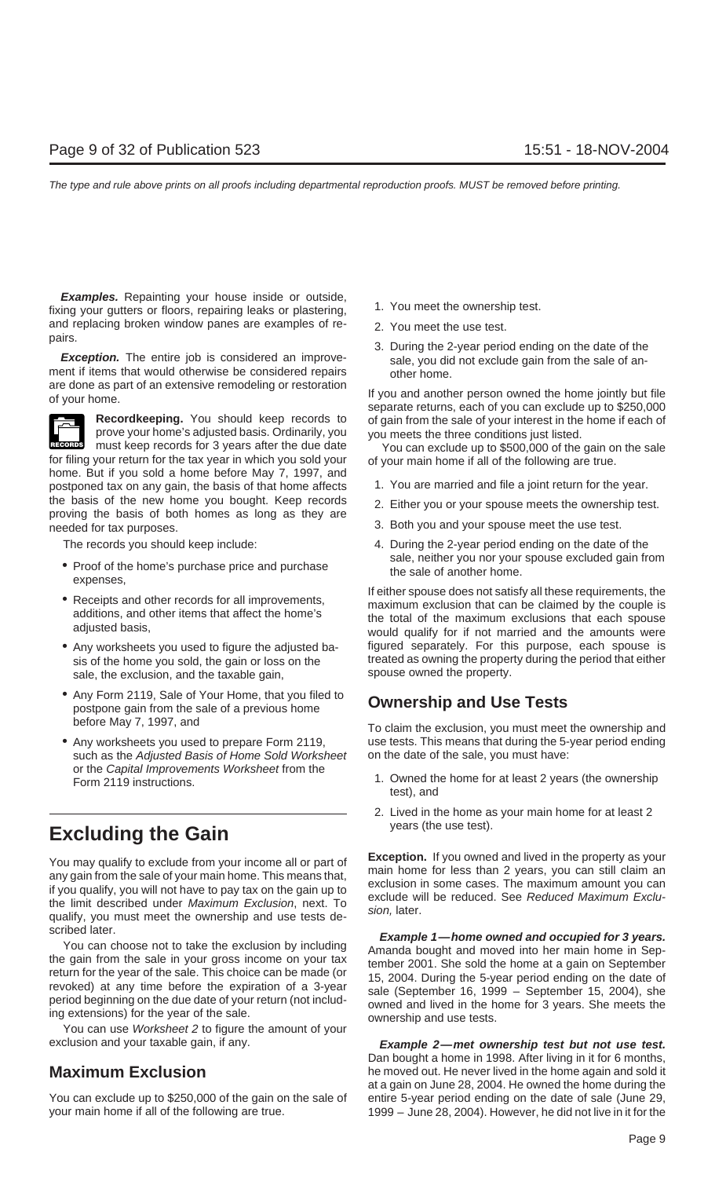**Examples.** Repainting your house inside or outside,<br>fixing your gutters or floors, repairing leaks or plastering, 1. You meet the ownership test. and replacing broken window panes are examples of re-<br>pairs.

ment if items that would otherwise be considered repairs other home.<br>are done as part of an extensive remodeling or restoration



prove your home's adjusted basis. Ordinarily, you you meets the three conditions just listed.<br>must keep records for 3 years after the due date You can exclude up to \$500.000 of the for filing your return for the tax year in which you sold your of your main home if all of the following are true. home. But if you sold a home before May 7, 1997, and postponed tax on any gain, the basis of that home affects 1. You are married and file a joint return for the year. the basis of the new home you bought. Keep records 2. Either you or your spouse meets the ownership test. proving the basis of both homes as long as they are

- expenses,
- 
- sale, the exclusion, and the taxable gain,
- Any Form 2119, Sale of Your Home, that you filed to **Ownership and Use Tests** postpone gain from the sale of a previous home
- such as the Adjusted Basis of Home Sold Worksheet on the date of the sale, you must have: or the Capital Improvements Worksheet from the

## **Excluding the Gain** strategy of the use test).

You may qualify to exclude from your income all or part of<br>any gain from the sale of your main home. This means that,<br>if you qualify, you will not have to pay tax on the gain up to<br>the limit described under *Maximum Exclus* 

exclusion and your taxable gain, if any. **Example 2—met ownership test but not use test.** 

You can exclude up to \$250,000 of the gain on the sale of entire 5-year period ending on the date of sale (June 29, your main home if all of the following are true. 1999 – June 28, 2004). However, he did not live in it for the

- 
- 
- pairs. 3. During the 2-year period ending on the date of the **Exception.** The entire job is considered an improve- sale, you did not exclude gain from the sale of an-

are done as part of an extensive remodeling or restoration<br>of you and another person owned the home jointly but file<br>Record Record Record Record S 10 and another person owned the home jointly but file<br>Record Record Record of gain from the sale of your interest in the home if each of

You can exclude up to \$500,000 of the gain on the sale

- 
- 
- needed for tax purposes.  $\frac{3.6}{2}$  3. Both you and your spouse meet the use test.
	- The records you should keep include: 4. During the 2-year period ending on the date of the • Proof of the home's purchase price and purchase sale, neither you nor your spouse excluded gain from the sale of another home.

• Receipts and other records for all improvements,<br>additions, and other items that affect the home's<br>adjusted basis,<br>adjusted basis,<br>adjusted basis,<br>adjusted basis,<br>adjusted basis,<br>adjusted basis,<br>adjusted basis,<br>all in th • Any worksheets you used to figure the adjusted ba- figured separately. For this purpose, each spouse is sis of the home you sold, the gain or loss on the treated as owning the property during the period that either<br>sale the exclusion and the taxable gain

before May 7, 1997, and **To claim the exclusion, you must meet the ownership and** • Any worksheets you used to prepare Form 2119, use tests. This means that during the 5-year period ending

- Form 2119 instructions. test), and
	- 2. Lived in the home as your main home for at least 2

Scribed later.<br>
You can choose not to take the exclusion by including<br>
the gain from the sale in your gross income on your tax<br>
tember 2001. She sold the home at a gain on September<br>
return for the year of the sale. This c

Dan bought a home in 1998. After living in it for 6 months, **Maximum Exclusion Maximum Exclusion he moved out. He never lived in the home again and sold it** at a gain on June 28, 2004. He owned the home during the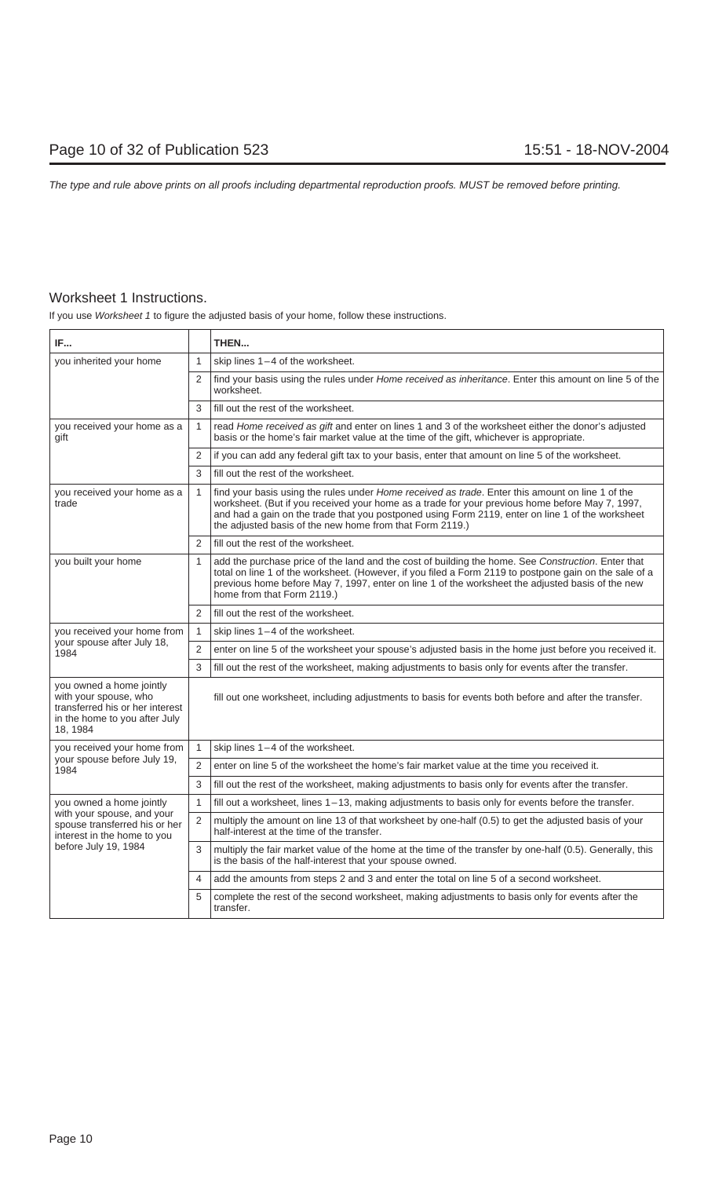## Worksheet 1 Instructions.

If you use Worksheet 1 to figure the adjusted basis of your home, follow these instructions.

| IF                                                                                                                                |                | THEN                                                                                                                                                                                                                                                                                                                                                                |
|-----------------------------------------------------------------------------------------------------------------------------------|----------------|---------------------------------------------------------------------------------------------------------------------------------------------------------------------------------------------------------------------------------------------------------------------------------------------------------------------------------------------------------------------|
| you inherited your home                                                                                                           | $\mathbf{1}$   | skip lines 1-4 of the worksheet.                                                                                                                                                                                                                                                                                                                                    |
|                                                                                                                                   | 2              | find your basis using the rules under Home received as inheritance. Enter this amount on line 5 of the<br>worksheet.                                                                                                                                                                                                                                                |
|                                                                                                                                   | 3              | fill out the rest of the worksheet.                                                                                                                                                                                                                                                                                                                                 |
| you received your home as a<br>gift                                                                                               | $\mathbf{1}$   | read Home received as gift and enter on lines 1 and 3 of the worksheet either the donor's adjusted<br>basis or the home's fair market value at the time of the gift, whichever is appropriate.                                                                                                                                                                      |
|                                                                                                                                   | 2              | if you can add any federal gift tax to your basis, enter that amount on line 5 of the worksheet.                                                                                                                                                                                                                                                                    |
|                                                                                                                                   | 3              | fill out the rest of the worksheet.                                                                                                                                                                                                                                                                                                                                 |
| you received your home as a<br>trade                                                                                              | $\mathbf{1}$   | find your basis using the rules under Home received as trade. Enter this amount on line 1 of the<br>worksheet. (But if you received your home as a trade for your previous home before May 7, 1997,<br>and had a gain on the trade that you postponed using Form 2119, enter on line 1 of the worksheet<br>the adjusted basis of the new home from that Form 2119.) |
|                                                                                                                                   | 2              | fill out the rest of the worksheet.                                                                                                                                                                                                                                                                                                                                 |
| you built your home                                                                                                               |                | add the purchase price of the land and the cost of building the home. See Construction. Enter that<br>total on line 1 of the worksheet. (However, if you filed a Form 2119 to postpone gain on the sale of a<br>previous home before May 7, 1997, enter on line 1 of the worksheet the adjusted basis of the new<br>home from that Form 2119.)                      |
|                                                                                                                                   | 2              | fill out the rest of the worksheet.                                                                                                                                                                                                                                                                                                                                 |
| you received your home from<br>$\mathbf{1}$                                                                                       |                | skip lines 1-4 of the worksheet.                                                                                                                                                                                                                                                                                                                                    |
| your spouse after July 18,<br>1984                                                                                                | 2              | enter on line 5 of the worksheet your spouse's adjusted basis in the home just before you received it.                                                                                                                                                                                                                                                              |
|                                                                                                                                   |                | fill out the rest of the worksheet, making adjustments to basis only for events after the transfer.                                                                                                                                                                                                                                                                 |
| you owned a home jointly<br>with your spouse, who<br>transferred his or her interest<br>in the home to you after July<br>18, 1984 |                | fill out one worksheet, including adjustments to basis for events both before and after the transfer.                                                                                                                                                                                                                                                               |
| you received your home from                                                                                                       | $\mathbf{1}$   | skip lines 1-4 of the worksheet.                                                                                                                                                                                                                                                                                                                                    |
| your spouse before July 19,<br>1984                                                                                               |                | enter on line 5 of the worksheet the home's fair market value at the time you received it.                                                                                                                                                                                                                                                                          |
|                                                                                                                                   |                | fill out the rest of the worksheet, making adjustments to basis only for events after the transfer.                                                                                                                                                                                                                                                                 |
| you owned a home jointly                                                                                                          |                | fill out a worksheet, lines 1-13, making adjustments to basis only for events before the transfer.                                                                                                                                                                                                                                                                  |
| with your spouse, and your<br>spouse transferred his or her<br>interest in the home to you                                        | $\overline{2}$ | multiply the amount on line 13 of that worksheet by one-half (0.5) to get the adjusted basis of your<br>half-interest at the time of the transfer.                                                                                                                                                                                                                  |
| before July 19, 1984                                                                                                              |                | multiply the fair market value of the home at the time of the transfer by one-half (0.5). Generally, this<br>is the basis of the half-interest that your spouse owned.                                                                                                                                                                                              |
| 4                                                                                                                                 |                | add the amounts from steps 2 and 3 and enter the total on line 5 of a second worksheet.                                                                                                                                                                                                                                                                             |
|                                                                                                                                   | 5              | complete the rest of the second worksheet, making adjustments to basis only for events after the<br>transfer.                                                                                                                                                                                                                                                       |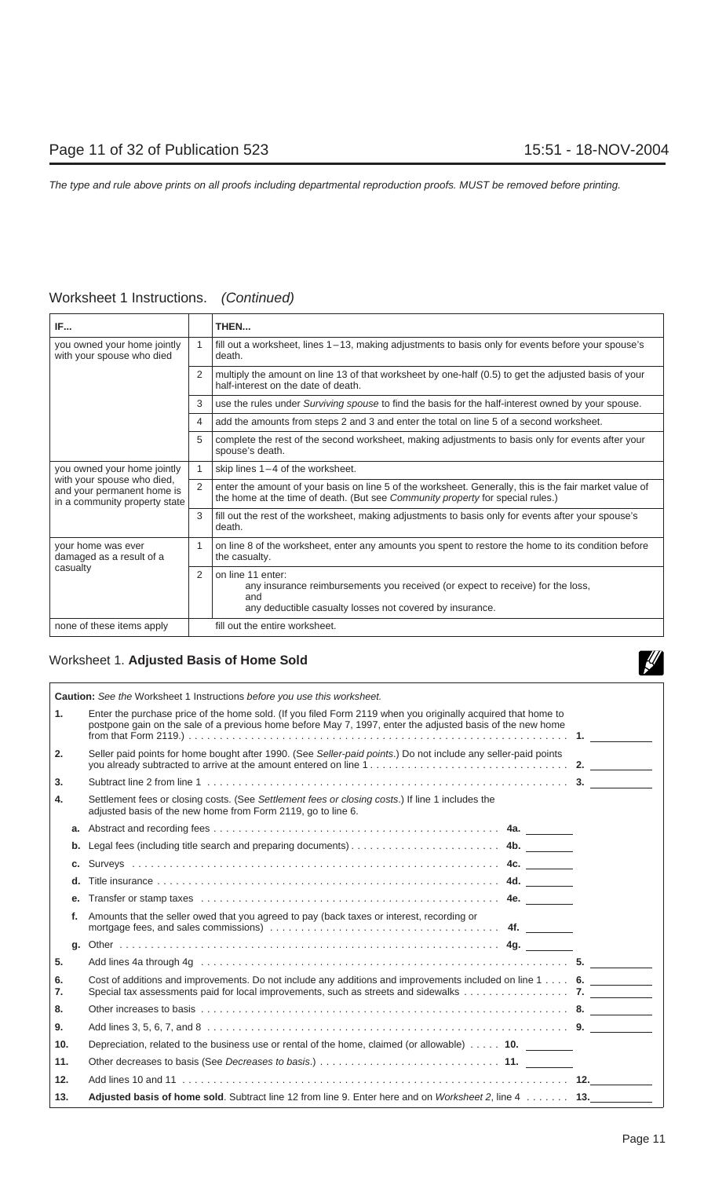## Worksheet 1 Instructions. (Continued)

| IF                                                                                                                       |              | THEN                                                                                                                                                                                     |
|--------------------------------------------------------------------------------------------------------------------------|--------------|------------------------------------------------------------------------------------------------------------------------------------------------------------------------------------------|
| you owned your home jointly<br>with your spouse who died                                                                 | $\mathbf{1}$ | fill out a worksheet, lines 1-13, making adjustments to basis only for events before your spouse's<br>death.                                                                             |
|                                                                                                                          | 2            | multiply the amount on line 13 of that worksheet by one-half (0.5) to get the adjusted basis of your<br>half-interest on the date of death.                                              |
|                                                                                                                          | 3            | use the rules under Surviving spouse to find the basis for the half-interest owned by your spouse.                                                                                       |
|                                                                                                                          | 4            | add the amounts from steps 2 and 3 and enter the total on line 5 of a second worksheet.                                                                                                  |
|                                                                                                                          | 5            | complete the rest of the second worksheet, making adjustments to basis only for events after your<br>spouse's death.                                                                     |
| you owned your home jointly<br>with your spouse who died,<br>and your permanent home is<br>in a community property state |              | skip lines 1-4 of the worksheet.                                                                                                                                                         |
|                                                                                                                          |              | enter the amount of your basis on line 5 of the worksheet. Generally, this is the fair market value of<br>the home at the time of death. (But see Community property for special rules.) |
|                                                                                                                          | 3            | fill out the rest of the worksheet, making adjustments to basis only for events after your spouse's<br>death.                                                                            |
| your home was ever<br>damaged as a result of a                                                                           |              | on line 8 of the worksheet, enter any amounts you spent to restore the home to its condition before<br>the casualty.                                                                     |
| casualty                                                                                                                 | 2            | on line 11 enter:<br>any insurance reimbursements you received (or expect to receive) for the loss,<br>and<br>any deductible casualty losses not covered by insurance.                   |
| none of these items apply                                                                                                |              | fill out the entire worksheet.                                                                                                                                                           |

## Worksheet 1. **Adjusted Basis of Home Sold**

|                | <b>Caution:</b> See the Worksheet 1 Instructions before you use this worksheet.                                                                                                                                           |  |
|----------------|---------------------------------------------------------------------------------------------------------------------------------------------------------------------------------------------------------------------------|--|
| $\mathbf{1}$ . | Enter the purchase price of the home sold. (If you filed Form 2119 when you originally acquired that home to<br>postpone gain on the sale of a previous home before May 7, 1997, enter the adjusted basis of the new home |  |
| 2.             | Seller paid points for home bought after 1990. (See Seller-paid points.) Do not include any seller-paid points                                                                                                            |  |
| 3.             |                                                                                                                                                                                                                           |  |
| 4.             | Settlement fees or closing costs. (See Settlement fees or closing costs.) If line 1 includes the<br>adjusted basis of the new home from Form 2119, go to line 6.                                                          |  |
| а.             |                                                                                                                                                                                                                           |  |
| b.             |                                                                                                                                                                                                                           |  |
| с.             |                                                                                                                                                                                                                           |  |
| d.             |                                                                                                                                                                                                                           |  |
| e.             |                                                                                                                                                                                                                           |  |
| f.             | Amounts that the seller owed that you agreed to pay (back taxes or interest, recording or                                                                                                                                 |  |
| g.             |                                                                                                                                                                                                                           |  |
| 5.             |                                                                                                                                                                                                                           |  |
| 6.<br>7.       | Cost of additions and improvements. Do not include any additions and improvements included on line 1 6.                                                                                                                   |  |
| 8.             |                                                                                                                                                                                                                           |  |
| 9.             |                                                                                                                                                                                                                           |  |
| 10.            | Depreciation, related to the business use or rental of the home, claimed (or allowable) 10.                                                                                                                               |  |
| 11.            |                                                                                                                                                                                                                           |  |
| 12.            |                                                                                                                                                                                                                           |  |
| 13.            | Adjusted basis of home sold. Subtract line 12 from line 9. Enter here and on Worksheet 2, line 4 13.                                                                                                                      |  |

Page 11

 $\mathscr{U}$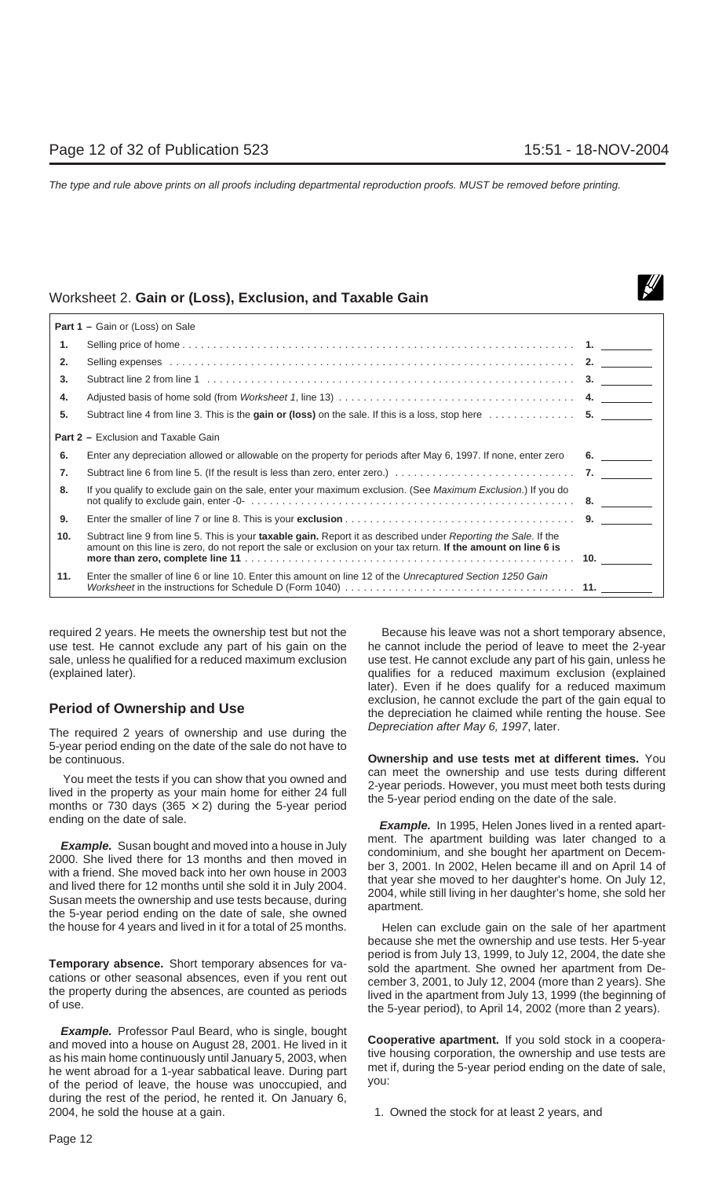## Worksheet 2. **Gain or (Loss), Exclusion, and Taxable Gain**



The required 2 years of ownership and use during the Depreciation after May 6, 1997, later. 5-year period ending on the date of the sale do not have to

You meet the tests if you can show that you owned and<br>lived in the property as your main home for either 24 full<br>months or 730 days ( $365 \times 2$ ) during the 5-year period<br>free 5-year period ending on the date of the sale. ending on the date of sale.<br>**Example.** In 1995, Helen Jones lived in a rented apart-

**Example.** Susan bought and moved into a house in July<br>2000. She lived there for 13 months and then moved in<br>with a friend. She moved back into her own house in 2003<br>and lived there for 12 months until she sold it in July the house for 4 years and lived in it for a total of 25 months. Helen can exclude gain on the sale of her apartment

**Example.** Professor Paul Beard, who is single, bought<br>and moved into a house on August 28, 2001. He lived in it<br>as his main home continuously until January 5, 2003, when<br>he went abroad for a 1-year sabbatical leave. Durin of the period of leave, the house was unoccupied, and during the rest of the period, he rented it. On January 6, 2004, he sold the house at a gain. 1. Owned the stock for at least 2 years, and

required 2 years. He meets the ownership test but not the Because his leave was not a short temporary absence, use test. He cannot exclude any part of his gain on the he cannot include the period of leave to meet the 2-year sale, unless he qualified for a reduced maximum exclusion use test. He cannot exclude any part of his gain, unless he (explained later). qualifies for a reduced maximum exclusion (explained later). Even if he does qualify for a reduced maximum **Period of Ownership and Use** exclusion, he cannot exclude the part of the gain equal to the depreciation he claimed while renting the house. See

**Ownership and use tests met at different times.** You can meet the ownership and use tests during different

because she met the ownership and use tests. Her 5-year period is from July 13, 1999, to July 12, 2004, the date she **Temporary absence.** Short temporary absences for various or other seasonal absences, even if you rent out<br>the property during the absences, are counted as periods<br>of use.<br>the property during the absences, are counted as p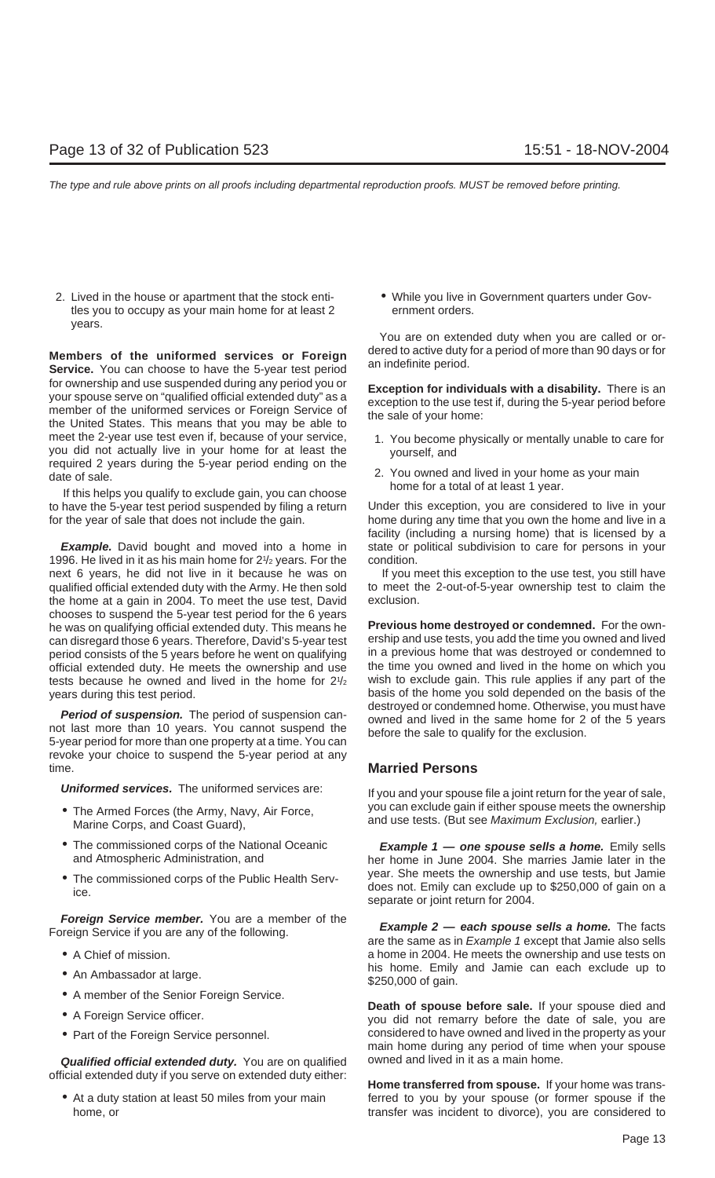2. Lived in the house or apartment that the stock enti-<br>
• While you live in Government quarters under Govtles you to occupy as your main home for at least 2 ernment orders. years.

for ownership and use suspended during any period you or<br>your spouse serve on "qualified official extended duty" as a<br>member of the uniformed services or Foreign Service of<br>the sale of your home:<br>the United States. This me meet the 2-year use test even if, because of your service,  $1.$  You become physically or mentally unable to care for you did not actually live in your home for at least the yourself, and required 2 years during the 5-year period ending on the date of sale.<br>
2. You owned and lived in your home as your main<br>
home for a total of at least 1 year.

If this helps you qualify to exclude gain, you can choose

1996. He lived in it as his main home for  $2\frac{1}{2}$  years. For the condition. next 6 years, he did not live in it because he was on If you meet this exception to the use test, you still have qualified official extended duty with the Army. He then sold to meet the 2-out-of-5-year ownership test to claim the the home at a gain in 2004. To meet the use test, David exclusion. chooses to suspend the 5-year test period for the 6 years he was on qualifying official extended duty. This means he **Previous home destroyed or condemned.** For the owncan disregard those 6 years. Therefore, David's 5-year test ership and use tests, you add the time you owned and lived<br>period consists of the 5 years before he went on qualifying in a previous home that was destroyed or co period consists of the 5 years before he went on qualifying in a previous home that was destroyed or condemned to<br>official extended duty. He meets the ownership and use the time you owned and lived in the home on which you official extended duty. He meets the ownership and use tests because he owned and lived in the home for  $2\frac{1}{2}$ 

**Period of suspension.** The period of suspension can-<br>not last more than 10 years. You cannot suspend the<br>5-year period for more than one property at a time. You can revoke your choice to suspend the 5-year period at any time. **Married Persons**

**Uniformed services.** The uniformed services are:<br>If you and your spouse file a joint return for the year of sale,

- 
- 
- 

- 
- 
- 
- 
- 

**Qualified official extended duty.** You are on qualified owned and lived in it as a main home. official extended duty if you serve on extended duty either: **Home transferred from spouse.** If your home was trans-

You are on extended duty when you are called or or-**Members of the uniformed services or Foreign** dered to active duty for a period of more than 90 days or for **Service.** You can choose to have the 5-year test period an indefinite period.

- 
- 

to have the 5-year test period suspended by filing a return Under this exception, you are considered to live in your for the year of sale that does not include the gain. home during any time that you own the home and live in a facility (including a nursing home) that is licensed by a **Example.** David bought and moved into a home in state or political subdivision to care for persons in your

wish to exclude gain. This rule applies if any part of the years during this test period.<br>basis of the home you sold depended on the basis of the<br>destroyed or condemned home. Otherwise, you must have

• The Armed Forces (the Army, Navy, Air Force, you can exclude gain if either spouse meets the ownership<br>Marine Corps, and Coast Guard), and use tests. (But see Maximum Exclusion, earlier.)

• The commissioned corps of the National Oceanic **Example 1 — one spouse sells a home.** Emily sells and Atmospheric Administration, and **Example 1 — one spouse sells a home**. Emily sells her home in June 2004. She marries Jamie later in the • The commissioned corps of the Public Health Serv-<br>ice. does not. Emily can exclude up to \$250,000 of gain on a<br>separate or joint return for 2004.

**Foreign Service member.** You are a member of the **Example 2 — each spouse sells a home.** The facts Foreign Service if you are any of the following. **are the same as in Example 1 except that Jamie also sells** • A Chief of mission. a home in 2004. He meets the ownership and use tests on • An Ambassador at large. <br>
\$250,000 of gain.

• A member of the Senior Foreign Service.<br>• A Foreign Service officer. **Death of spouse before sale.** If your spouse died and vou did not remarry before the date of sale, you are • Part of the Foreign Service personnel. considered to have owned and lived in the property as your main home during any period of time when your spouse

• At a duty station at least 50 miles from your main ferred to you by your spouse (or former spouse if the home, or transfer was incident to divorce), you are considered to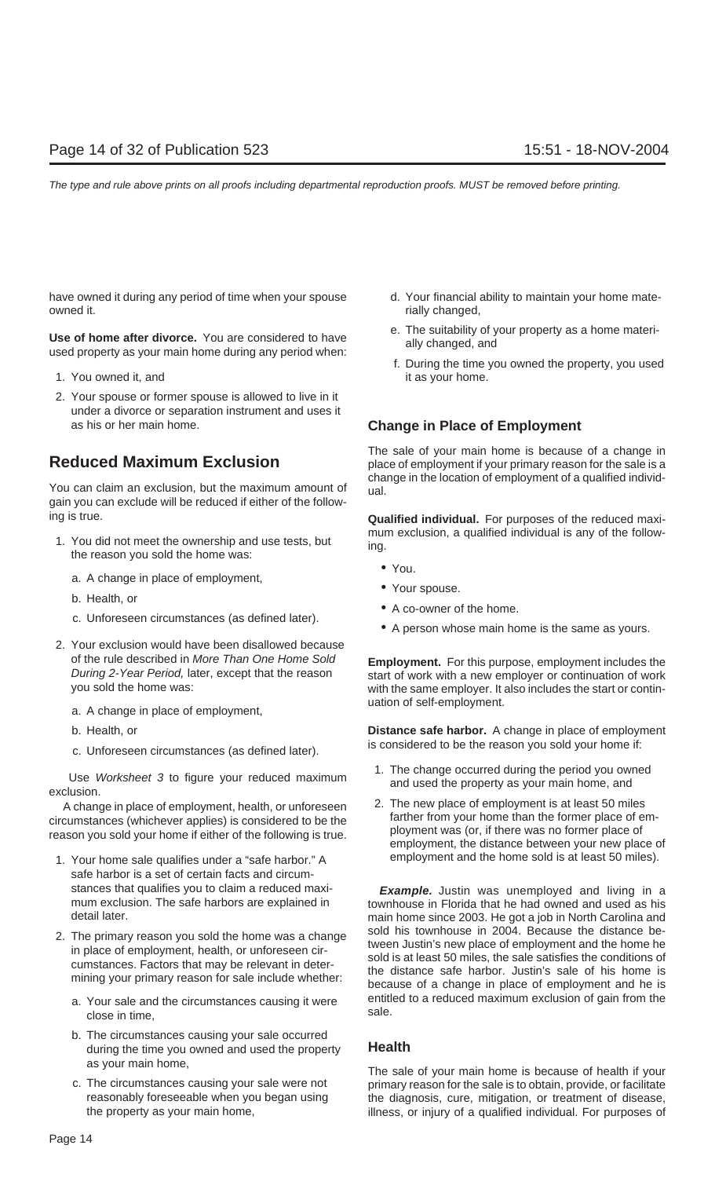have owned it during any period of time when your spouse d. Your financial ability to maintain your home mateowned it. The contract of the contract of the contract of the contract of the contract of the contract of the contract of the contract of the contract of the contract of the contract of the contract of the contract of the

Use of home after divorce. You are considered to have e. The suitability of your property as a home materi-<br>used property as your main home during any period when:<br>

- 1. You owned it, and it as your home.
- 2. Your spouse or former spouse is allowed to live in it under a divorce or separation instrument and uses it as his or her main home. **Change in Place of Employment**

gain you can exclude will be reduced if either of the following is true. **Qualified individual.** For purposes of the reduced maxi-

- -
	-
	- a. A change in place of employment,<br>
	b. Health, or<br>
	c. Unforeseen circumstances (as defined later).<br> **•** A co-owner of the home.
- 2. Your exclusion would have been disallowed because
	- uation of self-employment. a. A change in place of employment,
	-
	-

Use Worksheet 3 to figure your reduced maximum<br>exclusion.<br>A change in place of employment health or unforeseen 2. The new place of employment is at least 50 miles

A change in place of employment, health, or unforeseen 2. The new place of employment is at least 50 miles<br>Cumstances (whichever applies) is considered to be the farther from your home than the former place of em-

- safe harbor is a set of certain facts and circum-
- -
	- b. The circumstances causing your sale occurred during the time you owned and used the property **Health**
	-
- 
- 
- f. During the time you owned the property, you used

The sale of your main home is because of a change in **Reduced Maximum Exclusion** place of employment if your primary reason for the sale is a change in the location of employment of a qualified individ-<br>You can claim an exclusion, but the maximum amount of ual.

1. You did not meet the ownership and use tests, but mum exclusion, a qualified individual is any of the follow-<br>the reason you sold the home was:

- You.
- 
- 
- A person whose main home is the same as yours.

of the rule described in More Than One Home Sold **Employment.** For this purpose, employment includes the During 2-Year Period, later, except that the reason start of work with a new employer or continuation of work<br>you sold the home was: with the same employer. It also includes the start or continwith the same employer. It also includes the start or contin-

b. Health, or **Distance safe harbor.** A change in place of employment is considered to be the reason you sold your home if: c. Unforeseen circumstances (as defined later).

- 
- circumstances (whichever applies) is considered to be the<br>reason you sold your home if either of the following is true.<br>mployment was (or, if there was no former place of<br>employment, the distance between your new place of 1. Your home sale qualifies under a "safe harbor." A employment and the home sold is at least 50 miles).

stances that qualifies you to claim a reduced maxi-<br>mum exclusion. The safe harbors are explained in townhouse in Florida that he had owned and used as his mum exclusion. The safe harbors are explained in townhouse in Florida that he had owned and used as his<br>detail later. nain home since 2003. He got a job in North Carolina and main home since 2003. He got a job in North Carolina and 2. The primary reason you sold the home was a change<br>in place of employment, health, or unforeseen cir-<br>cumstances. Factors that may be relevant in deter-<br>mining your primary reason for sale include whether:<br>he distance sa a. Your sale and the circumstances causing it were entitled to a reduced maximum exclusion of gain from the sale.

as your main home,<br>c. The sale of your main home is because of health if your<br>c. The circumstances causing your sale were not<br>primary reason for the sale is to obtain, provide, or facilitate The circumstances causing your sale were not primary reason for the sale is to obtain, provide, or facilitate reasonably foreseeable when you began using the diagnosis, cure, mitigation, or treatment of disease. the diagnosis, cure, mitigation, or treatment of disease, the property as your main home, illness, or injury of a qualified individual. For purposes of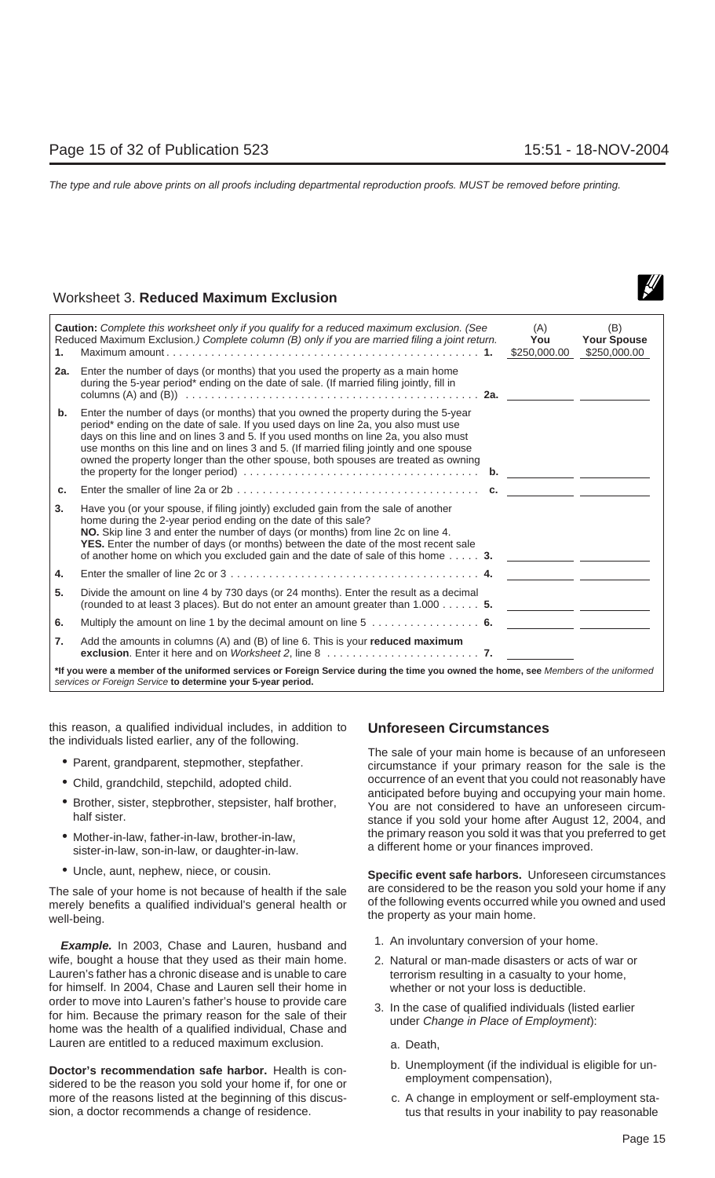## Worksheet 3. **Reduced Maximum Exclusion**

| 1.  | <b>Caution:</b> Complete this worksheet only if you qualify for a reduced maximum exclusion. (See<br>Reduced Maximum Exclusion.) Complete column (B) only if you are married filing a joint return.                                                                                                                                                                                                                                                |  | (A)<br>You<br>\$250,000,00 | (B)<br><b>Your Spouse</b><br>\$250,000.00 |  |  |
|-----|----------------------------------------------------------------------------------------------------------------------------------------------------------------------------------------------------------------------------------------------------------------------------------------------------------------------------------------------------------------------------------------------------------------------------------------------------|--|----------------------------|-------------------------------------------|--|--|
| 2a. | Enter the number of days (or months) that you used the property as a main home<br>during the 5-year period* ending on the date of sale. (If married filing jointly, fill in                                                                                                                                                                                                                                                                        |  |                            |                                           |  |  |
| b.  | Enter the number of days (or months) that you owned the property during the 5-year<br>period* ending on the date of sale. If you used days on line 2a, you also must use<br>days on this line and on lines 3 and 5. If you used months on line 2a, you also must<br>use months on this line and on lines 3 and 5. (If married filing jointly and one spouse<br>owned the property longer than the other spouse, both spouses are treated as owning |  |                            |                                           |  |  |
| c.  |                                                                                                                                                                                                                                                                                                                                                                                                                                                    |  |                            |                                           |  |  |
| 3.  | Have you (or your spouse, if filing jointly) excluded gain from the sale of another<br>home during the 2-year period ending on the date of this sale?<br>NO. Skip line 3 and enter the number of days (or months) from line 2c on line 4.<br>YES. Enter the number of days (or months) between the date of the most recent sale<br>of another home on which you excluded gain and the date of sale of this home $\dots$ . 3.                       |  |                            |                                           |  |  |
| 4.  |                                                                                                                                                                                                                                                                                                                                                                                                                                                    |  |                            |                                           |  |  |
| 5.  | Divide the amount on line 4 by 730 days (or 24 months). Enter the result as a decimal<br>(rounded to at least 3 places). But do not enter an amount greater than $1.000$                                                                                                                                                                                                                                                                           |  |                            |                                           |  |  |
| 6.  |                                                                                                                                                                                                                                                                                                                                                                                                                                                    |  |                            |                                           |  |  |
| 7.  | Add the amounts in columns (A) and (B) of line 6. This is your reduced maximum                                                                                                                                                                                                                                                                                                                                                                     |  |                            |                                           |  |  |
|     | *If you were a member of the uniformed services or Foreign Service during the time you owned the home, see Members of the uniformed<br>services or Foreign Service to determine your 5-year period.                                                                                                                                                                                                                                                |  |                            |                                           |  |  |

this reason, a qualified individual includes, in addition to **Unforeseen Circumstances** the individuals listed earlier, any of the following.

- 
- 
- 
- 
- 

merely benefits a qualified individual's general health or of the following events occurred while you owned and used well-being. The property as your main home.

**Example.** In 2003, Chase and Lauren, husband and 1. An involuntary conversion of your home. wife, bought a house that they used as their main home. 2. Natural or man-made disasters or acts of war or Lauren's father has a chronic disease and is unable to care terrorism resulting in a casualty to your home, for himself. In 2004, Chase and Lauren sell their home in whether or not your loss is deductible. order to move into Lauren's father's house to provide care<br>for him. Because the primary reason for the sale of their<br>home was the health of a qualified individual, Chase and<br>home was the health of a qualified individual, C Lauren are entitled to a reduced maximum exclusion. a. Death,

**Doctor's recommendation safe harbor.** Health is con-<br>sidered to be the reason you sold your home if, for one or employment compensation), more of the reasons listed at the beginning of this discus-<br>
c. A change in employment or self-employment stasion, a doctor recommends a change of residence. The state of tus that results in your inability to pay reasonable

• Parent, grandparent, stepmother, stepfather. The sale of your main home is because of an unforeseen circumstance if your primary reason for the sale is the • Child, grandchild, stepchild, adopted child. bocurrence of an event that you could not reasonably have<br>
• Brother, sister, stepbrother, stepsister, half brother, and brother are not considered to have an unforeseen circu stance if you sold your home after August 12, 2004, and • Mother-in-law, father-in-law, brother-in-law,  $\qquad$  the primary reason you sold it was that you preferred to get sister-in-law, son-in-law, or daughter-in-law.

• Uncle, aunt, nephew, niece, or cousin. **Specific event safe harbors.** Unforeseen circumstances The sale of your home is not because of health if the sale are considered to be the reason you sold your home if any

- 
- 
- -
	-
	-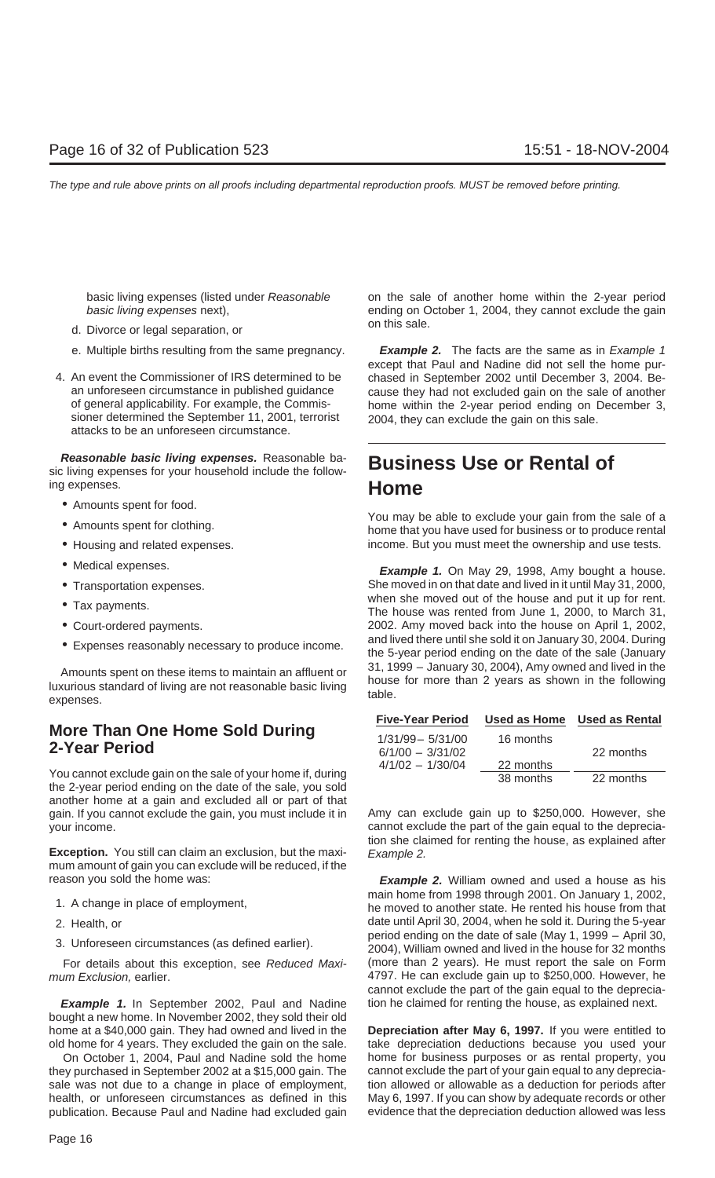- on this sale. d. Divorce or legal separation, or
- 
- sioner determined the September 11, 2001, terrorist 2004, they can exclude the gain on this sale. attacks to be an unforeseen circumstance.

Reasonable basic living expenses. Reasonable ba-<br>sic living expenses for your household include the follow-<br>**Business Use or Rental of** 

- 
- 
- 
- 
- 
- 
- 
- 

## **More Than One Home Sold During 2-Year Period**

You cannot exclude gain on the sale of your home if, during the 2-year period ending on the date of the sale, you sold another home at a gain and excluded all or part of that gain. If you cannot exclude the gain, you must include it in Amy can exclude gain up to \$250,000. However, she your income. cannot exclude the part of the gain equal to the deprecia-

**Exception.** You still can claim an exclusion, but the maxi- Example 2. mum amount of gain you can exclude will be reduced, if the reason you sold the home was: **Example 2.** William owned and used a house as his

- 
- 
- 

mum Exclusion, earlier. **A constructed and the Canacal ACT** 4797. He can exclude gain up to \$250,000. However, he

**Example 1.** In September 2002, Paul and Nadine tion he claimed for renting the house, as explained next. bought a new home. In November 2002, they sold their old home at a \$40,000 gain. They had owned and lived in the **Depreciation after May 6, 1997.** If you were entitled to old home for 4 years. They excluded the gain on the sale. take depreciation deductions because you used your old home for 4 years. They excluded the gain on the sale.

they purchased in September 2002 at a \$15,000 gain. The sale was not due to a change in place of employment, tion allowed or allowable as a deduction for periods after health, or unforeseen circumstances as defined in this May 6, 1997. If you can show by adequate records or other publication. Because Paul and Nadine had excluded gain evidence that the depreciation deduction allowed was less

Page 16

basic living expenses (listed under Reasonable on the sale of another home within the 2-year period basic living expenses next), ending on October 1, 2004, they cannot exclude the gain

e. Multiple births resulting from the same pregnancy. **Example 2.** The facts are the same as in Example 1 except that Paul and Nadine did not sell the home pur-4. An event the Commissioner of IRS determined to be chased in September 2002 until December 3, 2004. Bean unforeseen circumstance in published guidance cause they had not excluded gain on the sale of another<br>of general applicability. For example, the Commis-<br>home within the 2-year period ending on December 3, home within the 2-year period ending on December 3,

# ing expenses.<br> **Fome**<br> **Fou** may be able to exclude your gain from the sale of a

• Amounts spent for clothing.<br>
home that you have used for business or to produce rental • Housing and related expenses. income. But you must meet the ownership and use tests.

• Medical expenses. **Example 1.** On May 29, 1998, Amy bought a house. • Transportation expenses. She moved in on that date and lived in it until May 31, 2000,<br>when she moved out of the house and put it up for rent. • Tax payments.<br>• The house was rented from June 1, 2000, to March 31, • Court-ordered payments. 2002. Amy moved back into the house on April 1, 2002, • Expenses reasonably necessary to produce income. The 5-year period ending on the date of the sale (January Amounts spent on these items to maintain an affluent or<br>luxurious standard of living are not reasonable basic living<br>expenses.<br>expenses.

| <b>Five-Year Period</b> |           | Used as Home Used as Rental |
|-------------------------|-----------|-----------------------------|
| $1/31/99 - 5/31/00$     | 16 months |                             |
| $6/1/00 - 3/31/02$      |           | 22 months                   |
| $4/1/02 - 1/30/04$      | 22 months |                             |
|                         | 38 months | 22 months                   |

tion she claimed for renting the house, as explained after

main home from 1998 through 2001. On January 1, 2002,<br>he moved to another state. He rented his house from that 2. Health, or date until April 30, 2004, when he sold it. During the 5-year<br>
period ending on the date of sale (May 1, 1999 – April 30, period ending on the date of sale (May 1, 1999 – April 30, 3. Unforeseen circumstances (as defined earlier). 2004), William owned and lived in the house for 32 months For details about this exception, see Reduced Maxi- (more than 2 years). He must report the sale on Form cannot exclude the part of the gain equal to the deprecia-

On October 1, 2004, Paul and Nadine sold the home home for business purposes or as rental property, you<br>by purchased in September 2002 at a \$15,000 gain. The cannot exclude the part of your gain equal to any deprecia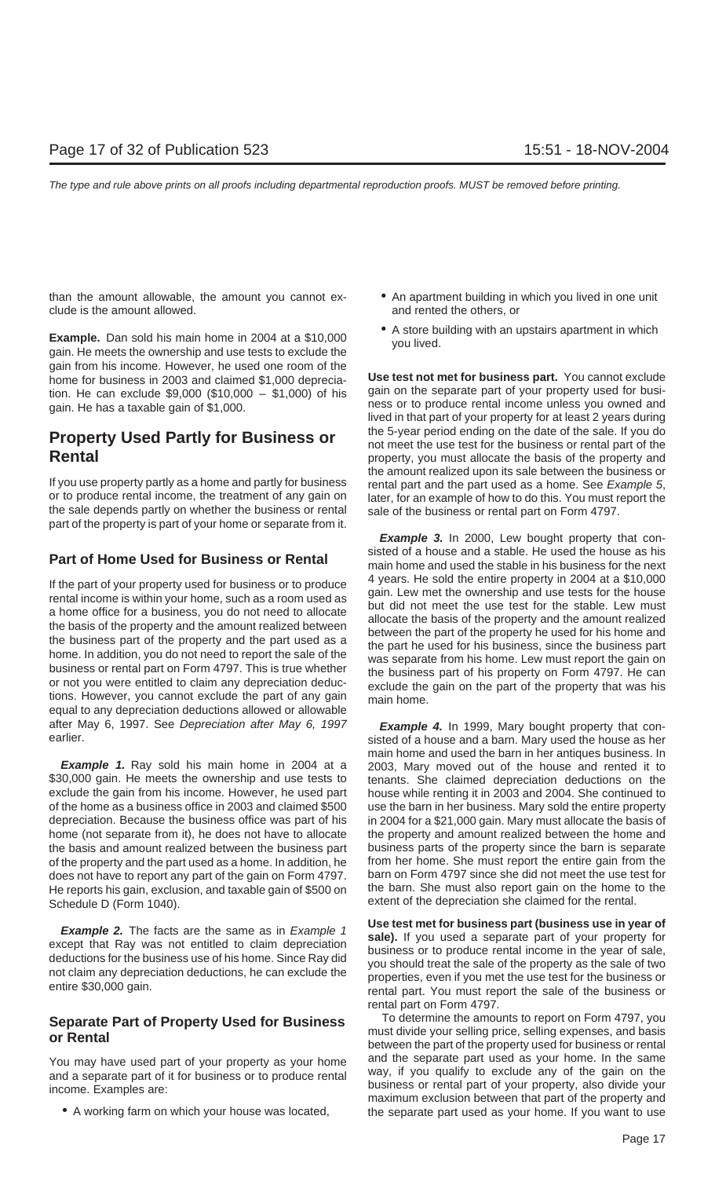than the amount allowable, the amount you cannot ex-<br>
• An apartment building in which you lived in one unit clude is the amount allowed. and rented the others, or

**Example.** Dan sold his main home in 2004 at a \$10,000 • A store building with an upstairs apartment in which gain. He meets the ownership and use tests to exclude the gain from his income. However, he used one room of the home for business in 2003 and claimed \$1,000 deprecia-<br>tion. He can exclude \$9,000 (\$10,000 – \$1,000) of his gain on the separate part of your property used for busi-

the sale depends partly on whether the business or rental sale of the business or rental part on Form 4797. part of the property is part of your home or separate from it.

equal to any depreciation deductions allowed or allowable after May 6, 1997. See Depreciation after May 6, 1997 **Example 4.** In 1999, Mary bought property that con-

**Example 1.** Ray sold his main home in 2004 at a 2003, Mary moved out of the house and rented it to \$30,000 gain. He meets the ownership and use tests to tenants. She claimed depreciation deductions on the \$30,000 gain. He meets the ownership and use tests to tenants. She claimed depreciation deductions on the exclude the gain from his income. However, he used part house while renting it in 2003 and 2004. She continued to of the home as a business office in 2003 and claimed \$500 use the barn in her business. Mary sold the entire property depreciation. Because the business office was part of his in 2004 for a \$21,000 gain. Mary must allocate the basis of home (not separate from it), he does not have to allocate the property and amount realized between the home and the basis and amount realized between the business part business parts of the property since the barn is separate of the property and the part used as a home. In addition, he from her home. She must report the entire gain from the does not have to report any part of the gain on Form 4797. barn on Form 4797 since she did not meet the use test for He reports his gain, exclusion, and taxable gain of \$500 on the barn. She must also report gain on the home to the Schedule D (Form 1040). Schedule D (Form 1040).

- 
- 

tion. He can exclude \$9,000 (\$10,000 – \$1,000) of his gain on the separate part of your property used for busi-<br>ness or to produce rental income unless you owned and<br>lived in that part of your property for at least 2 years **Property Used Partly for Business or** the 5-year period ending on the date of the sale. If you do not meet the use test for the business or rental part of the **Rental** part of the use test for the basis of the property an property, you must allocate the basis of the property and the amount realized upon its sale between the business or<br>If you use property partly as a home and partly for business<br>or to produce rental income, the treatment of any gain on later, for an example of how to do this. You

**Example 3.** In 2000, Lew bought property that consisted of a house and a stable. He used the house as his **Part of Home Used for Business or Rental** main home and used the stable in his business for the next If the part of your property used for business or to produce<br>
a vears. He sold the entire property in 2004 at a \$10,000<br>
rental income is within your home, such as a room used as<br>
a home office for a business, you do not n

> sisted of a house and a barn. Mary used the house as her main home and used the barn in her antiques business. In house while renting it in 2003 and 2004. She continued to

**Example 2.** The facts are the same as in Example 1<br>except that Ray was not entitled to claim depreciation<br>deductions for the business use of his home. Since Ray did<br>not claim any depreciation deductions, he can exclude th rental part on Form 4797.

**Separate Part of Property Used for Business** To determine the amounts to report on Form 4797, you must divide your selling price, selling expenses, and basis **or Rental** between the part of the property used for business or rental You may have used part of your property as your home and the separate part used as your home. In the same<br>and a separate part of it for business or to produce rental way, if you qualify to exclude any of the gain on the and a separate part of it for business or to produce rental way, if you qualify to exclude any of the gain on<br>income. Examples are:<br>maximum exclusion between that part of the property and<br>maximum exclusion between that par • A working farm on which your house was located, the separate part used as your home. If you want to use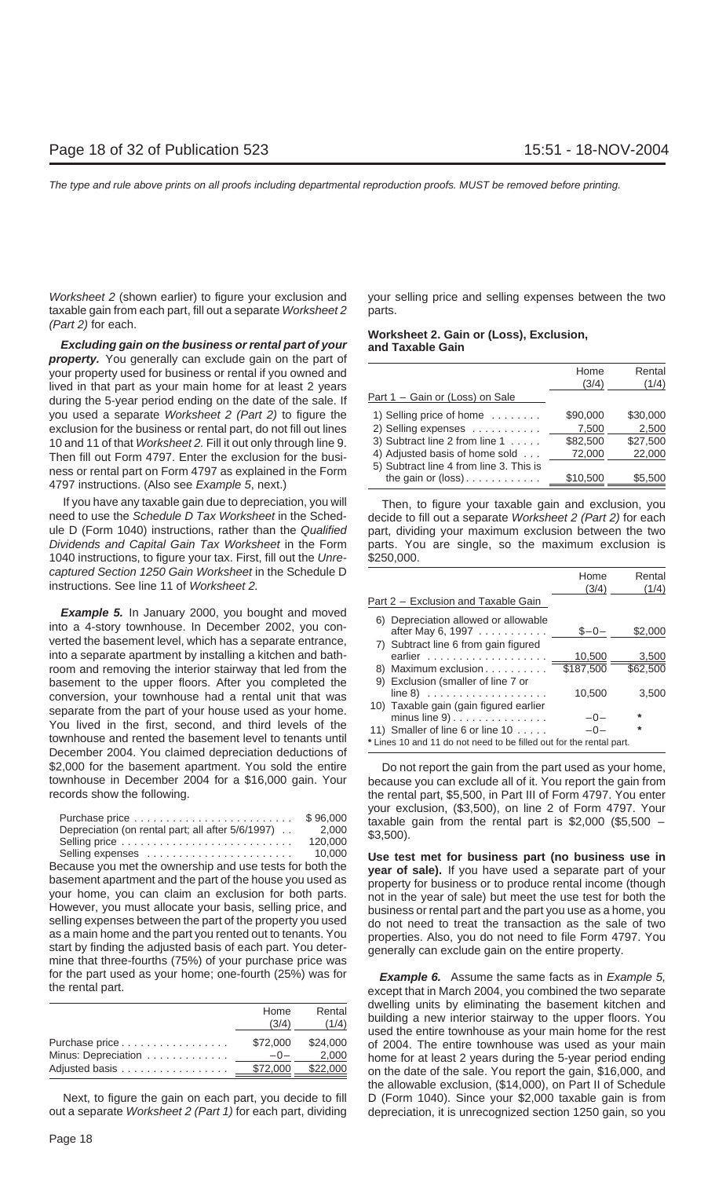taxable gain from each part, fill out a separate Worksheet 2 parts. (Part 2) for each.

**property.** You generally can exclude gain on the part of your property used for business or rental if you owned and lived in that part as your main home for at least 2 years during the 5-year period ending on the date of the sale. If you used a separate *Worksheet 2 (Part 2)* to figure the exclusion for the business or rental part, do not fill out lines 10 and 11 of that Worksheet 2. Fill it out only through line 9. Then fill out Form 4797. Enter the exclusion for the business or rental part on Form 4797 as explained in the Form 4797 instructions. (Also see Example 5, next.)

If you have any taxable gain due to depreciation, you will Then, to figure your taxable gain and exclusion, you need to use the Schedule D Tax Worksheet in the Sched-<br>decide to fill out a separate Worksheet in the Schedule D (Form 1040) instructions, rather than the Qualified part, dividing your maximum exclusion between the two Dividends and Capital Gain Tax Worksheet in the Form parts. You are single, so the maximum exclusion is 1040 instructions, to figure your tax. First, fill out the Unre- \$250,000. captured Section 1250 Gain Worksheet in the Schedule D instructions. See line 11 of Worksheet 2.

**Example 5.** In January 2000, you bought and moved into a 4-story townhouse. In December 2002, you converted the basement level, which has a separate entrance, into a separate apartment by installing a kitchen and bathroom and removing the interior stairway that led from the basement to the upper floors. After you completed the conversion, your townhouse had a rental unit that was<br>separate from the part of your house used as your home.<br>You lived in the first, second, and third levels of the<br>townhouse and rented the basement level to tenants unti December 2004. You claimed depreciation deductions of \$2,000 for the basement apartment. You sold the entire Do not report the gain from the part used as your home,<br>townhouse in December 2004 for a \$16,000 gain. Your because you can exclude all of it. You report the gain from records show the following. the rental part, \$5,500, in Part III of Form 4797. You enter

|                                                    | \$96,000 |
|----------------------------------------------------|----------|
| Depreciation (on rental part; all after 5/6/1997). | 2.000    |
|                                                    | 120,000  |
|                                                    | 10,000   |

selling expenses between the part of the property you used<br>as a main home and the part you rented out to tenants. You<br>start by finding the adjusted basis of each part. You deter-<br>mine that three-fourths (75%) of your purch

|                                       | Home<br>(3/4)     | Rental<br>(1/4)   |
|---------------------------------------|-------------------|-------------------|
| Purchase price<br>Minus: Depreciation | \$72,000<br>$-0-$ | \$24,000<br>2.000 |
| Adjusted basis                        | \$72,000          | \$22,000          |

out a separate Worksheet 2 (Part 1) for each part, dividing depreciation, it is unrecognized section 1250 gain, so you

Page 18

Worksheet 2 (shown earlier) to figure your exclusion and your selling price and selling expenses between the two

## **Worksheet 2. Gain or (Loss), Exclusion, Excluding gain on the business or rental part of your and Taxable Gain**

|                                         | Home<br>(3/4) | Rental<br>(1/4) |
|-----------------------------------------|---------------|-----------------|
| Part 1 - Gain or (Loss) on Sale         |               |                 |
| 1) Selling price of home                | \$90,000      | \$30,000        |
| 2) Selling expenses                     | 7,500         | 2,500           |
| 3) Subtract line 2 from line 1          | \$82,500      | \$27,500        |
| 4) Adjusted basis of home sold          | 72,000        | 22,000          |
| 5) Subtract line 4 from line 3. This is |               |                 |
| the gain or $(\text{loss})$             | \$10,500      | \$5,500         |

|                                                                     | Home      | Rental   |
|---------------------------------------------------------------------|-----------|----------|
|                                                                     | (3/4)     | (1/4)    |
| Part 2 - Exclusion and Taxable Gain                                 |           |          |
| 6) Depreciation allowed or allowable                                |           |          |
| after May 6, 1997                                                   | $S - 0 -$ | \$2,000  |
| 7) Subtract line 6 from gain figured                                |           |          |
|                                                                     | 10,500    | 3,500    |
| 8) Maximum exclusion                                                | \$187,500 | \$62,500 |
| 9) Exclusion (smaller of line 7 or                                  |           |          |
|                                                                     | 10,500    | 3,500    |
| 10) Taxable gain (gain figured earlier                              |           |          |
| minus line $9)$                                                     | $-0-$     | *        |
| 11) Smaller of line 6 or line 10                                    | –೧–       | $\star$  |
| * Lines 10 and 11 do not need to be filled out for the rental part. |           |          |

because you can exclude all of it. You report the gain from your exclusion,  $(\$3,500)$ , on line 2 of Form 4797. Your taxable gain from the rental part is  $\$2,000$  ( $\$5,500$  –  $\$3,500$ ).

Selling expenses ....................... 10,000 **Use test met for business part (no business use in** Because you met the ownership and use tests for both the **year of sale).** If you have used a separate part of your basement apartment and the part of the house you used as property for business or to produce rental income (though your home, you can claim an exclusion for both parts. not in the year of sale) but meet the use test for both the However, you must allocate your basis, selling price, and business or rental part and the part you use as a home, you selling expenses between the part of the property you used do not need to treat the transaction as the sale of two

for the part used as your home; one-fourth (25%) was for<br>the rental part.<br>except that in March 2004, you combined the two separate dwelling units by eliminating the basement kitchen and building a new interior stairway to the upper floors. You used the entire townhouse as your main home for the rest of 2004. The entire townhouse was used as your main home for at least 2 years during the 5-year period ending on the date of the sale. You report the gain, \$16,000, and the allowable exclusion, (\$14,000), on Part II of Schedule Next, to figure the gain on each part, you decide to fill D (Form 1040). Since your \$2,000 taxable gain is from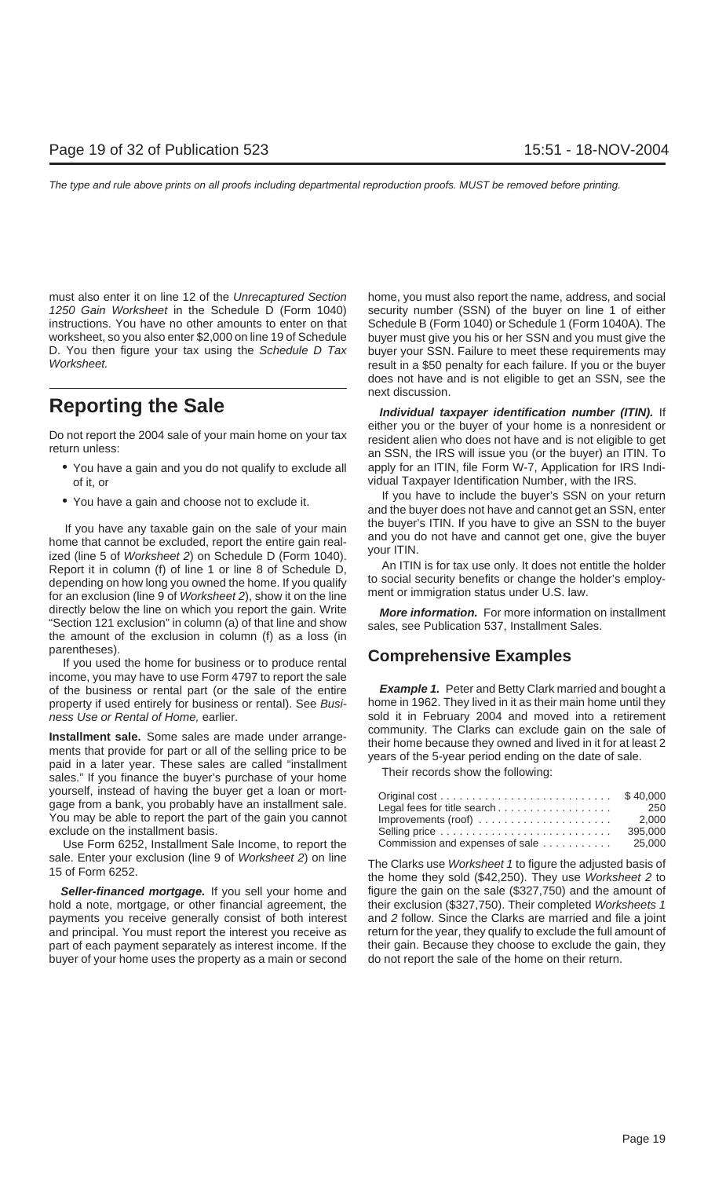must also enter it on line 12 of the Unrecaptured Section home, you must also report the name, address, and social 1250 Gain Worksheet in the Schedule D (Form 1040) security number (SSN) of the buyer on line 1 of either instructions. You have no other amounts to enter on that Schedule B (Form 1040) or Schedule 1 (Form 1040A). The worksheet, so you also enter \$2,000 on line 19 of Schedule buyer must give you his or her SSN and you must give the D. You then figure your tax using the Schedule D Tax buyer your SSN. Failure to meet these requirements may

- of it, or vidual Taxpayer Identification Number, with the IRS.
- 

If you have any taxable gain on the sale of your main<br>home that cannot be excluded, report the entire gain real-<br>ized (line 5 of *Worksheet 2*) on Schedule D (Form 1040). your ITIN. Report it in column (f) of line 1 or line 8 of Schedule  $\overrightarrow{D}$ , An ITIN is for tax use only. It does not entitle the holder semploy-<br>depending on how long you owned the home If you qualify to social security benefits or depending on how long you owned the home. If you qualify to social security benefits or change the home for an exclusion (line 9 of Worksheet 2), show it on the line ment or immigration status under U.S. law. directly below the line on which you report the gain. Write **More information.** For more information on installment<br>"Section 121 exclusion" in column (a) of that line and show sales see Publication 537 Installment Sales "Section 121 exclusion" in column (a) of that line and show sales, see Publication 537, Installment Sales. the amount of the exclusion in column (f) as a loss (in

income, you may have to use Form 4797 to report the sale of the business or rental part (or the sale of the entire **Example 1.** Peter and Betty Clark married and bought a property if used entirely for business or rental). See Busi- home in 1962. They lived in it as their main home until they

**Installment sale.** Some sales are made under arrange-<br>ments that provide for part or all of the selling price to be<br>paid in a later year. These sales are called "installment<br>sales." If you finance the buyer's purchase of yourself, instead of having the buyer get a loan or mort-<br>gage from a bank, you probably have an installment sale. You may be able to report the part of the gain you cannot exclude on the installment basis.

Use Form 6252, Installment Sale Income, to report the sale. Enter your exclusion (line 9 of Worksheet 2) on line The Clarks use Worksheet 1 to figure the adjusted basis of<br>15 of Form 6252. the home they sold (\$42,250). They use Worksheet 2 to

hold a note, mortgage, or other financial agreement, the their exclusion (\$327,750). Their completed Worksheets 1 payments you receive generally consist of both interest and 2 follow. Since the Clarks are married and file a joint and principal. You must report the interest you receive as return for the year, they qualify to exclude the full amount of part of each payment separately as interest income. If the their gain. Because they choose to exclude the gain, they buyer of your home uses the property as a main or second do not report the sale of the home on their return.

Worksheet. The summary result in a \$50 penalty for each failure. If you or the buyer does not have and is not eligible to get an SSN, see the next discussion.

**Reporting the Sale Individual taxpayer identification number (ITIN).** If Either you or the buyer of your home is a nonresident or<br>Do not report the 2004 sale of your main home on your tax<br>resident alien who does not have and is not eligible to get<br>an SSN, the IRS will issue you (or the buyer) a • You have a gain and you do not qualify to exclude all apply for an ITIN, file Form W-7, Application for IRS Indi-

■ You have a gain and choose not to exclude it. If you have to include the buyer's SSN on your return<br>and the buyer does not have and cannot get an SSN, enter

## parentheses). **If you used the home for business or to produce rental Comprehensive Examples**

ness Use or Rental of Home, earlier. sold it in February 2004 and moved into a retirement

|                                                                       | \$40,000 |
|-----------------------------------------------------------------------|----------|
|                                                                       | 250      |
| Improvements (roof) $\dots \dots \dots \dots \dots \dots$             | 2.000    |
| Selling price $\dots \dots \dots \dots \dots \dots \dots \dots \dots$ | 395,000  |
| Commission and expenses of sale                                       | 25.000   |

Seller-financed mortgage. If you sell your home and figure the gain on the sale (\$327,750) and the amount of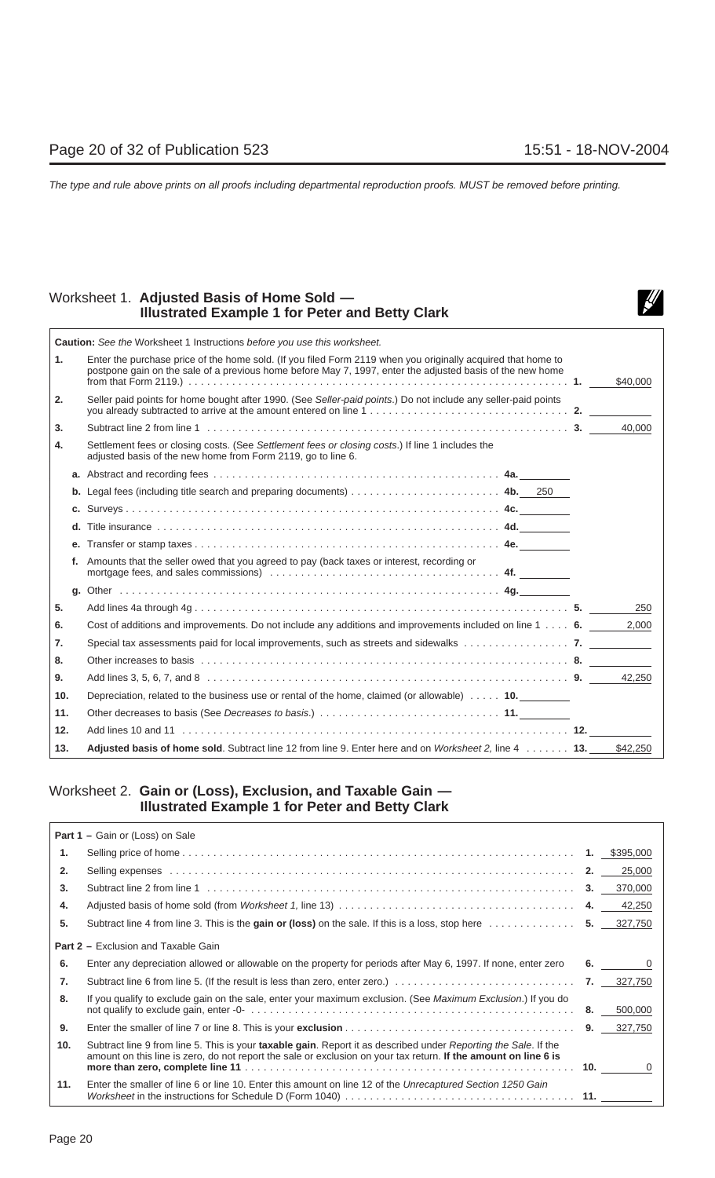## Worksheet 1. **Adjusted Basis of Home Sold — Illustrated Example 1 for Peter and Betty Clark**



|                | <b>Caution:</b> See the Worksheet 1 Instructions before you use this worksheet.                                                                                                                                           |          |
|----------------|---------------------------------------------------------------------------------------------------------------------------------------------------------------------------------------------------------------------------|----------|
| $\mathbf{1}$ . | Enter the purchase price of the home sold. (If you filed Form 2119 when you originally acquired that home to<br>postpone gain on the sale of a previous home before May 7, 1997, enter the adjusted basis of the new home | \$40,000 |
| 2.             | Seller paid points for home bought after 1990. (See Seller-paid points.) Do not include any seller-paid points                                                                                                            |          |
| 3.             |                                                                                                                                                                                                                           | 40.000   |
| 4.             | Settlement fees or closing costs. (See Settlement fees or closing costs.) If line 1 includes the<br>adjusted basis of the new home from Form 2119, go to line 6.                                                          |          |
|                |                                                                                                                                                                                                                           |          |
|                | <b>b.</b> Legal fees (including title search and preparing documents)  4b. 250                                                                                                                                            |          |
|                |                                                                                                                                                                                                                           |          |
|                | d.                                                                                                                                                                                                                        |          |
| е.             |                                                                                                                                                                                                                           |          |
| f.             | Amounts that the seller owed that you agreed to pay (back taxes or interest, recording or                                                                                                                                 |          |
|                |                                                                                                                                                                                                                           |          |
| 5.             |                                                                                                                                                                                                                           | 250      |
| 6.             | Cost of additions and improvements. Do not include any additions and improvements included on line 1 $\dots$ 6.                                                                                                           | 2.000    |
| 7.             | Special tax assessments paid for local improvements, such as streets and sidewalks 7.                                                                                                                                     |          |
| 8.             |                                                                                                                                                                                                                           |          |
| 9.             |                                                                                                                                                                                                                           | 42.250   |
| 10.            | Depreciation, related to the business use or rental of the home, claimed (or allowable) 10.                                                                                                                               |          |
| 11.            |                                                                                                                                                                                                                           |          |
| 12.            |                                                                                                                                                                                                                           |          |
| 13.            | Adjusted basis of home sold. Subtract line 12 from line 9. Enter here and on Worksheet 2, line 4 13. \$42,250                                                                                                             |          |

## Worksheet 2. **Gain or (Loss), Exclusion, and Taxable Gain — Illustrated Example 1 for Peter and Betty Clark**

|     | <b>Part 1 - Gain or (Loss) on Sale</b>                                                                                                                                                                                             |                      |
|-----|------------------------------------------------------------------------------------------------------------------------------------------------------------------------------------------------------------------------------------|----------------------|
| 1.  |                                                                                                                                                                                                                                    |                      |
| 2.  |                                                                                                                                                                                                                                    | 25,000               |
| 3.  |                                                                                                                                                                                                                                    |                      |
| 4.  | Adjusted basis of home sold (from Worksheet 1, line 13) $\ldots \ldots \ldots \ldots \ldots \ldots \ldots \ldots \ldots \ldots \ldots$ 4. $\underline{\phantom{2}42,250}$                                                          |                      |
| 5.  |                                                                                                                                                                                                                                    |                      |
|     | <b>Part 2 - Exclusion and Taxable Gain</b>                                                                                                                                                                                         |                      |
| 6.  | Enter any depreciation allowed or allowable on the property for periods after May 6, 1997. If none, enter zero                                                                                                                     | 6. $\qquad \qquad 0$ |
| 7.  |                                                                                                                                                                                                                                    |                      |
| 8.  | If you qualify to exclude gain on the sale, enter your maximum exclusion. (See Maximum Exclusion.) If you do                                                                                                                       | <b>8.</b> 500,000    |
| 9.  |                                                                                                                                                                                                                                    |                      |
| 10. | Subtract line 9 from line 5. This is your taxable gain. Report it as described under Reporting the Sale. If the<br>amount on this line is zero, do not report the sale or exclusion on your tax return. If the amount on line 6 is |                      |
| 11. | Enter the smaller of line 6 or line 10. Enter this amount on line 12 of the Unrecaptured Section 1250 Gain                                                                                                                         |                      |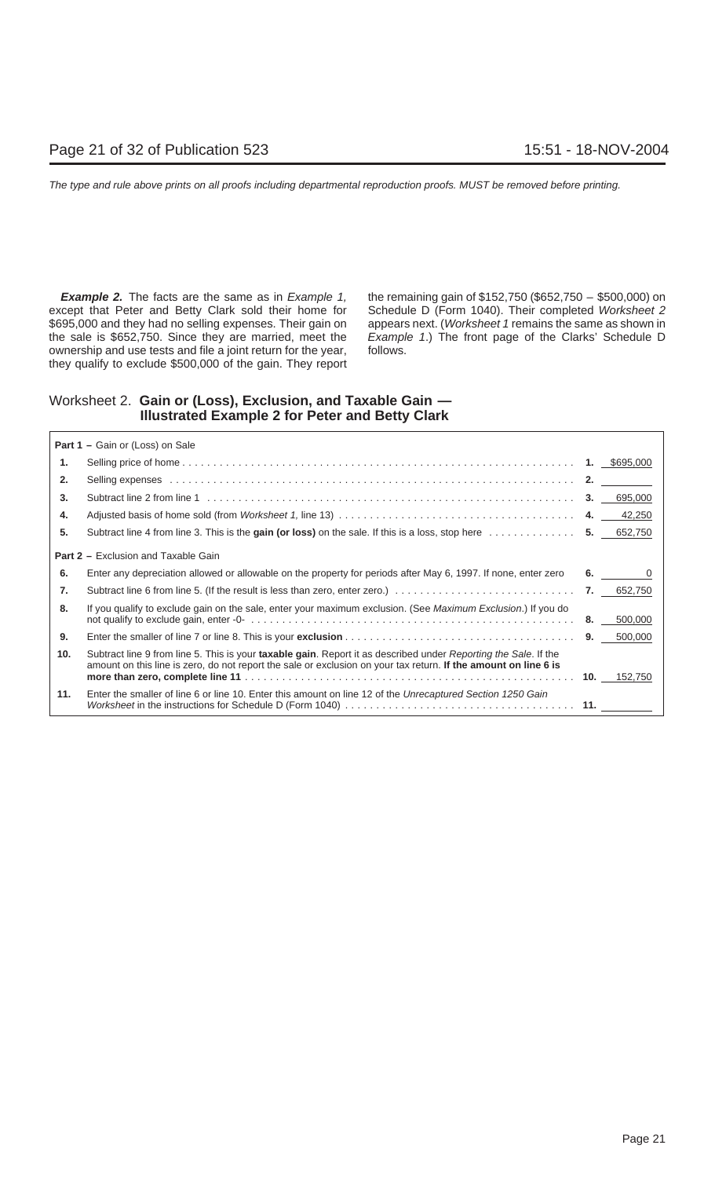the sale is \$652,750. Since they are married, meet the ownership and use tests and file a joint return for the year, follows. they qualify to exclude \$500,000 of the gain. They report

**Example 2.** The facts are the same as in *Example 1*, the remaining gain of \$152,750 (\$652,750 – \$500,000) on except that Peter and Betty Clark sold their home for Schedule D (Form 1040). Their completed Worksheet 2 except that Peter and Betty Clark sold their home for Schedule D (Form 1040). Their completed Worksheet 2<br>\$695,000 and they had no selling expenses. Their gain on appears next. (Worksheet 1 remains the same as shown in appears next. (Worksheet 1 remains the same as shown in<br>Example 1.) The front page of the Clarks' Schedule D

## Worksheet 2. **Gain or (Loss), Exclusion, and Taxable Gain — Illustrated Example 2 for Peter and Betty Clark**

|     | <b>Part 1 – Gain or (Loss) on Sale</b>                                                                                                                                                                                             |             |
|-----|------------------------------------------------------------------------------------------------------------------------------------------------------------------------------------------------------------------------------------|-------------|
| 1.  |                                                                                                                                                                                                                                    |             |
| 2.  |                                                                                                                                                                                                                                    |             |
| 3.  |                                                                                                                                                                                                                                    |             |
| 4.  |                                                                                                                                                                                                                                    |             |
| 5.  | Subtract line 4 from line 3. This is the gain (or loss) on the sale. If this is a loss, stop here $\ldots \ldots \ldots$ 5. 652,750                                                                                                |             |
|     | <b>Part 2 - Exclusion and Taxable Gain</b>                                                                                                                                                                                         |             |
| 6.  | Enter any depreciation allowed or allowable on the property for periods after May 6, 1997. If none, enter zero                                                                                                                     | $\bullet$ 0 |
| 7.  |                                                                                                                                                                                                                                    |             |
| 8.  | If you qualify to exclude gain on the sale, enter your maximum exclusion. (See Maximum Exclusion.) If you do                                                                                                                       | 500,000     |
| 9.  |                                                                                                                                                                                                                                    | 500,000     |
| 10. | Subtract line 9 from line 5. This is your taxable gain. Report it as described under Reporting the Sale. If the<br>amount on this line is zero, do not report the sale or exclusion on your tax return. If the amount on line 6 is |             |
| 11. | Enter the smaller of line 6 or line 10. Enter this amount on line 12 of the Unrecaptured Section 1250 Gain                                                                                                                         |             |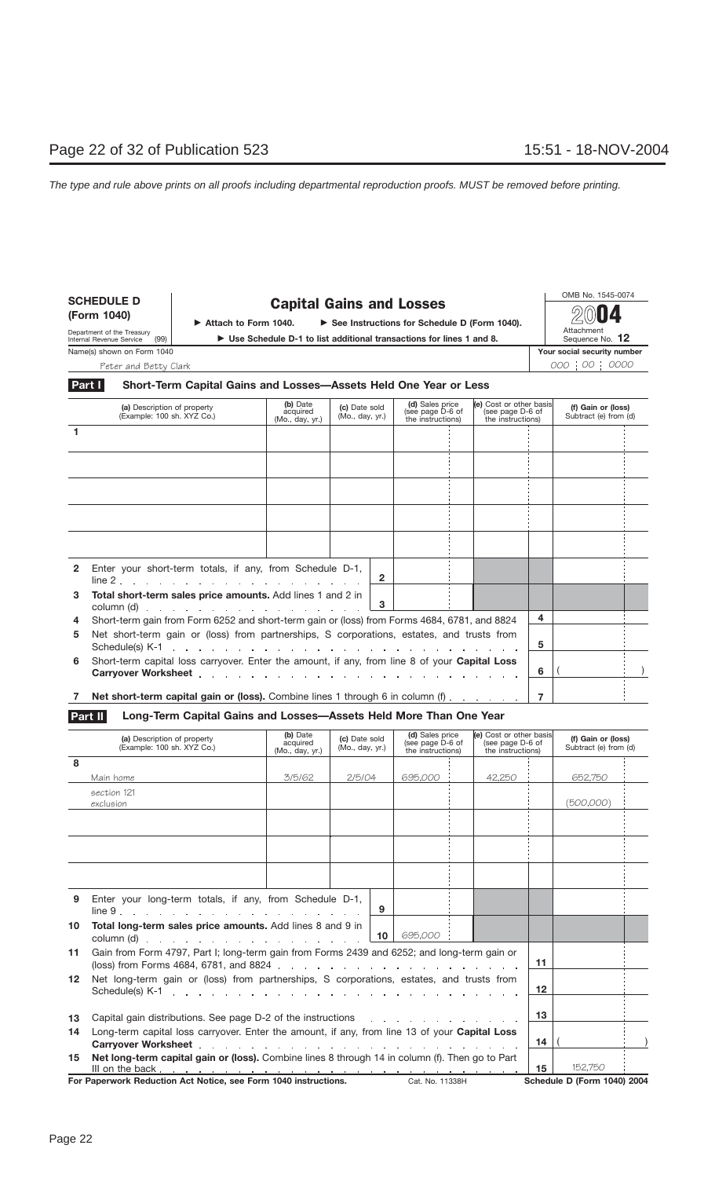## **SCHEDULE D Capital Gains and Losses** (Form 1040)<br>
■ Attach to Form 1040. ■ See Instructions for Schedule D (Form 1040).

Department of the Treasury Internal Revenue Service (99)

■ Use Schedule D-1 to list additional transactions for lines 1 and 8. Sequence No. **12** 

Attachment **2004** Name(s) shown on Form 1040 **Your social security number** Peter and Betty Clark 000 00 0000

## **Short-Term Capital Gains and Losses—Assets Held One Year or Less Part I**

|              | (a) Description of property<br>(Example: 100 sh. XYZ Co.)                                                                                                                                                                | (b) Date<br>acquired<br>(Mo., day, yr.) | (c) Date sold<br>(Mo., day, yr.) |              | (d) Sales price<br>(see page D-6 of<br>the instructions) | (e) Cost or other basis<br>(see page D-6 of<br>the instructions) |                | (f) Gain or (loss)<br>Subtract (e) from (d) |
|--------------|--------------------------------------------------------------------------------------------------------------------------------------------------------------------------------------------------------------------------|-----------------------------------------|----------------------------------|--------------|----------------------------------------------------------|------------------------------------------------------------------|----------------|---------------------------------------------|
|              |                                                                                                                                                                                                                          |                                         |                                  |              |                                                          |                                                                  |                |                                             |
|              |                                                                                                                                                                                                                          |                                         |                                  |              |                                                          |                                                                  |                |                                             |
|              |                                                                                                                                                                                                                          |                                         |                                  |              |                                                          |                                                                  |                |                                             |
|              |                                                                                                                                                                                                                          |                                         |                                  |              |                                                          |                                                                  |                |                                             |
|              |                                                                                                                                                                                                                          |                                         |                                  |              |                                                          |                                                                  |                |                                             |
| $\mathbf{2}$ | Enter your short-term totals, if any, from Schedule D-1,                                                                                                                                                                 |                                         |                                  | $\mathbf{2}$ |                                                          |                                                                  |                |                                             |
| 3            | <b>Total short-term sales price amounts.</b> Add lines 1 and 2 in                                                                                                                                                        |                                         |                                  | 3            |                                                          |                                                                  |                |                                             |
| 4            | Short-term gain from Form 6252 and short-term gain or (loss) from Forms 4684, 6781, and 8824                                                                                                                             |                                         |                                  |              |                                                          |                                                                  | 4              |                                             |
| 5            | Net short-term gain or (loss) from partnerships, S corporations, estates, and trusts from<br>Schedule(s) K-1 $\ldots$ $\ldots$ $\ldots$ $\ldots$ $\ldots$ $\ldots$ $\ldots$ $\ldots$ $\ldots$ $\ldots$ $\ldots$ $\ldots$ |                                         |                                  |              |                                                          |                                                                  | 5              |                                             |
| 6            | Short-term capital loss carryover. Enter the amount, if any, from line 8 of your <b>Capital Loss</b>                                                                                                                     |                                         |                                  |              |                                                          |                                                                  | 6              |                                             |
|              | Net short-term capital gain or (loss). Combine lines 1 through 6 in column (f)                                                                                                                                           |                                         |                                  |              |                                                          |                                                                  | $\overline{7}$ |                                             |

## **Long-Term Capital Gains and Losses—Assets Held More Than One Year Part II**

|         | (a) Description of property<br>(Example: 100 sh. XYZ Co.)                                                                                                                                                                                                                                                                  | (b) Date<br>acquired<br>(Mo., day, yr.) | (c) Date sold<br>(Mo., day, yr.) |                 | (d) Sales price<br>(see page D-6 of<br>the instructions) | (e) Cost or other basis<br>(see page D-6 of<br>the instructions) |    | (f) Gain or (loss)<br>Subtract (e) from (d) |  |
|---------|----------------------------------------------------------------------------------------------------------------------------------------------------------------------------------------------------------------------------------------------------------------------------------------------------------------------------|-----------------------------------------|----------------------------------|-----------------|----------------------------------------------------------|------------------------------------------------------------------|----|---------------------------------------------|--|
| 8       |                                                                                                                                                                                                                                                                                                                            |                                         |                                  |                 |                                                          |                                                                  |    |                                             |  |
|         | Main home                                                                                                                                                                                                                                                                                                                  | 3/5/62                                  | 2/5/04                           |                 | 695,000                                                  | 42.250                                                           |    | 652,750                                     |  |
|         | section 121<br>exclusion                                                                                                                                                                                                                                                                                                   |                                         |                                  |                 |                                                          |                                                                  |    | (500,000)                                   |  |
|         |                                                                                                                                                                                                                                                                                                                            |                                         |                                  |                 |                                                          |                                                                  |    |                                             |  |
|         |                                                                                                                                                                                                                                                                                                                            |                                         |                                  |                 |                                                          |                                                                  |    |                                             |  |
|         |                                                                                                                                                                                                                                                                                                                            |                                         |                                  |                 |                                                          |                                                                  |    |                                             |  |
| 9       | Enter your long-term totals, if any, from Schedule D-1,<br>$line 9$ , $\ldots$ , $\ldots$ , $\ldots$ , $\ldots$ , $\ldots$ , $\ldots$                                                                                                                                                                                      |                                         |                                  | 9               |                                                          |                                                                  |    |                                             |  |
| 10      | Total long-term sales price amounts. Add lines 8 and 9 in                                                                                                                                                                                                                                                                  |                                         |                                  | 10 <sup>1</sup> | 695,000                                                  |                                                                  |    |                                             |  |
| 11      | Gain from Form 4797, Part I; long-term gain from Forms 2439 and 6252; and long-term gain or                                                                                                                                                                                                                                |                                         |                                  |                 |                                                          |                                                                  | 11 |                                             |  |
| $12 \,$ | Net long-term gain or (loss) from partnerships, S corporations, estates, and trusts from<br>Schedule(s) K-1 (e.g., e.g., e.g., e.g., e.g., e.g., e.g., e.g., e.g., e.g., e.g., e.g., e.g., e.g., e.g., e.g., e.g., e.g., e.g., e.g., e.g., e.g., e.g., e.g., e.g., e.g., e.g., e.g., e.g., e.g., e.g., e.g., e.g., e.g., e |                                         |                                  |                 |                                                          |                                                                  | 12 |                                             |  |
| 13      | Capital gain distributions. See page D-2 of the instructions enterstanding and set of the capital gain distributions.                                                                                                                                                                                                      |                                         |                                  |                 |                                                          |                                                                  | 13 |                                             |  |
| 14      | Long-term capital loss carryover. Enter the amount, if any, from line 13 of your Capital Loss                                                                                                                                                                                                                              |                                         |                                  |                 |                                                          |                                                                  | 14 |                                             |  |
| 15      | Net long-term capital gain or (loss). Combine lines 8 through 14 in column (f). Then go to Part                                                                                                                                                                                                                            |                                         |                                  |                 |                                                          |                                                                  | 15 | 152,750                                     |  |

**For Paperwork Reduction Act Notice, see Form 1040 instructions.** Cat. No. 11338H Schedule D (Form 1040) 2004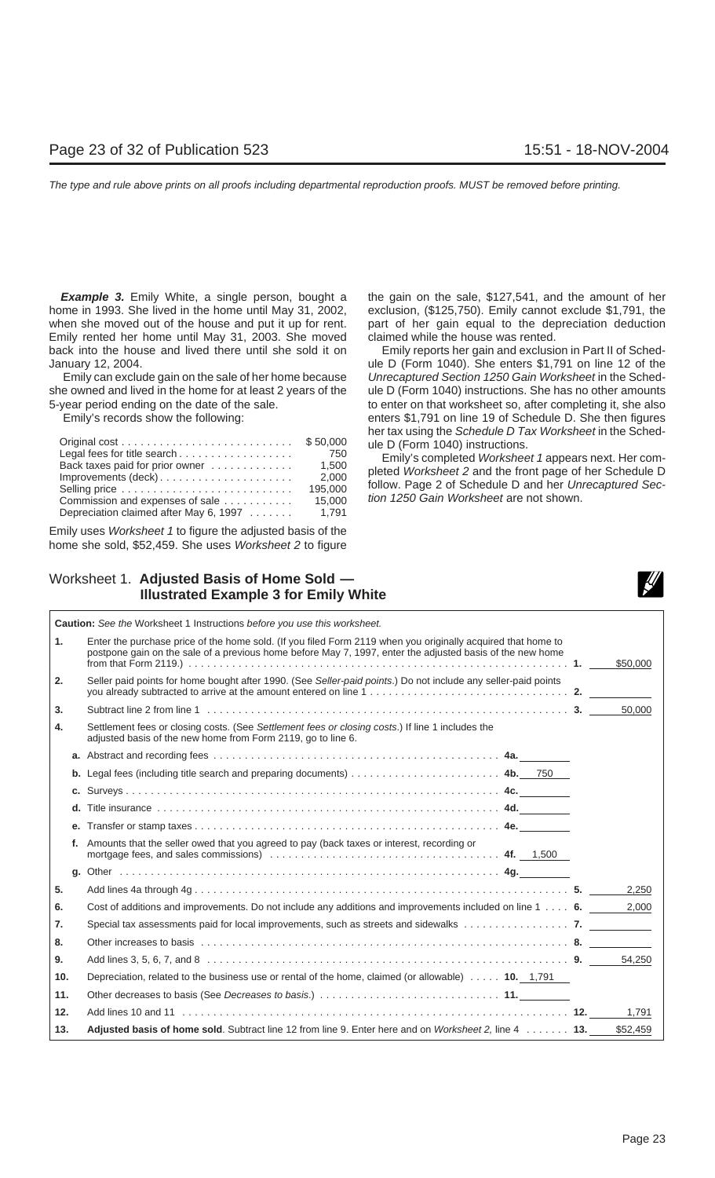Emily rented her home until May 31, 2003. She moved claimed while the house was rented. back into the house and lived there until she sold it on Emily reports her gain and exclusion in Part II of Sched-<br>January 12, 2004. Ule D (Form 1040). She enters \$1,791 on line 12 of the

|                                                                 | \$50,000 |
|-----------------------------------------------------------------|----------|
|                                                                 | 750      |
| Back taxes paid for prior owner                                 | 1.500    |
| Improvements $(deck) \ldots \ldots \ldots \ldots \ldots \ldots$ | 2.000    |
|                                                                 | 195.000  |
| Commission and expenses of sale                                 | 15,000   |
| Depreciation claimed after May 6, 1997                          | 1,791    |

Emily uses Worksheet 1 to figure the adjusted basis of the home she sold, \$52,459. She uses Worksheet 2 to figure

**Example 3.** Emily White, a single person, bought a the gain on the sale, \$127,541, and the amount of her home in 1993. She lived in the home until May 31, 2002, exclusion, (\$125,750). Emily cannot exclude \$1,791, the when she moved out of the house and put it up for rent. part of her gain equal to the depreciation deduction

ule D (Form 1040). She enters \$1,791 on line 12 of the Emily can exclude gain on the sale of her home because Unrecaptured Section 1250 Gain Worksheet in the Schedshe owned and lived in the home for at least 2 years of the ule D (Form 1040) instructions. She has no other amounts 5-year period ending on the date of the sale. to enter on that worksheet so, after completing it, she also Emily's records show the following: enters \$1,791 on line 19 of Schedule D. She then figures her tax using the Schedule D Tax Worksheet in the Sched-

ule D (Form 1040) instructions.<br>Emily's completed *Worksheet 1* appears next. Her completed *Worksheet 2* and the front page of her Schedule D follow. Page 2 of Schedule D and her Unrecaptured Section 1250 Gain Worksheet are not shown.

## Worksheet 1. **Adjusted Basis of Home Sold — Illustrated Example 3 for Emily White**

|                | <b>Caution:</b> See the Worksheet 1 Instructions before you use this worksheet.                                                                                                                                           |          |
|----------------|---------------------------------------------------------------------------------------------------------------------------------------------------------------------------------------------------------------------------|----------|
| $\mathbf{1}$ . | Enter the purchase price of the home sold. (If you filed Form 2119 when you originally acquired that home to<br>postpone gain on the sale of a previous home before May 7, 1997, enter the adjusted basis of the new home | \$50,000 |
| 2.             | Seller paid points for home bought after 1990. (See Seller-paid points.) Do not include any seller-paid points                                                                                                            |          |
| 3.             |                                                                                                                                                                                                                           | 50,000   |
| 4.             | Settlement fees or closing costs. (See Settlement fees or closing costs.) If line 1 includes the<br>adjusted basis of the new home from Form 2119, go to line 6.                                                          |          |
|                |                                                                                                                                                                                                                           |          |
|                |                                                                                                                                                                                                                           |          |
|                |                                                                                                                                                                                                                           |          |
| d.             |                                                                                                                                                                                                                           |          |
|                |                                                                                                                                                                                                                           |          |
| f.             | Amounts that the seller owed that you agreed to pay (back taxes or interest, recording or                                                                                                                                 |          |
|                |                                                                                                                                                                                                                           |          |
| 5.             |                                                                                                                                                                                                                           | 2,250    |
| 6.             | Cost of additions and improvements. Do not include any additions and improvements included on line $1 \ldots$ . 6.                                                                                                        | 2.000    |
| 7.             | Special tax assessments paid for local improvements, such as streets and sidewalks 7.                                                                                                                                     |          |
| 8.             |                                                                                                                                                                                                                           |          |
| 9.             |                                                                                                                                                                                                                           | 54.250   |
| 10.            | Depreciation, related to the business use or rental of the home, claimed (or allowable) $\ldots$ 10. 1,791                                                                                                                |          |
| 11.            |                                                                                                                                                                                                                           |          |
| 12.            |                                                                                                                                                                                                                           | 1,791    |
| 13.            | Adjusted basis of home sold. Subtract line 12 from line 9. Enter here and on Worksheet 2, line 4 13.                                                                                                                      | \$52,459 |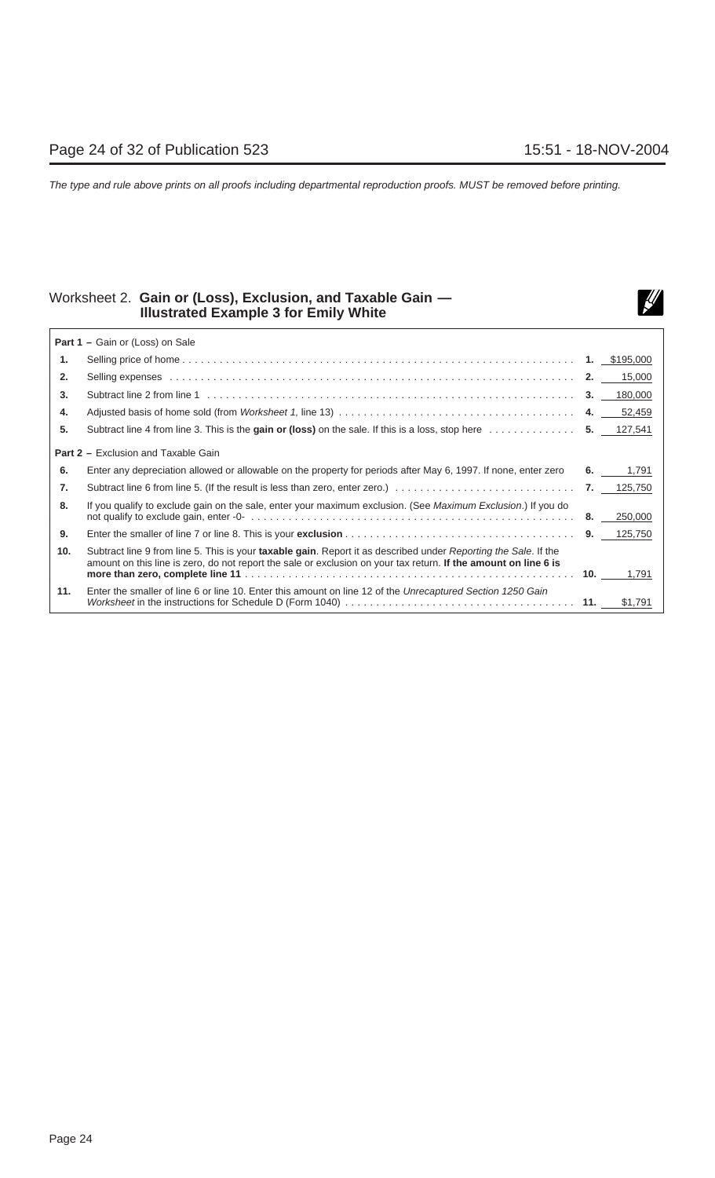## Worksheet 2. **Gain or (Loss), Exclusion, and Taxable Gain — Illustrated Example 3 for Emily White**



|     | <b>Part 1 – Gain or (Loss) on Sale</b>                                                                                                                                                                                             |                   |
|-----|------------------------------------------------------------------------------------------------------------------------------------------------------------------------------------------------------------------------------------|-------------------|
| 1.  |                                                                                                                                                                                                                                    |                   |
| 2.  |                                                                                                                                                                                                                                    |                   |
| 3.  |                                                                                                                                                                                                                                    |                   |
| 4.  |                                                                                                                                                                                                                                    |                   |
| 5.  | Subtract line 4 from line 3. This is the gain or (loss) on the sale. If this is a loss, stop here $\ldots \ldots \ldots$ 5. 127,541                                                                                                |                   |
|     | <b>Part 2 – Exclusion and Taxable Gain</b>                                                                                                                                                                                         |                   |
| 6.  | Enter any depreciation allowed or allowable on the property for periods after May 6, 1997. If none, enter zero                                                                                                                     | 6. $1,791$        |
| 7.  |                                                                                                                                                                                                                                    |                   |
| 8.  | If you qualify to exclude gain on the sale, enter your maximum exclusion. (See Maximum Exclusion.) If you do                                                                                                                       | <b>8.</b> 250,000 |
| 9.  |                                                                                                                                                                                                                                    | 125,750           |
| 10. | Subtract line 9 from line 5. This is your taxable gain. Report it as described under Reporting the Sale. If the<br>amount on this line is zero, do not report the sale or exclusion on your tax return. If the amount on line 6 is | 1,791             |
| 11. | Enter the smaller of line 6 or line 10. Enter this amount on line 12 of the Unrecaptured Section 1250 Gain                                                                                                                         | \$1,791           |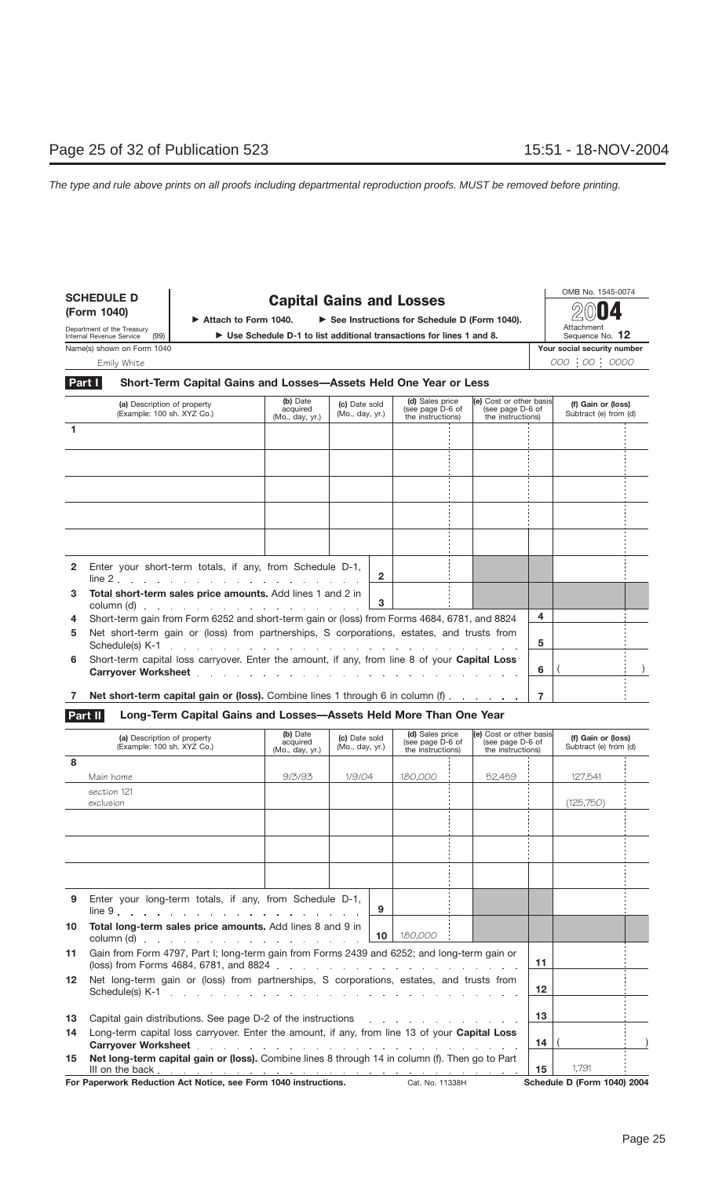## **SCHEDULE D Capital Gains and Losses** (Form 1040)<br>
■ Attach to Form 1040. ■ See Instructions for Schedule D (Form 1040).

Department of the Treasury Internal Revenue Service (99)

## ▶ Use Schedule D-1 to list additional transactions for lines 1 and 8.

Attachment<br>Sequence No. 12 Name(s) shown on Form 1040 **Your social security number 2004**

Emily White 000 00 0000

| Part I       | Short-Term Capital Gains and Losses—Assets Held One Year or Less                                                                                                                                                         |                                         |                                  |              |                                                          |                                                                  |   |                                             |
|--------------|--------------------------------------------------------------------------------------------------------------------------------------------------------------------------------------------------------------------------|-----------------------------------------|----------------------------------|--------------|----------------------------------------------------------|------------------------------------------------------------------|---|---------------------------------------------|
|              | (a) Description of property<br>(Example: 100 sh. XYZ Co.)                                                                                                                                                                | (b) Date<br>acquired<br>(Mo., day, yr.) | (c) Date sold<br>(Mo., day, yr.) |              | (d) Sales price<br>(see page D-6 of<br>the instructions) | (e) Cost or other basis<br>(see page D-6 of<br>the instructions) |   | (f) Gain or (loss)<br>Subtract (e) from (d) |
| 1            |                                                                                                                                                                                                                          |                                         |                                  |              |                                                          |                                                                  |   |                                             |
|              |                                                                                                                                                                                                                          |                                         |                                  |              |                                                          |                                                                  |   |                                             |
|              |                                                                                                                                                                                                                          |                                         |                                  |              |                                                          |                                                                  |   |                                             |
|              |                                                                                                                                                                                                                          |                                         |                                  |              |                                                          |                                                                  |   |                                             |
|              |                                                                                                                                                                                                                          |                                         |                                  |              |                                                          |                                                                  |   |                                             |
| $\mathbf{2}$ | Enter your short-term totals, if any, from Schedule D-1,                                                                                                                                                                 |                                         |                                  | $\mathbf{2}$ |                                                          |                                                                  |   |                                             |
| 3            | Total short-term sales price amounts. Add lines 1 and 2 in<br>column (d) $\ldots$ $\ldots$ $\ldots$ $\ldots$ $\ldots$ $\ldots$                                                                                           |                                         |                                  | 3            |                                                          |                                                                  |   |                                             |
| 4            | Short-term gain from Form 6252 and short-term gain or (loss) from Forms 4684, 6781, and 8824                                                                                                                             |                                         |                                  |              |                                                          |                                                                  | 4 |                                             |
| 5            | Net short-term gain or (loss) from partnerships, S corporations, estates, and trusts from<br>Schedule(s) K-1 $\ldots$ $\ldots$ $\ldots$ $\ldots$ $\ldots$ $\ldots$ $\ldots$ $\ldots$ $\ldots$ $\ldots$ $\ldots$ $\ldots$ |                                         |                                  |              |                                                          |                                                                  | 5 |                                             |
| 6            | Short-term capital loss carryover. Enter the amount, if any, from line 8 of your Capital Loss                                                                                                                            |                                         |                                  |              |                                                          |                                                                  | 6 |                                             |
| 7            | <b>Net short-term capital gain or (loss).</b> Combine lines 1 through 6 in column (f)                                                                                                                                    |                                         |                                  |              | $\overline{7}$                                           |                                                                  |   |                                             |

## **Long-Term Capital Gains and Losses—Assets Held More Than One Year Part II**

|                  | (a) Description of property<br>(Example: 100 sh. XYZ Co.)                                                                                                                                                                        | (b) Date<br>acquired<br>(Mo., day, yr.) | (c) Date sold<br>(Mo., day, yr.) |      | (d) Sales price<br>(see page D-6 of<br>the instructions) |    | (e) Cost or other basis<br>(see page D-6 of<br>the instructions) |    | (f) Gain or (loss)<br>Subtract (e) from (d) |  |
|------------------|----------------------------------------------------------------------------------------------------------------------------------------------------------------------------------------------------------------------------------|-----------------------------------------|----------------------------------|------|----------------------------------------------------------|----|------------------------------------------------------------------|----|---------------------------------------------|--|
| 8                |                                                                                                                                                                                                                                  |                                         |                                  |      |                                                          |    |                                                                  |    |                                             |  |
|                  | Main home                                                                                                                                                                                                                        | 9/3/93                                  | 1/9/04                           |      | 180,000                                                  |    | 52.459                                                           |    | 127.541                                     |  |
|                  | section 121<br>exclusion                                                                                                                                                                                                         |                                         |                                  |      |                                                          |    |                                                                  |    | (125,750)                                   |  |
|                  |                                                                                                                                                                                                                                  |                                         |                                  |      |                                                          |    |                                                                  |    |                                             |  |
|                  |                                                                                                                                                                                                                                  |                                         |                                  |      |                                                          |    |                                                                  |    |                                             |  |
|                  |                                                                                                                                                                                                                                  |                                         |                                  |      |                                                          |    |                                                                  |    |                                             |  |
| 9                | Enter your long-term totals, if any, from Schedule D-1,                                                                                                                                                                          |                                         |                                  | 9    |                                                          |    |                                                                  |    |                                             |  |
| 10               | Total long-term sales price amounts. Add lines 8 and 9 in                                                                                                                                                                        |                                         |                                  | 10 I | 180,000                                                  |    |                                                                  |    |                                             |  |
| 11               | Gain from Form 4797, Part I; long-term gain from Forms 2439 and 6252; and long-term gain or                                                                                                                                      |                                         |                                  |      | 11                                                       |    |                                                                  |    |                                             |  |
| 12 <sup>12</sup> | Net long-term gain or (loss) from partnerships, S corporations, estates, and trusts from<br>Schedule(s) K-1 $\ldots$ $\ldots$ $\ldots$ $\ldots$ $\ldots$ $\ldots$ $\ldots$ $\ldots$ $\ldots$ $\ldots$ $\ldots$ $\ldots$ $\ldots$ |                                         |                                  |      |                                                          | 12 |                                                                  |    |                                             |  |
| 13               | 13<br>Capital gain distributions. See page D-2 of the instructions enterstanding the set of the set of the instructions                                                                                                          |                                         |                                  |      |                                                          |    |                                                                  |    |                                             |  |
| 14               | Long-term capital loss carryover. Enter the amount, if any, from line 13 of your Capital Loss                                                                                                                                    |                                         |                                  |      |                                                          |    |                                                                  | 14 |                                             |  |
| 15               | Net long-term capital gain or (loss). Combine lines 8 through 14 in column (f). Then go to Part                                                                                                                                  |                                         |                                  |      |                                                          |    |                                                                  | 15 | 1.791                                       |  |

For Paperwork Reduction Act Notice, see Form 1040 instructions. Cat. No. 11338H Schedule D (Form 1040) 2004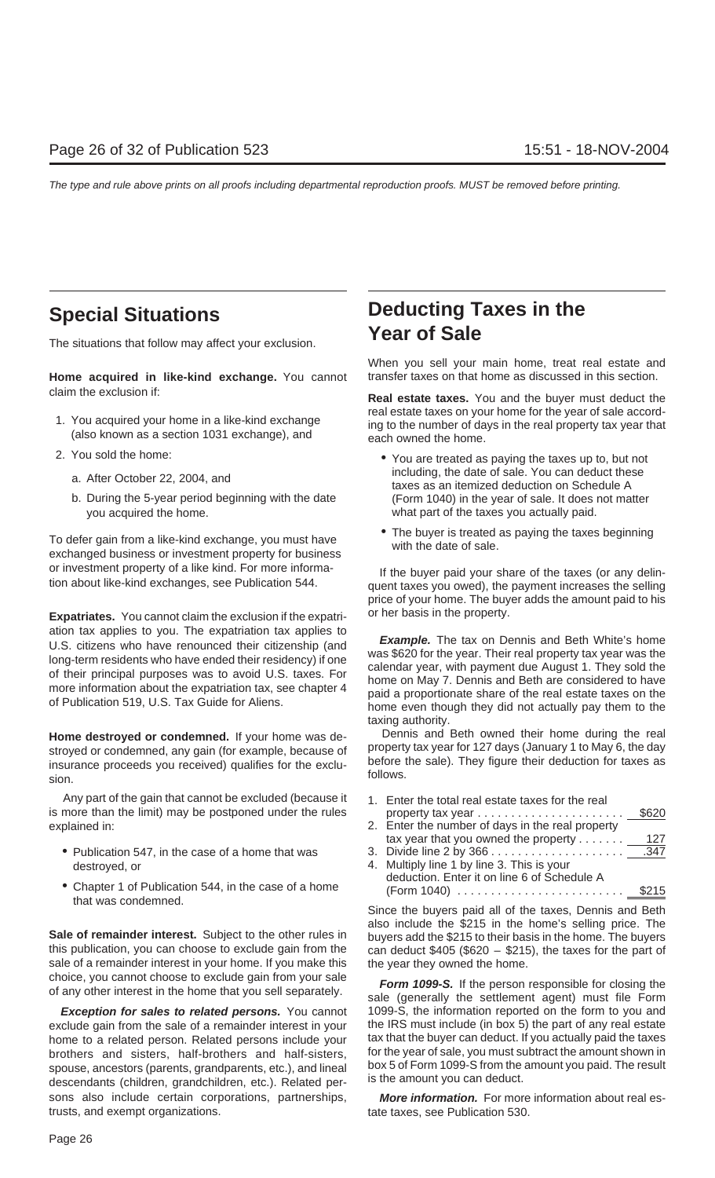The situations that follow may affect your exclusion.

**Home acquired in like-kind exchange.** You cannot transfer taxes on that home as discussed in this section. claim the exclusion if: **Real estate taxes.** You and the buyer must deduct the

- 
- -
	- you acquired the home. what part of the taxes you actually paid.

• The buyer is treated as paying the taxes beginning To defer gain from a like-kind exchange, you must have with the date of sale. exchanged business or investment property for business or investment property of a like kind. For more informa-<br>
If the buyer paid your share of the taxes (or any delin-<br>
quent taxes you owed), the payment increases the selling

**Expatriates.** You cannot claim the exclusion if the expatri- or her basis in the property. ation tax applies to you. The expatriation tax applies to<br>
U.S. citizens who have renounced their citizenship (and<br>
long-term residents who have ended their residency) if one<br>
of their principal purposes was to avoid U.S.

Any part of the gain that cannot be excluded (because it is more than the limit) may be postponed under the rules explained in: 2. Enter the number of days in the real property

- Publication 547, in the case of a home that was destroyed, or
- Chapter 1 of Publication 544, in the case of a home that was condemned.

sale of a remainder interest in your home. If you make this the year they owned the home. choice, you cannot choose to exclude gain from your sale<br>of any other interest in the home that you sell separately.<br>sale (generally the settlement agent) must file Form

exclude gain from the sale of a remainder interest in your the IRS must include (in box 5) the part of any real estate home to a related person. Related persons include your tax that the buyer can deduct. If you actually paid the taxes<br>brothers, and sisters half-brothers and half-sisters for the year of sale, you must subtract the amount s brothers and sisters, half-brothers and half-sisters, spouse, ancestors (parents, grandparents, etc.), and lineal box 5 of Form 1099-S from the amount you paid. The result descendants (children, grandchildren, etc.). Related per-<br>descendants (children, grandchildren, etc.). R sons also include certain corporations, partnerships, **More information.** For more information about real estrusts, and exempt organizations. The same of the taxes, see Publication 530.

## **Special Situations Deducting Taxes in the**

When you sell your main home, treat real estate and

1. You acquired your home in a like-kind exchange<br>(also known as a section 1031 exchange), and<br>each owned the home.

- 2. You sold the home: The same of the You are treated as paying the taxes up to, but not a. After October 22, 2004, and the set also are a. After October 22, 2004, and taxes as an itemized deduction on Schedule A b. During the 5-year period beginning with the date (Form 1040) in the year of sale. It does not matter
	-

price of your home. The buyer adds the amount paid to his

taxing authority.

**Home destroyed or condemned.** If your home was de-<br>stroyed or condemned, any gain (for example, because of property tax year for 127 days (January 1 to May 6, the day<br>insurance proceeds you received) qualifies for the exc

| 1. Enter the total real estate taxes for the real      |       |
|--------------------------------------------------------|-------|
|                                                        | \$620 |
| 2. Enter the number of days in the real property       |       |
| tax year that you owned the property $\dots \dots$ 127 |       |
|                                                        |       |
| 4. Multiply line 1 by line 3. This is your             |       |
| deduction. Enter it on line 6 of Schedule A            |       |
|                                                        |       |
|                                                        |       |

Since the buyers paid all of the taxes, Dennis and Beth also include the \$215 in the home's selling price. The<br>**Sale of remainder interest.** Subject to the other rules in buyers add the \$215 to their basis in the home. The buyers<br>this publication, you can choose to exclude gain can deduct  $$405$  (\$620 – \$215), the taxes for the part of

**Exception for sales to related persons.** You cannot 1099-S, the information reported on the form to you and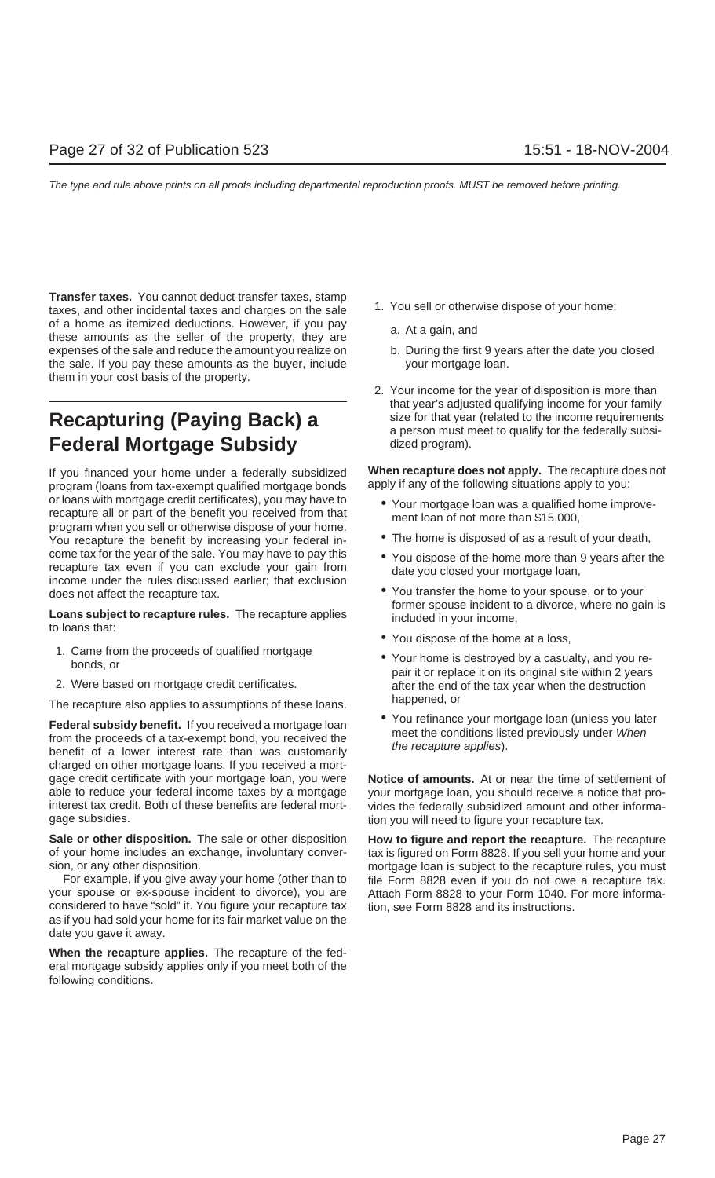**Transfer taxes.** You cannot deduct transfer taxes, stamp<br>taxes, and other incidental taxes and charges on the sale 1. You sell or otherwise dispose of your home: of a home as itemized deductions. However, if you pay a. At a gain, and these amounts as the seller of the property, they are expenses of the sale and reduce the amount you realize on b. During the first 9 years after the date you closed the sale. If you pay these amounts as the buyer, include your mortgage loan. them in your cost basis of the property.

## **Federal Mortgage Subsidy** dized program).

program (loans from tax-exempt qualified mortgage bonds or loans with mortgage credit certificates), you may have to<br>
recapture all or part of the benefit you received from that<br>
program when you sell or otherwise dispose of your home.<br>
You recapture the benefit by increasing y You recapture the benefit by increasing your federal income tax for the year of the sale. You may have to pay this explore the home more than 9 years after the recapture tax even if you can exclude your gain from income under the rules discussed earlier; that exclusion

**Forms subject to recapture rules.** The recapture applies included in your income,<br>to loans that:<br>**•** You dispose of the home at a loss,<br>1. Came from the proceeds of qualified mortgage

- 
- 

happened, or The recapture also applies to assumptions of these loans.

**Federal subsidy benefit.** If you received a mortgage loan vour refinance your mortgage loan (unless you later<br>from the proceeds of a tax-exempt bond, you received the the conditions listed previously under When<br>benefit of charged on other mortgage loans. If you received a mortgage credit certificate with your mortgage loan, you were **Notice of amounts.** At or near the time of settlement of able to reduce your federal income taxes by a mortgage your mortgage loan, you should receive a notice that prointerest tax credit. Both of these benefits are federal mort- vides the federally subsidized amount and other informagage subsidies. the subsidies of the state of the total tion you will need to figure your recapture tax.

**Sale or other disposition.** The sale or other disposition **How to figure and report the recapture.** The recapture of your home includes an exchange, involuntary conver- tax is figured on Form 8828. If you sell your home and your

your spouse or ex-spouse incident to divorce), you are Attach Form 8828 to your Form 1040. For more informaconsidered to have "sold" it. You figure your recapture tax tion, see Form 8828 and its instructions. as if you had sold your home for its fair market value on the date you gave it away.

**When the recapture applies.** The recapture of the federal mortgage subsidy applies only if you meet both of the following conditions.

- -
	-
- 2. Your income for the year of disposition is more than that year's adjusted qualifying income for your family **Recapturing (Paying Back) a** size for that year (related to the income requirements a person must meet to qualify for the federally subsi-

If you financed your home under a federally subsidized **When recapture does not apply.** The recapture does not **produced as formation** of the following situations apply to you:

- 
- 
- 
- does not affect the recapture tax.<br>  $\begin{array}{ccc}\n & \bullet & \end{array}$  You transfer the home to your spouse, or to your<br>
former spouse incident to a divorce, where no gain is
	-
- 1. Came from the proceeds of qualified mortgage<br>bonds, or **pair it or replace it on its original site within 2 years**<br>2. Were based on mortgage credit certificates.<br>2. Were based on mortgage credit certificates. after the end of the tax year when the destruction
	-

sion, or any other disposition.<br>For example, if you give away your home (other than to file Form 8828 even if you do not owe a recapture tax. file Form 8828 even if you do not owe a recapture tax.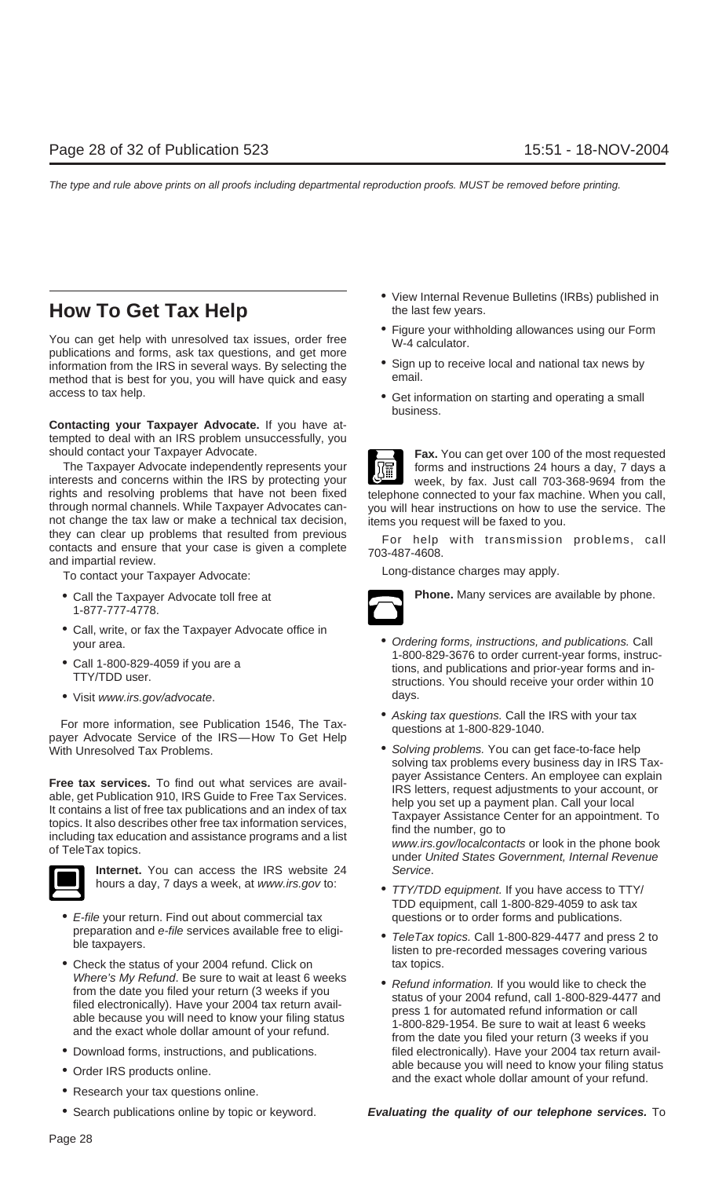## **How To Get Tax Help** the last few years.

publications and forms, ask tax questions, and get more information from the IRS in several ways. By selecting the  $\bullet$  Sign up to receive local and national tax news by method that is hest for you you will have quick and easy method that is best for you, you will have quick and easy access to tax help. **• Get information on starting and operating a small** 

**Contacting your Taxpayer Advocate.** If you have attempted to deal with an IRS problem unsuccessfully, you

interests and concerns within the IRS by protecting your<br>rights and resolving problems that have not been fixed telephone connected to your fax machine. When you call. rights and resolving problems that have not been fixed telephone connected to your fax machine. When you call,<br>through normal channels. While Taxpayer Advocates can-vou will hear instructions on how to use the service. The not change the tax law or make a technical tax decision, items you request will be faxed to you.<br>they can clear up problems that resulted from previous they can clear up problems that resulted from previous<br>contacts and ensure that your case is given a complete<br>and impartial review.<br>To contact your Taxpayer Advocate:<br>To contact your Taxpayer Advocate:<br> $\frac{203-487-4608}{203$ 

- 1-877-777-4778.
- Call, write, or fax the Taxpayer Advocate office in
- 
- Visit www.irs.gov/advocate days. .

• Asking tax questions. Call the IRS with your tax For more information, see Publication 1546, The Tax- questions at 1-800-829-1040. payer Advocate Service of the IRS—How To Get Help With Unresolved Tax Problems. **• Solving problems.** You can get face-to-face help



**Internet.** You can access the IRS website 24 Service.

- E-file your return. Find out about commercial tax questions or to order forms and publications. preparation and e-file services available free to eligi-<br>ble taxpayers.<br>listen to pre-recorded messages covering various
- Check the status of your 2004 refund. Click on tax topics.<br>Where's My Refund. Be sure to wait at least 6 weeks
- 
- 
- Research your tax questions online.
- 
- View Internal Revenue Bulletins (IRBs) published in
- Figure your withholding allowances using our Form You can get help with unresolved tax issues, order free W-4 calculator.
	-
	- business.

should contact your Taxpayer Advocate.<br>The Taxpayer Advocate independently represents your<br>Fax. You can get over 100 of the most requested<br>forms and instructions 24 hours a day, 7 days a The Taxpayer Advocate independently represents your  $\sqrt{\frac{m}{n}}$  forms and instructions 24 hours a day, 7 days a you will hear instructions on how to use the service. The



• Call the Taxpayer Advocate toll free at **Phone. Phone.** Many services are available by phone.

- your area.<br> $\bullet$  Ordering forms, instructions, and publications. Call<br>1-800-829-3676 to order current-year forms, instruc-• Call 1-800-829-4059 if you are a tions, and publications and prior-year forms and in-<br>TTY/TDD user. structions and publications and prior-year forms and in-<br>structions. You should receive your order within 10
	-
- solving tax problems every business day in IRS Tax-**Free tax services.** To find out what services are avail-<br>able, get Publication 910, IRS Guide to Free Tax Services.<br>It contains a list of free tax publications and an index of tax<br>topics. It also describes other free tax
	- hours a day, 7 days a week, at www.irs.gov to:<br>• TTY/TDD equipment. If you have access to TTY/ TDD equipment, call 1-800-829-4059 to ask tax
		-
	- Where's My Refund. Be sure to wait at least 6 weeks<br>from the date you filed your return (3 weeks if you<br>filed electronically). Have your 2004 tax return avail-<br>able because you will need to know your filing status<br>and the • Download forms, instructions, and publications. The filed electronically). Have your 2004 tax return available because you will need to know your filing status • Order IRS products online. and the exact whole dollar amount of your refund.

• Search publications online by topic or keyword. **Evaluating the quality of our telephone services.** To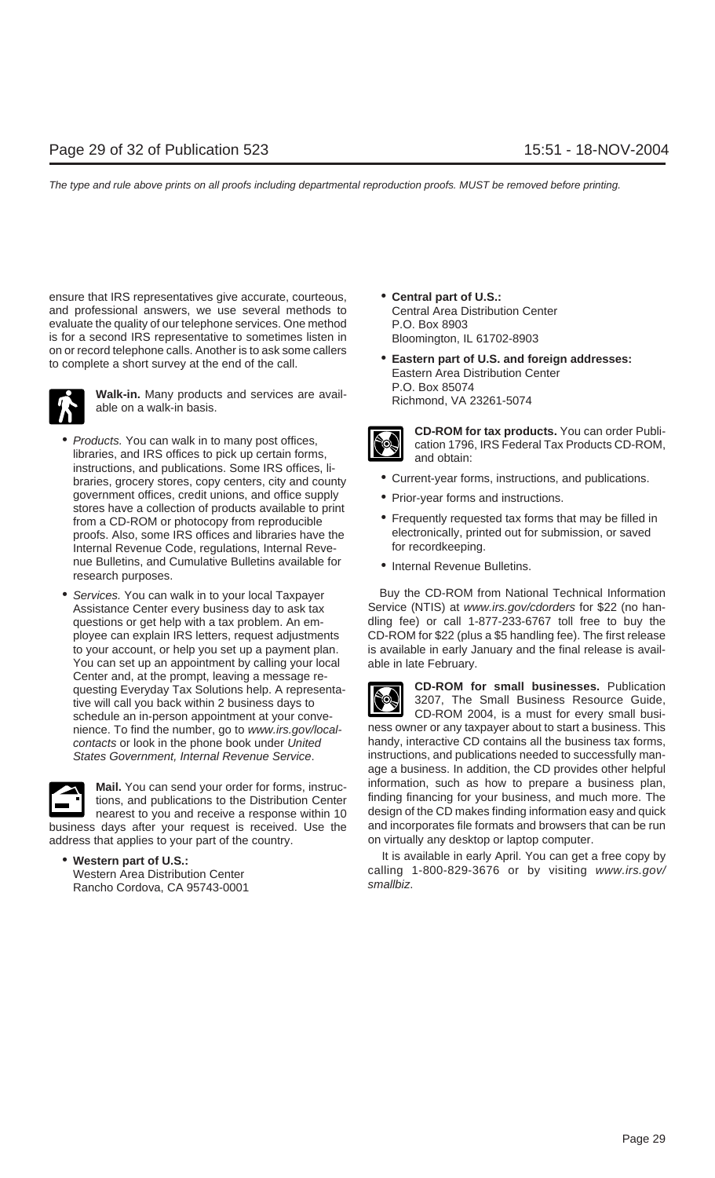ensure that IRS representatives give accurate, courteous, • **Central part of U.S.:** and professional answers, we use several methods to Central Area Distribution Center evaluate the quality of our telephone services. One method P.O. Box 8903 is for a second IRS representative to sometimes listen in Bloomington, IL 61702-8903 on or record telephone calls. Another is to ask some callers<br> **• Eastern part of U.S. and foreign addresses:**<br>
Eastern Area Distribution Center



**Walk-in.** Many products and services are avail-<br>able on a walk-in basis. **Able on a walk-in basis.** All example able on a walk-in basis.

- instructions, and publications. Some IRS offices, libraries, grocery stores, copy centers, city and county **•** Current-year forms, instructions, and publications. government offices, credit unions, and office supply<br>stores have a collection of products available to print<br>from a CD-ROM or photocopy from reproducible<br>proofs. Also, some IRS offices and libraries have the<br>electronically proofs. Also, some IRS offices and libraries have the electronically, printically, printed out for submission, or submission, or submission, or submission, or submission, or submission, or submission, or submission, or sav Internal Revenue Code, regulations, Internal Revenue Bulletins, and Cumulative Bulletins available for **•** Internal Revenue Bulletins. research purposes.
- You can set up an appointment by calling your local able in late February. Center and, at the prompt, leaving a message retive will call you back within 2 business days to

address that applies to your part of the country.

Rancho Cordova, CA 95743-0001

- 
- 



• Products. You can walk in to many post offices,<br>libraries, and IRS offices to pick up certain forms, and obtain:<br>and obtain:

- 
- 
- 
- 

• Services. You can walk in to your local Taxpayer Buy the CD-ROM from National Technical Information Assistance Center every business day to ask tax Service (NTIS) at www.irs.gov/cdorders for \$22 (no hanquestions or get help with a tax problem. An em- dling fee) or call 1-877-233-6767 toll free to buy the ployee can explain IRS letters, request adjustments CD-ROM for \$22 (plus a \$5 handling fee). The first release to your account, or help you set up a payment plan. is available in early January and the final release is avail-

questing Everyday Tax Solutions help. A representa- **CD-ROM for small businesses.** Publication schedule an in-person appointment at your conve-<br>CD-ROM 2004, is a must for every small businience. To find the number, go to www.irs.gov/local- ness owner or any taxpayer about to start a business. This contacts or look in the phone book under  $\overline{United}$  handy, interactive CD contains all the business tax forms, States Government, Internal Revenue Service. instructions, and publications needed to successfully manage a business. In addition, the CD provides other helpful Mail. You can send your order for forms, instruc-<br>information, such as how to prepare a business plan, tions, and publications to the Distribution Center finding financing for your business, and much more. The nearest to you and receive a response within 10 design of the CD makes finding information easy and quick<br>s days after your request is received. Use the and incorporates file formats and browsers that can be run business days after your request is received. Use the and incorporates file formats and browsers that and browsers that and browsers that and be request of the country.

• Western part of U.S.: **It is available in early April. You can get a free copy by Western part of U.S.:** Western Area Distribution Center **calling 1-800-829-3676** or by visiting www.irs.gov/<br>Rancho Cordova CA 95743-0001 smallbiz.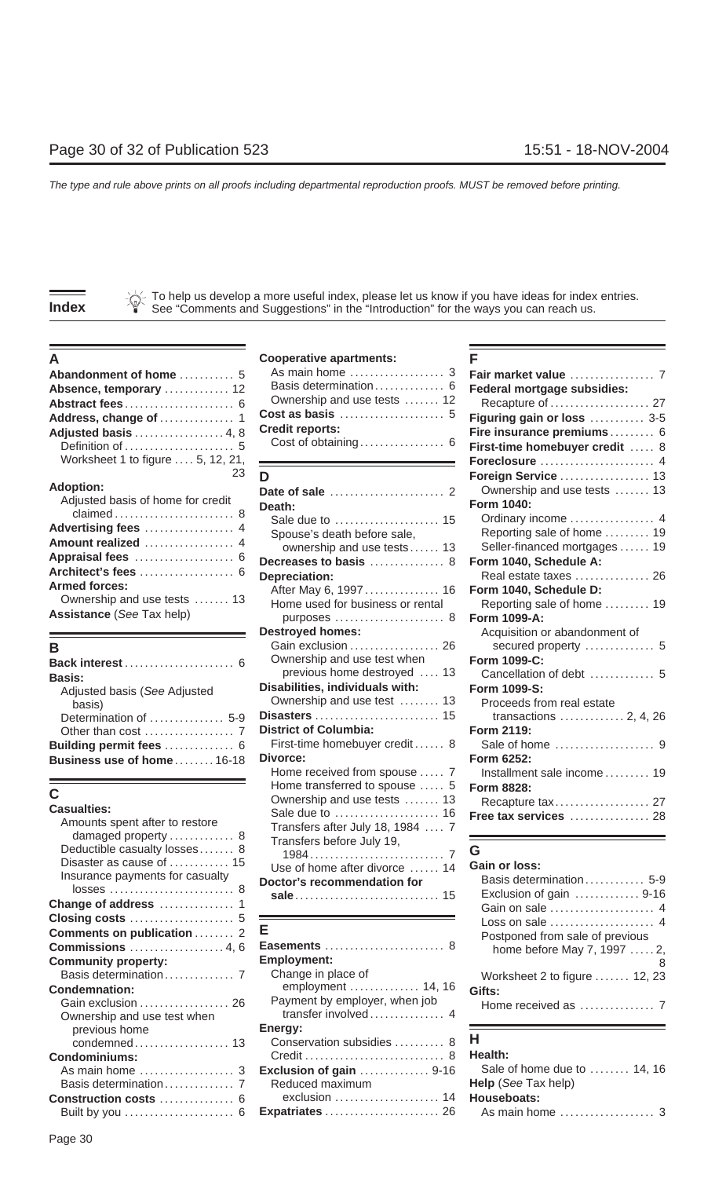To help us develop a more useful index, please let us know if you have ideas for index entries. **INDEX** See "Comments and Suggestions" in the "Introduction" for the ways you can reach us.<br> **Index** See "Comments and Suggestions" in the "Introduction" for the ways you can reach us.

| Abandonment of home  5            |  |
|-----------------------------------|--|
| Absence, temporary  12            |  |
|                                   |  |
|                                   |  |
|                                   |  |
| Adjusted basis  4, 8              |  |
|                                   |  |
| Worksheet 1 to figure  5, 12, 21, |  |
| $\sim$ 23                         |  |

| Adjusted basis of home for credit |  |
|-----------------------------------|--|
| claimed 8                         |  |
| Advertising fees  4               |  |
| Amount realized  4                |  |
|                                   |  |
| Architect's fees  6               |  |
| <b>Armed forces:</b>              |  |
| Ownership and use tests  13       |  |
| <b>Assistance (See Tax help)</b>  |  |

| <b>Casualties:</b><br>Amounts spent after to restore<br>damaged property  8                 | Transfers after July 18, 1984  7                                                          | $\frac{1}{2}$<br>Free tax services  28                                                      |
|---------------------------------------------------------------------------------------------|-------------------------------------------------------------------------------------------|---------------------------------------------------------------------------------------------|
| Deductible casualty losses 8<br>Disaster as cause of  15<br>Insurance payments for casualty | Transfers before July 19,<br>Use of home after divorce  14<br>Doctor's recommendation for | G<br>Gain or loss:<br>Basis determination 5-9<br>Exclusion of gain  9-16<br>Gain on sale  4 |
|                                                                                             |                                                                                           | Loss on sale  4                                                                             |
| Comments on publication  2                                                                  | Е                                                                                         | Postponed from sale of previous                                                             |
|                                                                                             | <b>Easements</b> 8                                                                        | home before May 7, 1997  2,                                                                 |
| <b>Community property:</b>                                                                  | <b>Employment:</b>                                                                        |                                                                                             |
|                                                                                             | Change in place of                                                                        | Worksheet 2 to figure  12, 23                                                               |
| <b>Condemnation:</b>                                                                        | employment  14, 16                                                                        | Gifts:                                                                                      |
| Gain exclusion  26<br>Ownership and use test when                                           | Payment by employer, when job                                                             |                                                                                             |
| previous home                                                                               | Energy:                                                                                   |                                                                                             |
|                                                                                             | Conservation subsidies  8                                                                 | н                                                                                           |
| <b>Condominiums:</b>                                                                        |                                                                                           | Health:                                                                                     |
|                                                                                             |                                                                                           | Sale of home due to  14, 16                                                                 |
|                                                                                             | Reduced maximum                                                                           | Help (See Tax help)                                                                         |
|                                                                                             |                                                                                           | Houseboats:                                                                                 |
|                                                                                             |                                                                                           | As main home  3                                                                             |

| A                                 | <b>Cooperative apartments:</b>     | F                                            |
|-----------------------------------|------------------------------------|----------------------------------------------|
| Abandonment of home  5            | As main home  3                    |                                              |
| Absence, temporary  12            | Basis determination 6              | Federal mortgage subsidies:                  |
| Abstract fees 6                   | Ownership and use tests  12        | Recapture of  27                             |
| Address, change of  1             |                                    | Figuring gain or loss  3-5                   |
| Adjusted basis  4, 8              | <b>Credit reports:</b>             | Fire insurance premiums 6                    |
|                                   |                                    | First-time homebuyer credit  8               |
| Worksheet 1 to figure  5, 12, 21, |                                    |                                              |
| 23                                | D                                  | Foreign Service  13                          |
| <b>Adoption:</b>                  |                                    | Ownership and use tests  13                  |
| Adjusted basis of home for credit | Death:                             | Form 1040:                                   |
| claimed 8                         | Sale due to  15                    | Ordinary income  4                           |
| Advertising fees  4               | Spouse's death before sale,        | Reporting sale of home  19                   |
| Amount realized  4                | ownership and use tests 13         | Seller-financed mortgages  19                |
| Appraisal fees  6                 | Decreases to basis  8              | Form 1040, Schedule A:                       |
| Architect's fees  6               | Depreciation:                      | Real estate taxes  26                        |
| <b>Armed forces:</b>              | After May 6, 1997 16               | Form 1040, Schedule D:                       |
| Ownership and use tests  13       | Home used for business or rental   | Reporting sale of home  19                   |
| <b>Assistance (See Tax help)</b>  | purposes  8                        | Form 1099-A:                                 |
|                                   | <b>Destroyed homes:</b>            | Acquisition or abandonment of                |
|                                   | Gain exclusion  26                 | secured property  5                          |
| В                                 | Ownership and use test when        | Form 1099-C:                                 |
|                                   | previous home destroyed  13        | Cancellation of debt  5                      |
| <b>Basis:</b>                     | Disabilities, individuals with:    | Form 1099-S:                                 |
| Adjusted basis (See Adjusted      | Ownership and use test  13         | Proceeds from real estate                    |
| basis)<br>Determination of  5-9   | Disasters  15                      | transactions $\dots\dots\dots\dots$ 2, 4, 26 |
|                                   | <b>District of Columbia:</b>       | Form 2119:                                   |
|                                   | First-time homebuyer credit 8      |                                              |
| Building permit fees  6           | Divorce:                           | Form 6252:                                   |
| Business use of home16-18         | Home received from spouse  7       | Installment sale income  19                  |
|                                   | Home transferred to spouse  5      | Form 8828:                                   |
| C                                 | Ownership and use tests  13        |                                              |
| <b>Casualties:</b>                |                                    | Recapture tax 27                             |
| Amounts spent after to restore    | Transfers after July 18, 1984  7   | Free tax services  28                        |
| damaged property  8               | Transfers before July 19,          |                                              |
| Deductible casualty losses 8      |                                    | G                                            |
| Disaster as cause of  15          | Use of home after divorce  14      | Gain or loss:                                |
| Insurance payments for casualty   | <b>Doctor's recommendation for</b> | Basis determination 5-9                      |
|                                   |                                    | Exclusion of gain  9-16                      |
| Change of address  1              |                                    |                                              |

## **Commissions** . . . . . . . . . . . . . . . . . . . 4, 6 **Easements** ........................ 8 home before May 7, 1997 . . . . . 2, Change in place of **comployment ............... 14, 16 <b>G** Payment by employer, when job transfer involved ................... 4 Energy: Conservation subsidies .......... 8 **H Condominiums:** Credit ............................ 8 **Health: Exclusion of gain** ................. 9-16 **Reduced maximum Construction costs** ............... 6 exclusion . . . . . . . . . . . . . . . . . . . . . 14 **Houseboats:** Built by you . . . . . . . . . . . . . . . . . . . . . . 6 As m **Expatriates** . . . . . . . . . . . . . . . . . . . . . . . 26 ain home ................... 3

| JOPETALIVE apartments.           |                                |
|----------------------------------|--------------------------------|
| As main home  3                  |                                |
| Basis determination 6            | Federal mortgage subsidies:    |
| Ownership and use tests  12      | Recapture of  27               |
|                                  | Figuring gain or loss  3-5     |
| edit reports:                    | Fire insurance premiums 6      |
|                                  | First-time homebuyer credit  8 |
|                                  |                                |
|                                  | Foreign Service  13            |
|                                  | Ownership and use tests  13    |
| eath:                            | Form 1040:                     |
| Sale due to  15                  | Ordinary income  4             |
| Spouse's death before sale,      | Reporting sale of home  19     |
| ownership and use tests 13       | Seller-financed mortgages  19  |
| ecreases to basis  8             | Form 1040, Schedule A:         |
| epreciation:                     | Real estate taxes  26          |
| After May 6, 1997 16             | Form 1040, Schedule D:         |
| Home used for business or rental | Reporting sale of home  19     |
| purposes  8                      | Form 1099-A:                   |
| stroyed homes:                   | Acquisition or abandonment of  |
| Gain exclusion 26                | secured property  5            |
| Ownership and use test when      | Form 1099-C:                   |
| previous home destroyed  13      | Cancellation of debt  5        |
| sabilities, individuals with:    | Form 1099-S:                   |
| Ownership and use test  13       | Proceeds from real estate      |
|                                  | transactions $\ldots$ 2, 4, 26 |
| strict of Columbia:              | Form 2119:                     |
| First-time homebuyer credit 8    |                                |
| vorce:                           | Form 6252:                     |
| Home received from spouse  7     | Installment sale income 19     |
| Home transferred to spouse  5    | Form 8828:                     |
| Ownership and use tests  13      | Recapture tax 27               |
| Sale due to  16                  | Free tax services  28          |
| Transfers after July 18, 1984  7 |                                |
| $Tronoforo botoro-lub\ell 10$    |                                |

| <b>Gain or loss:</b>                                           |
|----------------------------------------------------------------|
| Basis determination 5-9                                        |
| Exclusion of gain $\dots\dots\dots\dots9-16$                   |
|                                                                |
| Loss on sale  4                                                |
| Postponed from sale of previous<br>home before May 7, 1997  2, |
| 8<br>Worksheet 2 to figure  12, 23                             |
| Gifts:                                                         |
| Home received as  7                                            |

| Health:                     |  |
|-----------------------------|--|
| Sale of home due to  14, 16 |  |
| <b>Help</b> (See Tax help)  |  |
| Houseboats:                 |  |
|                             |  |
|                             |  |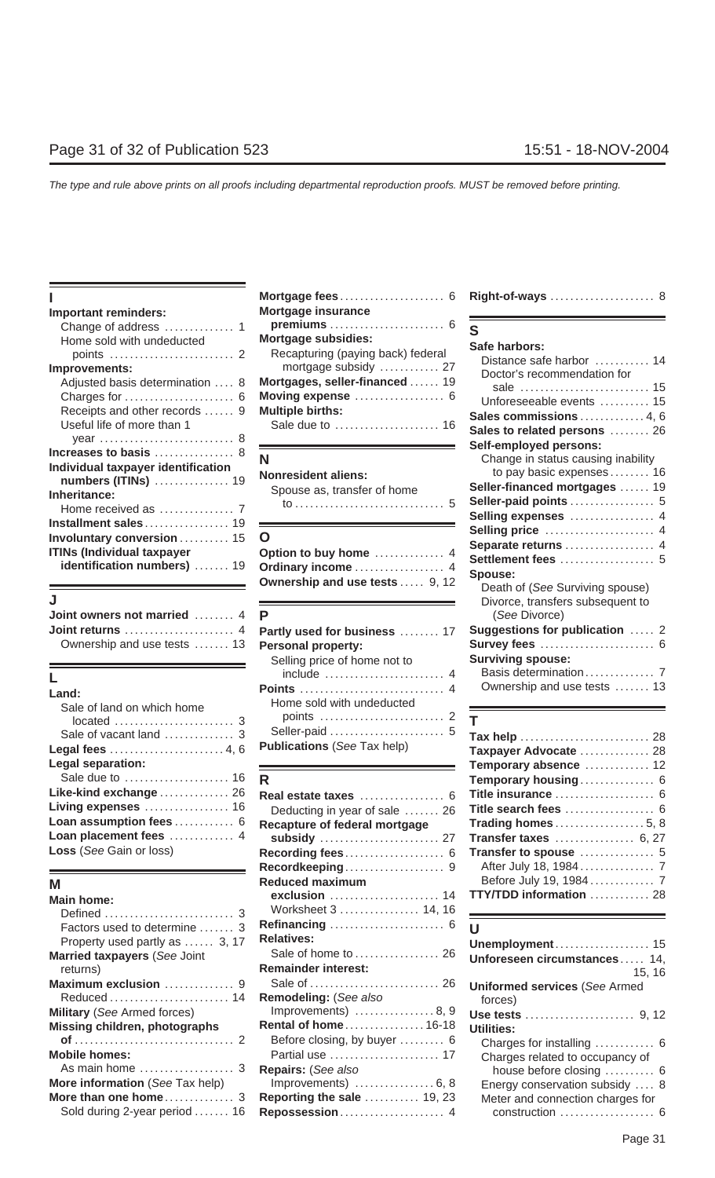| <b>Important reminders:</b><br>Change of address  1<br>Home sold with undeducted<br>Improvements:<br>Adjusted basis determination  8<br>Receipts and other records  9<br>Useful life of more than 1<br>year  8 | Mortgage insurance<br><b>Mortgage subsidies:</b><br>Recapturing (paying back) federal<br>mortgage subsidy  27<br>Mortgages, seller-financed  19<br>Moving expense  6<br><b>Multiple births:</b> | Safe harbors:<br>Distance safe harbor  14<br>Doctor's recommendation for<br>Unforeseeable events  15<br>Sales commissions  4, 6<br>Sales to related persons  26           |
|----------------------------------------------------------------------------------------------------------------------------------------------------------------------------------------------------------------|-------------------------------------------------------------------------------------------------------------------------------------------------------------------------------------------------|---------------------------------------------------------------------------------------------------------------------------------------------------------------------------|
| Increases to basis  8<br>Individual taxpayer identification<br>numbers (ITINs)  19<br>Inheritance:                                                                                                             | <b>Nonresident aliens:</b><br>Spouse as, transfer of home<br>$10$                                                                                                                               | Self-employed persons:<br>Change in status causing inability<br>to pay basic expenses 16<br>Seller-financed mortgages  19<br>Seller-paid points  5<br>Selling expenses  4 |
| Involuntary conversion  15<br><b>ITINs (Individual taxpayer</b><br>identification numbers)  19                                                                                                                 | O<br>Option to buy home  4<br>Ordinary income  4                                                                                                                                                | Separate returns  4<br>Settlement fees  5<br>Spouse:                                                                                                                      |

| Joint owners not married  4 P                  | (See Divorce)      |
|------------------------------------------------|--------------------|
|                                                |                    |
| Ownership and use tests  13 Personal property: | <b>Survey fees</b> |

| Land:<br>Sale of land on which home<br>$located \ldots \ldots \ldots \ldots \ldots \ldots \ldots 3$ | Home sold with undeducted          |                        |  |
|-----------------------------------------------------------------------------------------------------|------------------------------------|------------------------|--|
| Sale of vacant land  3                                                                              |                                    |                        |  |
|                                                                                                     | <b>Publications (See Tax help)</b> | Taxpayer Advocate  28  |  |
| <b>Legal separation:</b>                                                                            |                                    | Temporary absence  12  |  |
| Sale due to $\ldots$ $\ldots$ $\ldots$ $\ldots$ 16 R                                                |                                    | Temporary housing 6    |  |
| Like-kind exchange  26                                                                              |                                    | Title insurance  6     |  |
|                                                                                                     | Deducting in year of sale  26      | Title search fees  6   |  |
| Loan assumption fees 6                                                                              | Recapture of federal mortgage      |                        |  |
| Loan placement fees  4                                                                              |                                    |                        |  |
| <b>Loss</b> (See Gain or loss)                                                                      | Recording fees <b>Recording</b>    | 6 Transfer to spouse 5 |  |

| Main home:                          |  |
|-------------------------------------|--|
|                                     |  |
| Factors used to determine  3        |  |
| Property used partly as  3, 17      |  |
| <b>Married taxpayers (See Joint</b> |  |
| returns)                            |  |
| Maximum exclusion  9                |  |
| Reduced  14                         |  |
| <b>Military</b> (See Armed forces)  |  |
| Missing children, photographs       |  |
|                                     |  |
| <b>Mobile homes:</b>                |  |
| As main home  3                     |  |
| More information (See Tax help)     |  |
|                                     |  |
| More than one home 3                |  |
| Sold during 2-year period  16       |  |

| <b>Important reminders:</b>                                                                                                                                | Mortgage insurance                                                                                                                                   |                                                                                                                                                                 |
|------------------------------------------------------------------------------------------------------------------------------------------------------------|------------------------------------------------------------------------------------------------------------------------------------------------------|-----------------------------------------------------------------------------------------------------------------------------------------------------------------|
| Home sold with undeducted<br>Improvements:<br>Adjusted basis determination  8<br>Receipts and other records  9<br>Useful life of more than 1<br>$V \cap T$ | <b>Mortgage subsidies:</b><br>Recapturing (paying back) federal<br>mortgage subsidy  27<br>Mortgages, seller-financed  19<br><b>Multiple births:</b> | Safe harbors:<br>Distance safe harbor  14<br>Doctor's recommendation for<br>Unforeseeable events  15<br>Sales commissions  4, 6<br>Sales to related persons  26 |

| Spouse as, transfer of home                                                  |
|------------------------------------------------------------------------------|
| $\mathsf{to} \ldots \ldots \ldots \ldots \ldots \ldots \ldots \ldots \ldots$ |
|                                                                              |

| Option to buy home  4          |  |
|--------------------------------|--|
| Ordinary income  4             |  |
| Ownership and use tests  9, 12 |  |

| Ownership and use tests  13 Personal property:        | Selling price of home not to                                                            | Suggestions for publication  2<br><b>Survey fees</b> 6<br><b>Surviving spouse:</b> |
|-------------------------------------------------------|-----------------------------------------------------------------------------------------|------------------------------------------------------------------------------------|
| Land:<br>Sale of land on which home                   | $include \ldots \ldots \ldots \ldots \ldots \ldots \ldots$<br>Home sold with undeducted | Basis determination 7<br>Ownership and use tests  13                               |
| $located \ldots \ldots \ldots \ldots \ldots \ldots 3$ | <b>Publications (See Tax help)</b>                                                      | Taxpaver Advocate  28                                                              |

| Like-kind exchange 26                  |                               | Title insurance  6                   |
|----------------------------------------|-------------------------------|--------------------------------------|
| Living expenses  16                    | Deducting in year of sale  26 | Title search fees  6                 |
| Loan assumption fees 6                 | Recapture of federal mortgage | Trading homes  5, 8                  |
| Loan placement fees  4                 |                               | <b>Transfer taxes</b> 6, 27          |
| Loss (See Gain or loss)                |                               | Transfer to spouse  5                |
|                                        |                               |                                      |
| м                                      | <b>Reduced maximum</b>        | Before July 19, 1984 7               |
|                                        | exclusion  14                 | TTY/TDD information  28              |
| Main home:                             | Worksheet 3  14, 16           |                                      |
|                                        |                               |                                      |
| Factors used to determine  3           | <b>Relatives:</b>             | ш                                    |
| Property used partly as  3, 17         |                               | Unemployment 15                      |
| Married taxpayers (See Joint           | Sale of home to  26           | Unforeseen circumstances 14,         |
| returns)                               | <b>Remainder interest:</b>    | 15, 16                               |
| Maximum exclusion  9                   |                               | <b>Uniformed services (See Armed</b> |
| Reduced 14                             | <b>Remodeling: (See also</b>  | forces)                              |
| <b>Military</b> (See Armed forces)     | Improvements)  8, 9           |                                      |
| Missing children, photographs          | Rental of home 16-18          | <b>Utilities:</b>                    |
|                                        | Before closing, by buyer  6   | Charges for installing  6            |
| <b>Mobile homes:</b>                   | Partial use  17               | Charges related to occupancy of      |
|                                        | Repairs: (See also            | house before closing  6              |
| <b>More information</b> (See Tax help) | Improvements)  6, 8           | Energy conservation subsidy  8       |
| More than one home 3                   | Reporting the sale  19, 23    | Meter and connection charges for     |
|                                        |                               |                                      |
| Sold during 2-year period  16          |                               |                                      |

## **I Mortgage fees** ..................... 6 **Right-of-ways** ..................... 8

| Home sold with undeducted<br>Improvements:<br>Adjusted basis determination  8<br>Receipts and other records  9<br>Useful life of more than 1<br>year  8<br>Increases to basis  8<br>Individual taxpayer identification | <b>Mortgage subsidies:</b><br>Recapturing (paying back) federal<br>mortgage subsidy  27<br>Mortgages, seller-financed  19<br>Moving expense  6<br><b>Multiple births:</b><br>N<br><b>Nonresident aliens:</b> | Safe harbors:<br>Distance safe harbor  14<br>Doctor's recommendation for<br>Unforeseeable events  15<br>Sales commissions  4, 6<br>Sales to related persons  26<br>Self-employed persons:<br>Change in status causing inability<br>to pay basic expenses 16 |
|------------------------------------------------------------------------------------------------------------------------------------------------------------------------------------------------------------------------|--------------------------------------------------------------------------------------------------------------------------------------------------------------------------------------------------------------|-------------------------------------------------------------------------------------------------------------------------------------------------------------------------------------------------------------------------------------------------------------|
| numbers (ITINs)  19<br><b>Inheritance:</b>                                                                                                                                                                             | Spouse as, transfer of home                                                                                                                                                                                  | Seller-financed mortgages  19                                                                                                                                                                                                                               |
| Installment sales 19                                                                                                                                                                                                   |                                                                                                                                                                                                              | Selling expenses  4                                                                                                                                                                                                                                         |
| Involuntary conversion  15<br><b>ITINs (Individual taxpayer</b><br>identification numbers)  19                                                                                                                         | O<br>Option to buy home  4<br>Ownership and use tests  9, 12                                                                                                                                                 | Selling price  4<br>Separate returns  4<br>Settlement fees  5<br>Spouse:<br>Death of (See Surviving spouse)                                                                                                                                                 |
|                                                                                                                                                                                                                        |                                                                                                                                                                                                              | Divorce, transfers subsequent to                                                                                                                                                                                                                            |
| Joint owners not married  4                                                                                                                                                                                            | P                                                                                                                                                                                                            | (See Divorce)                                                                                                                                                                                                                                               |
| Joint returns  4                                                                                                                                                                                                       | Partly used for business  17                                                                                                                                                                                 | Suggestions for publication  2                                                                                                                                                                                                                              |
| Ownership and use tests  13                                                                                                                                                                                            | <b>Personal property:</b>                                                                                                                                                                                    | <b>Survey fees</b> 6                                                                                                                                                                                                                                        |
|                                                                                                                                                                                                                        | Selling price of home not to                                                                                                                                                                                 | <b>Surviving spouse:</b>                                                                                                                                                                                                                                    |
|                                                                                                                                                                                                                        | include  4                                                                                                                                                                                                   | Basis determination 7                                                                                                                                                                                                                                       |
| Land:                                                                                                                                                                                                                  |                                                                                                                                                                                                              | Ownership and use tests  13                                                                                                                                                                                                                                 |

| Sale of vacant land  3<br>Legal fees $\dots\dots\dots\dots\dots\dots\dots4, 6$ | <b>Publications (See Tax help)</b>                                                                                                                                                                                             | Taxpayer Advocate  28  |
|--------------------------------------------------------------------------------|--------------------------------------------------------------------------------------------------------------------------------------------------------------------------------------------------------------------------------|------------------------|
| <b>Legal separation:</b>                                                       |                                                                                                                                                                                                                                | Temporary absence  12  |
| Sale due to $\ldots$ $\ldots$ $\ldots$ $\ldots$ 16 R                           |                                                                                                                                                                                                                                | Temporary housing 6    |
| Like-kind exchange  26                                                         |                                                                                                                                                                                                                                | Title insurance  6     |
| Living expenses  16                                                            | Deducting in year of sale  26                                                                                                                                                                                                  | Title search fees  6   |
| Loan assumption fees 6                                                         | Recapture of federal mortgage                                                                                                                                                                                                  |                        |
| Loan placement fees  4                                                         |                                                                                                                                                                                                                                |                        |
| Loss (See Gain or loss)                                                        |                                                                                                                                                                                                                                |                        |
|                                                                                |                                                                                                                                                                                                                                |                        |
| Μ                                                                              | Reduced maximum example and the state of the state of the state of the state of the state of the state of the state of the state of the state of the state of the state of the state of the state of the state of the state of | Before July 19, 1984 7 |
| <b>Main home:</b>                                                              |                                                                                                                                                                                                                                |                        |
|                                                                                |                                                                                                                                                                                                                                |                        |

| Property used partly as  3, 17        | <b>Relatives:</b>                                            | Unemployment 15                      |
|---------------------------------------|--------------------------------------------------------------|--------------------------------------|
| arried taxpayers (See Joint           |                                                              | Unforeseen circumstances 14,         |
| returns)                              | <b>Remainder interest:</b>                                   | 15.16                                |
| aximum exclusion  9                   |                                                              | <b>Uniformed services (See Armed</b> |
| Reduced  14                           | Remodeling: (See also                                        | forces)                              |
| <b>litary</b> (See Armed forces)      | Improvements $\, \ldots \ldots \ldots \ldots \ldots \, 8, 9$ |                                      |
| ssing children, photographs           | Rental of home 16-18                                         | Utilities:                           |
|                                       | Before closing, by buyer  6                                  | Charges for installing  6            |
| obile homes:                          | Partial use  17                                              | Charges related to occupancy of      |
| As main home  3                       | Repairs: (See also                                           | house before closing  6              |
| ore information (See Tax help)        |                                                              | Energy conservation subsidy  8       |
| ore than one home 3                   | Reporting the sale  19, 23                                   | Meter and connection charges for     |
| Sold during 2-year period $\ldots$ 16 |                                                              |                                      |